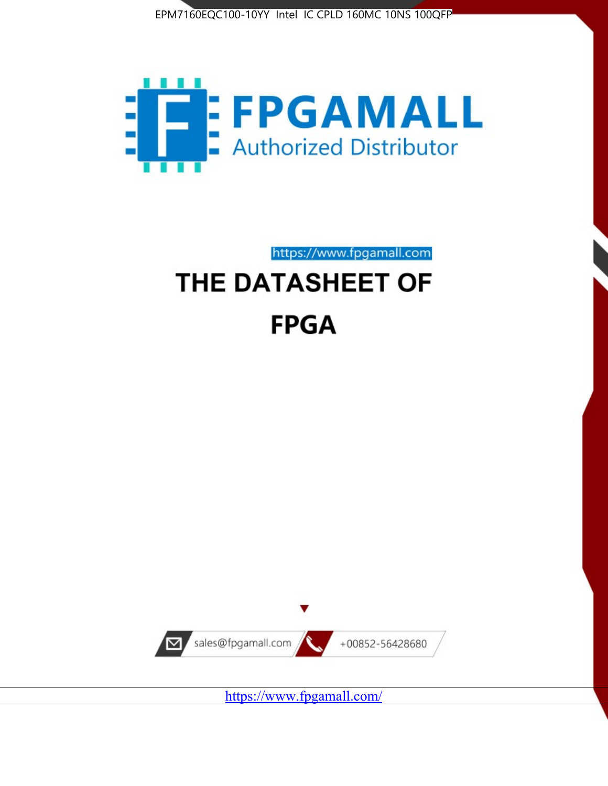



https://www.fpgamall.com THE DATASHEET OF

# **FPGA**



<https://www.fpgamall.com/>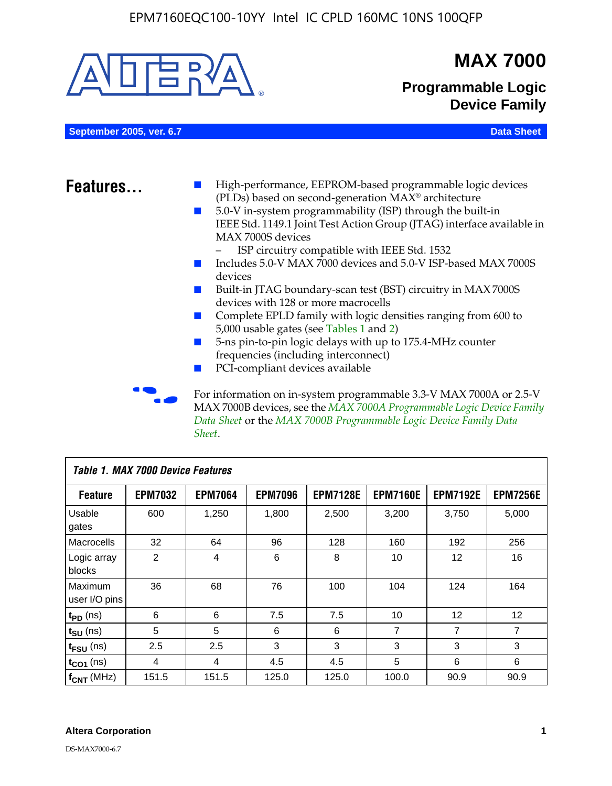

MAX 7000B devices, see the *MAX 7000A Programmable Logic Device Family Data Sheet* or the *MAX 7000B Programmable Logic Device Family Data Sheet*.

| Table 1. MAX 7000 Device Features |                |                |                |                 |                 |                   |                 |
|-----------------------------------|----------------|----------------|----------------|-----------------|-----------------|-------------------|-----------------|
| <b>Feature</b>                    | <b>EPM7032</b> | <b>EPM7064</b> | <b>EPM7096</b> | <b>EPM7128E</b> | <b>EPM7160E</b> | <b>EPM7192E</b>   | <b>EPM7256E</b> |
| Usable<br>gates                   | 600            | 1,250          | 1,800          | 2,500           | 3,200           | 3.750             | 5,000           |
| Macrocells                        | 32             | 64             | 96             | 128             | 160             | 192               | 256             |
| Logic array<br>blocks             | $\overline{2}$ | 4              | 6              | 8               | 10              | 12                | 16              |
| Maximum<br>user I/O pins          | 36             | 68             | 76             | 100             | 104             | 124               | 164             |
| $t_{PD}$ (ns)                     | 6              | 6              | 7.5            | 7.5             | 10              | $12 \overline{ }$ | 12              |
| $t_{SU}$ (ns)                     | 5              | 5              | 6              | 6               | 7               | $\overline{7}$    | $\overline{7}$  |
| $t_{FSU}$ (ns)                    | 2.5            | 2.5            | 3              | 3               | 3               | 3                 | 3               |
| $t_{CO1}$ (ns)                    | 4              | 4              | 4.5            | 4.5             | 5               | 6                 | 6               |
| $f_{CNT}$ (MHz)                   | 151.5          | 151.5          | 125.0          | 125.0           | 100.0           | 90.9              | 90.9            |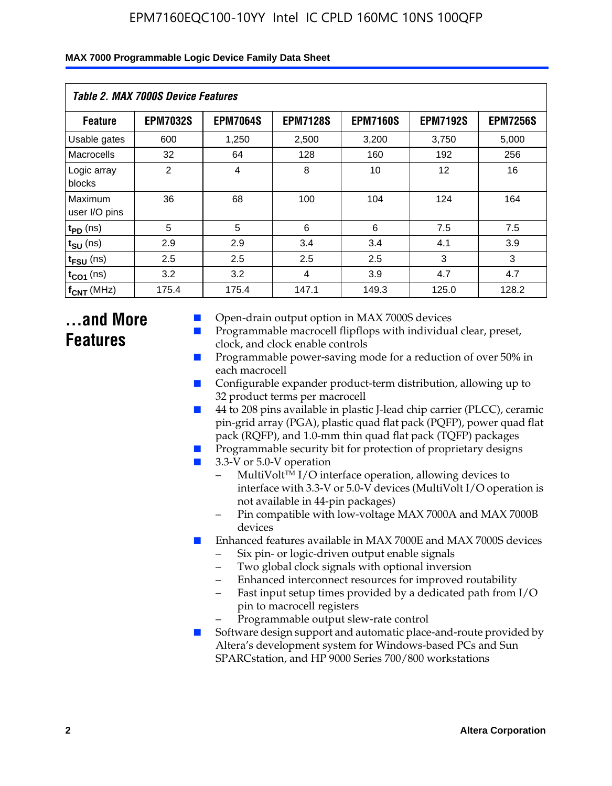| MAX 7000 Programmable Logic Device Family Data Sheet |  |  |  |  |  |
|------------------------------------------------------|--|--|--|--|--|
|------------------------------------------------------|--|--|--|--|--|

| <b>Table 2. MAX 7000S Device Features</b> |                 |                 |                 |                 |                   |                 |  |
|-------------------------------------------|-----------------|-----------------|-----------------|-----------------|-------------------|-----------------|--|
| <b>Feature</b>                            | <b>EPM7032S</b> | <b>EPM7064S</b> | <b>EPM7128S</b> | <b>EPM7160S</b> | <b>EPM7192S</b>   | <b>EPM7256S</b> |  |
| Usable gates                              | 600             | 1.250           | 2,500           | 3.200           | 3.750             | 5,000           |  |
| Macrocells                                | 32              | 64              | 128             | 160             | 192               | 256             |  |
| Logic array<br>blocks                     | 2               | $\overline{4}$  | 8               | 10              | $12 \overline{ }$ | 16              |  |
| Maximum<br>user I/O pins                  | 36              | 68              | 100             | 104             | 124               | 164             |  |
| $t_{PD}$ (ns)                             | 5               | 5               | 6               | 6               | 7.5               | 7.5             |  |
| $t_{SU}$ (ns)                             | 2.9             | 2.9             | 3.4             | 3.4             | 4.1               | 3.9             |  |
| $t_{\text{FSU}}$ (ns)                     | 2.5             | 2.5             | 2.5             | 2.5             | 3                 | 3               |  |
| $t_{CO1}$ (ns)                            | 3.2             | 3.2             | 4               | 3.9             | 4.7               | 4.7             |  |
| $f_{CNT}$ (MHz)                           | 175.4           | 175.4           | 147.1           | 149.3           | 125.0             | 128.2           |  |

# **...and More Features**

- Open-drain output option in MAX 7000S devices
- Programmable macrocell flipflops with individual clear, preset, clock, and clock enable controls
- Programmable power-saving mode for a reduction of over 50% in each macrocell
- Configurable expander product-term distribution, allowing up to 32 product terms per macrocell
- 44 to 208 pins available in plastic J-lead chip carrier (PLCC), ceramic pin-grid array (PGA), plastic quad flat pack (PQFP), power quad flat pack (RQFP), and 1.0-mm thin quad flat pack (TQFP) packages
- Programmable security bit for protection of proprietary designs
- 3.3-V or 5.0-V operation
	- MultiVolt<sup>TM</sup> I/O interface operation, allowing devices to interface with 3.3-V or 5.0-V devices (MultiVolt I/O operation is not available in 44-pin packages)
	- Pin compatible with low-voltage MAX 7000A and MAX 7000B devices
- Enhanced features available in MAX 7000E and MAX 7000S devices
	- Six pin- or logic-driven output enable signals
	- Two global clock signals with optional inversion
	- Enhanced interconnect resources for improved routability
	- Fast input setup times provided by a dedicated path from I/O pin to macrocell registers
	- Programmable output slew-rate control
- Software design support and automatic place-and-route provided by Altera's development system for Windows-based PCs and Sun SPARCstation, and HP 9000 Series 700/800 workstations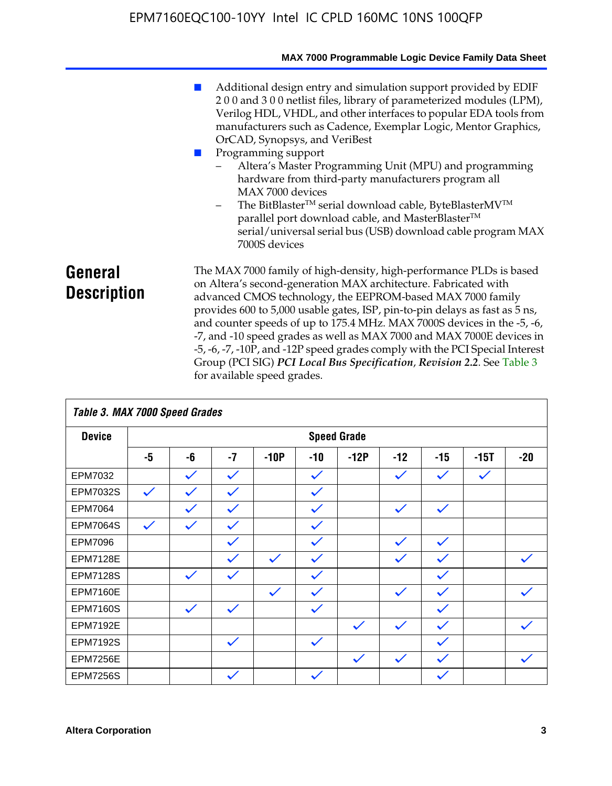|                               | MAX 7000 Programmable Logic Device Family Data Sheet                                                                                                                                                                                                                                                                                                                                                                                                                                                                                                                                                                                                                            |
|-------------------------------|---------------------------------------------------------------------------------------------------------------------------------------------------------------------------------------------------------------------------------------------------------------------------------------------------------------------------------------------------------------------------------------------------------------------------------------------------------------------------------------------------------------------------------------------------------------------------------------------------------------------------------------------------------------------------------|
|                               | Additional design entry and simulation support provided by EDIF<br>200 and 300 netlist files, library of parameterized modules (LPM),<br>Verilog HDL, VHDL, and other interfaces to popular EDA tools from<br>manufacturers such as Cadence, Exemplar Logic, Mentor Graphics,<br>OrCAD, Synopsys, and VeriBest<br>Programming support<br>Altera's Master Programming Unit (MPU) and programming<br>hardware from third-party manufacturers program all<br>MAX 7000 devices<br>The BitBlaster™ serial download cable, ByteBlasterMV™<br>$-$<br>parallel port download cable, and MasterBlaster™<br>serial/universal serial bus (USB) download cable program MAX<br>7000S devices |
| General<br><b>Description</b> | The MAX 7000 family of high-density, high-performance PLDs is based<br>on Altera's second-generation MAX architecture. Fabricated with<br>advanced CMOS technology, the EEPROM-based MAX 7000 family<br>provides 600 to 5,000 usable gates, ISP, pin-to-pin delays as fast as 5 ns,<br>and counter speeds of up to 175.4 MHz. MAX 7000S devices in the -5, -6,<br>-7, and -10 speed grades as well as MAX 7000 and MAX 7000E devices in<br>-5, -6, -7, -10P, and -12P speed grades comply with the PCI Special Interest<br>Group (PCI SIG) PCI Local Bus Specification, Revision 2.2. See Table 3                                                                               |

|                 | Table 3. MAX 7000 Speed Grades |                    |              |              |              |              |              |              |              |              |
|-----------------|--------------------------------|--------------------|--------------|--------------|--------------|--------------|--------------|--------------|--------------|--------------|
| <b>Device</b>   |                                | <b>Speed Grade</b> |              |              |              |              |              |              |              |              |
|                 | -5                             | -6                 | $-7$         | $-10P$       | $-10$        | $-12P$       | $-12$        | $-15$        | $-15T$       | $-20$        |
| EPM7032         |                                | $\checkmark$       | $\checkmark$ |              | $\checkmark$ |              | $\checkmark$ | $\checkmark$ | $\checkmark$ |              |
| EPM7032S        | $\checkmark$                   | $\checkmark$       | $\checkmark$ |              | $\checkmark$ |              |              |              |              |              |
| <b>EPM7064</b>  |                                | $\checkmark$       | $\checkmark$ |              | $\checkmark$ |              | $\checkmark$ | $\checkmark$ |              |              |
| <b>EPM7064S</b> | $\checkmark$                   | $\checkmark$       | $\checkmark$ |              | $\checkmark$ |              |              |              |              |              |
| <b>EPM7096</b>  |                                |                    | $\checkmark$ |              | $\checkmark$ |              | $\checkmark$ | $\checkmark$ |              |              |
| <b>EPM7128E</b> |                                |                    | $\checkmark$ | $\checkmark$ | $\checkmark$ |              | $\checkmark$ | $\checkmark$ |              | $\checkmark$ |
| <b>EPM7128S</b> |                                | $\checkmark$       | $\checkmark$ |              | $\checkmark$ |              |              | $\checkmark$ |              |              |
| <b>EPM7160E</b> |                                |                    |              | $\checkmark$ | $\checkmark$ |              | $\checkmark$ | $\checkmark$ |              | $\checkmark$ |
| <b>EPM7160S</b> |                                | $\checkmark$       | $\checkmark$ |              | $\checkmark$ |              |              | $\checkmark$ |              |              |
| <b>EPM7192E</b> |                                |                    |              |              |              | $\checkmark$ | $\checkmark$ | $\checkmark$ |              | $\checkmark$ |
| <b>EPM7192S</b> |                                |                    | $\checkmark$ |              | $\checkmark$ |              |              | $\checkmark$ |              |              |
| <b>EPM7256E</b> |                                |                    |              |              |              | $\checkmark$ | $\checkmark$ | $\checkmark$ |              | $\checkmark$ |
| <b>EPM7256S</b> |                                |                    | $\checkmark$ |              | $\checkmark$ |              |              | $\checkmark$ |              |              |

for available speed grades.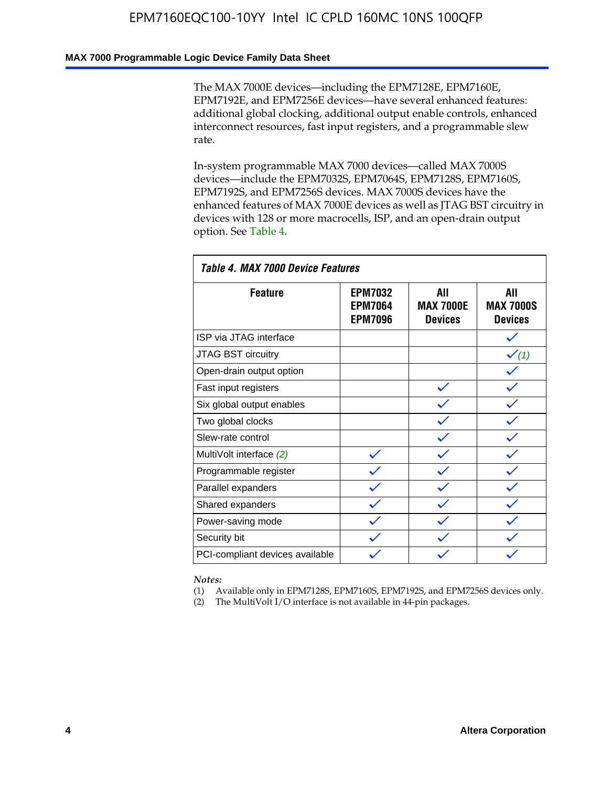### **MAX 7000 Programmable Logic Device Family Data Sheet**

The MAX 7000E devices—including the EPM7128E, EPM7160E, EPM7192E, and EPM7256E devices—have several enhanced features: additional global clocking, additional output enable controls, enhanced interconnect resources, fast input registers, and a programmable slew rate.

In-system programmable MAX 7000 devices—called MAX 7000S devices—include the EPM7032S, EPM7064S, EPM7128S, EPM7160S, EPM7192S, and EPM7256S devices. MAX 7000S devices have the enhanced features of MAX 7000E devices as well as JTAG BST circuitry in devices with 128 or more macrocells, ISP, and an open-drain output option. See Table 4.

| Table 4. MAX 7000 Device Features |                                                    |                                           |                                           |  |  |  |  |  |
|-----------------------------------|----------------------------------------------------|-------------------------------------------|-------------------------------------------|--|--|--|--|--|
| <b>Feature</b>                    | <b>EPM7032</b><br><b>EPM7064</b><br><b>EPM7096</b> | All<br><b>MAX 7000E</b><br><b>Devices</b> | All<br><b>MAX 7000S</b><br><b>Devices</b> |  |  |  |  |  |
| ISP via JTAG interface            |                                                    |                                           |                                           |  |  |  |  |  |
| JTAG BST circuitry                |                                                    |                                           | $\checkmark$ (1)                          |  |  |  |  |  |
| Open-drain output option          |                                                    |                                           |                                           |  |  |  |  |  |
| Fast input registers              |                                                    |                                           |                                           |  |  |  |  |  |
| Six global output enables         |                                                    |                                           |                                           |  |  |  |  |  |
| Two global clocks                 |                                                    |                                           |                                           |  |  |  |  |  |
| Slew-rate control                 |                                                    |                                           |                                           |  |  |  |  |  |
| MultiVolt interface (2)           |                                                    |                                           |                                           |  |  |  |  |  |
| Programmable register             |                                                    |                                           |                                           |  |  |  |  |  |
| Parallel expanders                |                                                    |                                           |                                           |  |  |  |  |  |
| Shared expanders                  |                                                    |                                           |                                           |  |  |  |  |  |
| Power-saving mode                 |                                                    |                                           |                                           |  |  |  |  |  |
| Security bit                      |                                                    |                                           |                                           |  |  |  |  |  |
| PCI-compliant devices available   |                                                    |                                           |                                           |  |  |  |  |  |

*Notes:*

(1) Available only in EPM7128S, EPM7160S, EPM7192S, and EPM7256S devices only.

(2) The MultiVolt I/O interface is not available in 44-pin packages.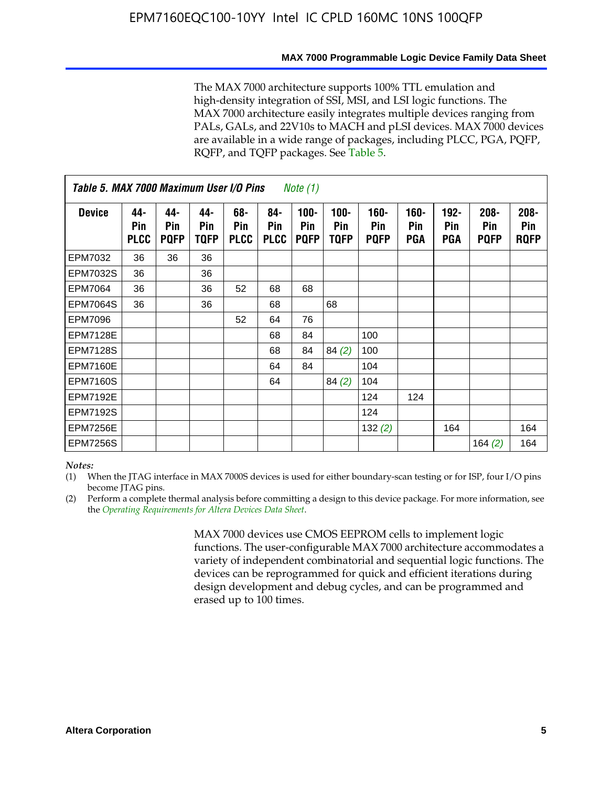The MAX 7000 architecture supports 100% TTL emulation and high-density integration of SSI, MSI, and LSI logic functions. The MAX 7000 architecture easily integrates multiple devices ranging from PALs, GALs, and 22V10s to MACH and pLSI devices. MAX 7000 devices are available in a wide range of packages, including PLCC, PGA, PQFP, RQFP, and TQFP packages. See Table 5.

|                 | Table 5. MAX 7000 Maximum User I/O Pins<br><i>Note</i> $(1)$ |                           |                    |                           |                           |                               |                            |                               |                              |                              |                               |                               |
|-----------------|--------------------------------------------------------------|---------------------------|--------------------|---------------------------|---------------------------|-------------------------------|----------------------------|-------------------------------|------------------------------|------------------------------|-------------------------------|-------------------------------|
| <b>Device</b>   | 44-<br>Pin<br><b>PLCC</b>                                    | 44-<br>Pin<br><b>PQFP</b> | 44-<br>Pin<br>TQFP | 68-<br>Pin<br><b>PLCC</b> | 84-<br>Pin<br><b>PLCC</b> | $100 -$<br>Pin<br><b>PQFP</b> | 100-<br>Pin<br><b>TQFP</b> | $160 -$<br>Pin<br><b>PQFP</b> | $160 -$<br>Pin<br><b>PGA</b> | $192 -$<br>Pin<br><b>PGA</b> | $208 -$<br>Pin<br><b>PQFP</b> | $208 -$<br>Pin<br><b>RQFP</b> |
| EPM7032         | 36                                                           | 36                        | 36                 |                           |                           |                               |                            |                               |                              |                              |                               |                               |
| <b>EPM7032S</b> | 36                                                           |                           | 36                 |                           |                           |                               |                            |                               |                              |                              |                               |                               |
| EPM7064         | 36                                                           |                           | 36                 | 52                        | 68                        | 68                            |                            |                               |                              |                              |                               |                               |
| <b>EPM7064S</b> | 36                                                           |                           | 36                 |                           | 68                        |                               | 68                         |                               |                              |                              |                               |                               |
| EPM7096         |                                                              |                           |                    | 52                        | 64                        | 76                            |                            |                               |                              |                              |                               |                               |
| <b>EPM7128E</b> |                                                              |                           |                    |                           | 68                        | 84                            |                            | 100                           |                              |                              |                               |                               |
| <b>EPM7128S</b> |                                                              |                           |                    |                           | 68                        | 84                            | 84(2)                      | 100                           |                              |                              |                               |                               |
| <b>EPM7160E</b> |                                                              |                           |                    |                           | 64                        | 84                            |                            | 104                           |                              |                              |                               |                               |
| <b>EPM7160S</b> |                                                              |                           |                    |                           | 64                        |                               | 84(2)                      | 104                           |                              |                              |                               |                               |
| <b>EPM7192E</b> |                                                              |                           |                    |                           |                           |                               |                            | 124                           | 124                          |                              |                               |                               |
| <b>EPM7192S</b> |                                                              |                           |                    |                           |                           |                               |                            | 124                           |                              |                              |                               |                               |
| <b>EPM7256E</b> |                                                              |                           |                    |                           |                           |                               |                            | 132(2)                        |                              | 164                          |                               | 164                           |
| <b>EPM7256S</b> |                                                              |                           |                    |                           |                           |                               |                            |                               |                              |                              | 164 $(2)$                     | 164                           |

#### *Notes:*

(1) When the JTAG interface in MAX 7000S devices is used for either boundary-scan testing or for ISP, four I/O pins become JTAG pins.

(2) Perform a complete thermal analysis before committing a design to this device package. For more information, see the *Operating Requirements for Altera Devices Data Sheet*.

> MAX 7000 devices use CMOS EEPROM cells to implement logic functions. The user-configurable MAX 7000 architecture accommodates a variety of independent combinatorial and sequential logic functions. The devices can be reprogrammed for quick and efficient iterations during design development and debug cycles, and can be programmed and erased up to 100 times.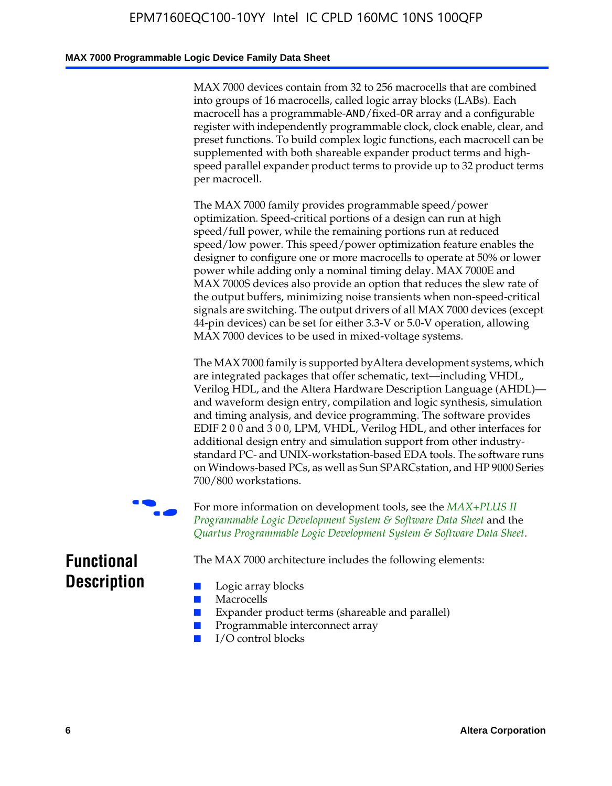### **MAX 7000 Programmable Logic Device Family Data Sheet**

MAX 7000 devices contain from 32 to 256 macrocells that are combined into groups of 16 macrocells, called logic array blocks (LABs). Each macrocell has a programmable-AND/fixed-OR array and a configurable register with independently programmable clock, clock enable, clear, and preset functions. To build complex logic functions, each macrocell can be supplemented with both shareable expander product terms and highspeed parallel expander product terms to provide up to 32 product terms per macrocell.

The MAX 7000 family provides programmable speed/power optimization. Speed-critical portions of a design can run at high speed/full power, while the remaining portions run at reduced speed/low power. This speed/power optimization feature enables the designer to configure one or more macrocells to operate at 50% or lower power while adding only a nominal timing delay. MAX 7000E and MAX 7000S devices also provide an option that reduces the slew rate of the output buffers, minimizing noise transients when non-speed-critical signals are switching. The output drivers of all MAX 7000 devices (except 44-pin devices) can be set for either 3.3-V or 5.0-V operation, allowing MAX 7000 devices to be used in mixed-voltage systems.

The MAX 7000 family is supported byAltera development systems, which are integrated packages that offer schematic, text—including VHDL, Verilog HDL, and the Altera Hardware Description Language (AHDL) and waveform design entry, compilation and logic synthesis, simulation and timing analysis, and device programming. The [software provides](http://www.altera.com/literature/ds/dsmii.pdf)  [EDIF 2 0 0 and 3 0 0, LPM, VHDL, Verilog HDL, and other in](http://www.altera.com/literature/ds/dsmii.pdf)terfaces for [additional design entry and simulation support from other industry](http://www.altera.com/literature/ds/quartus.pdf)standard PC- and UNIX-workstation-based EDA tools. The software runs on Windows-based PCs, as well as Sun SPARCstation, and HP 9000 Series 700/800 workstations.

For more information on development tools, see the **MAX+PLUS II** *Programmable Logic Development System & Software Data Sheet* and the *Quartus Programmable Logic Development System & Software Data Sheet*.

The MAX 7000 architecture includes the following elements:

# **Functional Description**

- Logic array blocks
- **Macrocells**
- Expander product terms (shareable and parallel)
- Programmable interconnect array
- I/O control blocks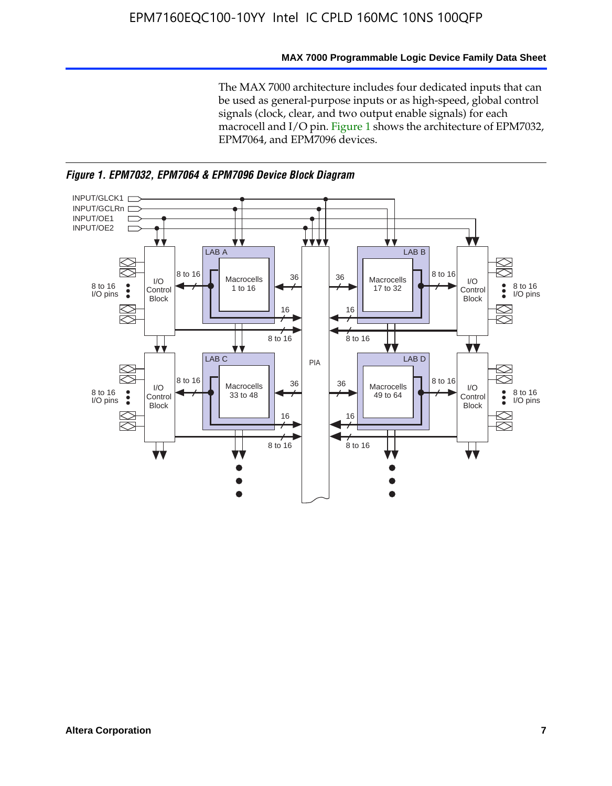### **MAX 7000 Programmable Logic Device Family Data Sheet**

The MAX 7000 architecture includes four dedicated inputs that can be used as general-purpose inputs or as high-speed, global control signals (clock, clear, and two output enable signals) for each macrocell and I/O pin. Figure 1 shows the architecture of EPM7032, EPM7064, and EPM7096 devices.



*Figure 1. EPM7032, EPM7064 & EPM7096 Device Block Diagram*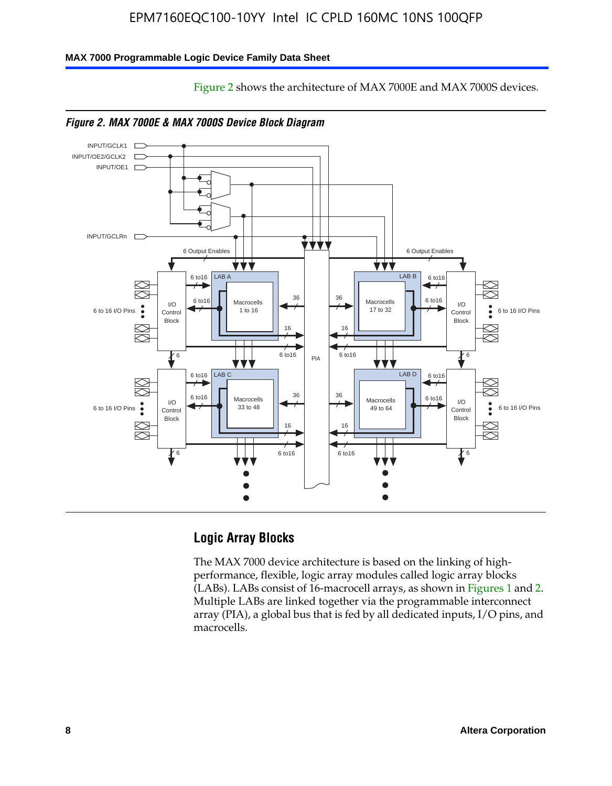Figure 2 shows the architecture of MAX 7000E and MAX 7000S devices.

### **MAX 7000 Programmable Logic Device Family Data Sheet**





# **Logic Array Blocks**

The MAX 7000 device architecture is based on the linking of highperformance, flexible, logic array modules called logic array blocks (LABs). LABs consist of 16-macrocell arrays, as shown in Figures 1 and 2. Multiple LABs are linked together via the programmable interconnect array (PIA), a global bus that is fed by all dedicated inputs, I/O pins, and macrocells.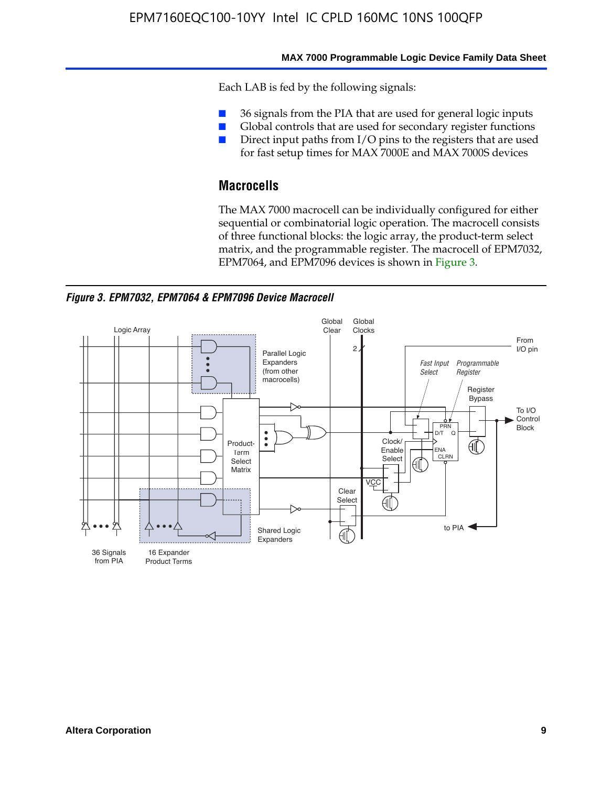#### **MAX 7000 Programmable Logic Device Family Data Sheet**

Each LAB is fed by the following signals:

- 36 signals from the PIA that are used for general logic inputs
- Global controls that are used for secondary register functions
- Direct input paths from I/O pins to the registers that are used for fast setup times for MAX 7000E and MAX 7000S devices

# **Macrocells**

The MAX 7000 macrocell can be individually configured for either sequential or combinatorial logic operation. The macrocell consists of three functional blocks: the logic array, the product-term select matrix, and the programmable register. The macrocell of EPM7032, EPM7064, and EPM7096 devices is shown in Figure 3.

*Figure 3. EPM7032, EPM7064 & EPM7096 Device Macrocell*

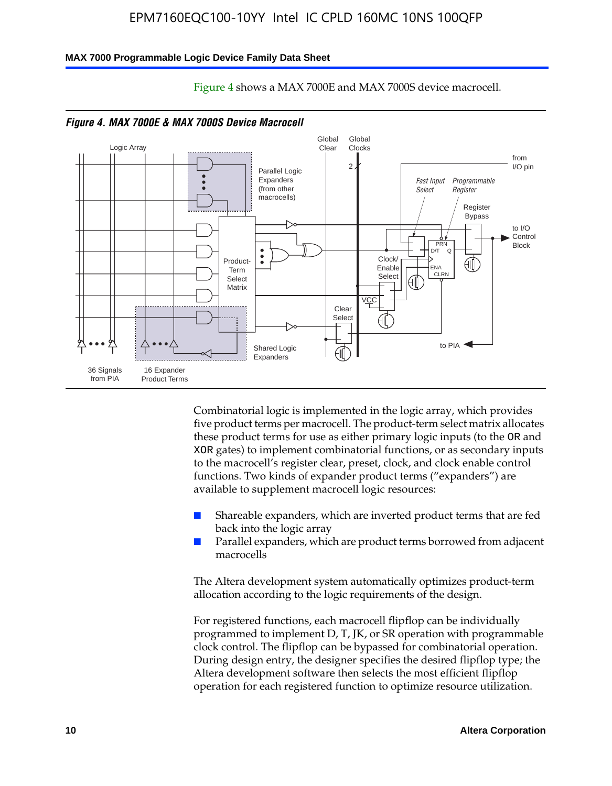#### **MAX 7000 Programmable Logic Device Family Data Sheet**



Figure 4 shows a MAX 7000E and MAX 7000S device macrocell.

*Figure 4. MAX 7000E & MAX 7000S Device Macrocell*

Combinatorial logic is implemented in the logic array, which provides five product terms per macrocell. The product-term select matrix allocates these product terms for use as either primary logic inputs (to the OR and XOR gates) to implement combinatorial functions, or as secondary inputs to the macrocell's register clear, preset, clock, and clock enable control functions. Two kinds of expander product terms ("expanders") are available to supplement macrocell logic resources:

- Shareable expanders, which are inverted product terms that are fed back into the logic array
- Parallel expanders, which are product terms borrowed from adjacent macrocells

The Altera development system automatically optimizes product-term allocation according to the logic requirements of the design.

For registered functions, each macrocell flipflop can be individually programmed to implement D, T, JK, or SR operation with programmable clock control. The flipflop can be bypassed for combinatorial operation. During design entry, the designer specifies the desired flipflop type; the Altera development software then selects the most efficient flipflop operation for each registered function to optimize resource utilization.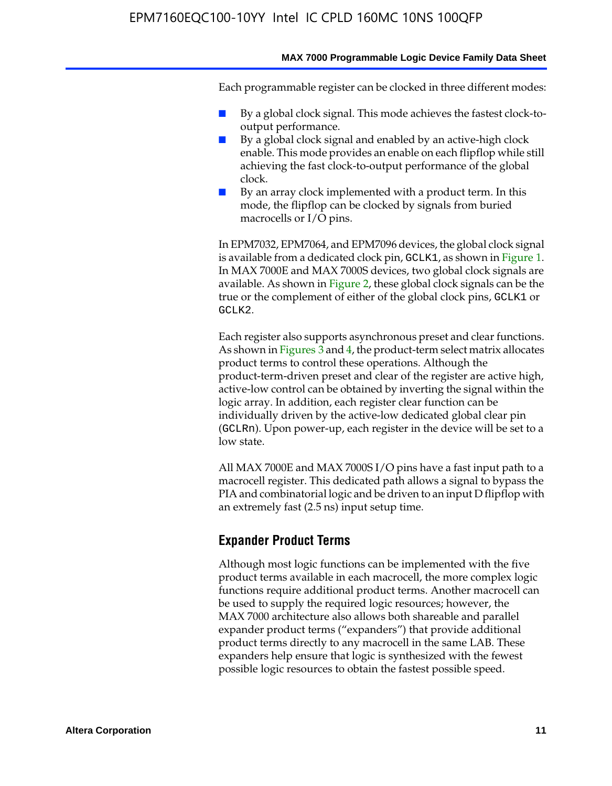Each programmable register can be clocked in three different modes:

- By a global clock signal. This mode achieves the fastest clock-tooutput performance.
- By a global clock signal and enabled by an active-high clock enable. This mode provides an enable on each flipflop while still achieving the fast clock-to-output performance of the global clock.
- By an array clock implemented with a product term. In this mode, the flipflop can be clocked by signals from buried macrocells or I/O pins.

In EPM7032, EPM7064, and EPM7096 devices, the global clock signal is available from a dedicated clock pin, GCLK1, as shown in Figure 1. In MAX 7000E and MAX 7000S devices, two global clock signals are available. As shown in Figure 2, these global clock signals can be the true or the complement of either of the global clock pins, GCLK1 or GCLK2.

Each register also supports asynchronous preset and clear functions. As shown in Figures 3 and 4, the product-term select matrix allocates product terms to control these operations. Although the product-term-driven preset and clear of the register are active high, active-low control can be obtained by inverting the signal within the logic array. In addition, each register clear function can be individually driven by the active-low dedicated global clear pin (GCLRn). Upon power-up, each register in the device will be set to a low state.

All MAX 7000E and MAX 7000S I/O pins have a fast input path to a macrocell register. This dedicated path allows a signal to bypass the PIA and combinatorial logic and be driven to an input D flipflop with an extremely fast (2.5 ns) input setup time.

### **Expander Product Terms**

Although most logic functions can be implemented with the five product terms available in each macrocell, the more complex logic functions require additional product terms. Another macrocell can be used to supply the required logic resources; however, the MAX 7000 architecture also allows both shareable and parallel expander product terms ("expanders") that provide additional product terms directly to any macrocell in the same LAB. These expanders help ensure that logic is synthesized with the fewest possible logic resources to obtain the fastest possible speed.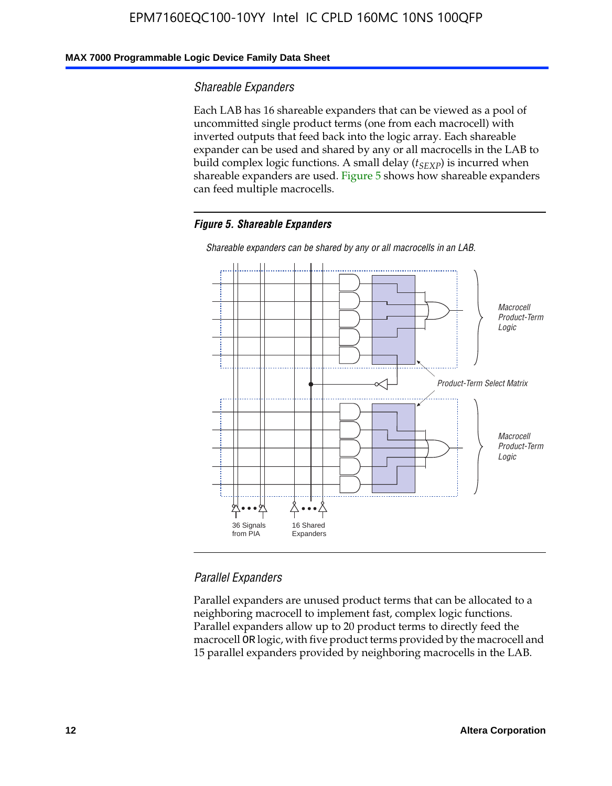### **MAX 7000 Programmable Logic Device Family Data Sheet**

### *Shareable Expanders*

Each LAB has 16 shareable expanders that can be viewed as a pool of uncommitted single product terms (one from each macrocell) with inverted outputs that feed back into the logic array. Each shareable expander can be used and shared by any or all macrocells in the LAB to build complex logic functions. A small delay ( $t_{SEXP}$ ) is incurred when shareable expanders are used. Figure 5 shows how shareable expanders can feed multiple macrocells.

### *Figure 5. Shareable Expanders*



*Shareable expanders can be shared by any or all macrocells in an LAB.*

### *Parallel Expanders*

Parallel expanders are unused product terms that can be allocated to a neighboring macrocell to implement fast, complex logic functions. Parallel expanders allow up to 20 product terms to directly feed the macrocell OR logic, with five product terms provided by the macrocell and 15 parallel expanders provided by neighboring macrocells in the LAB.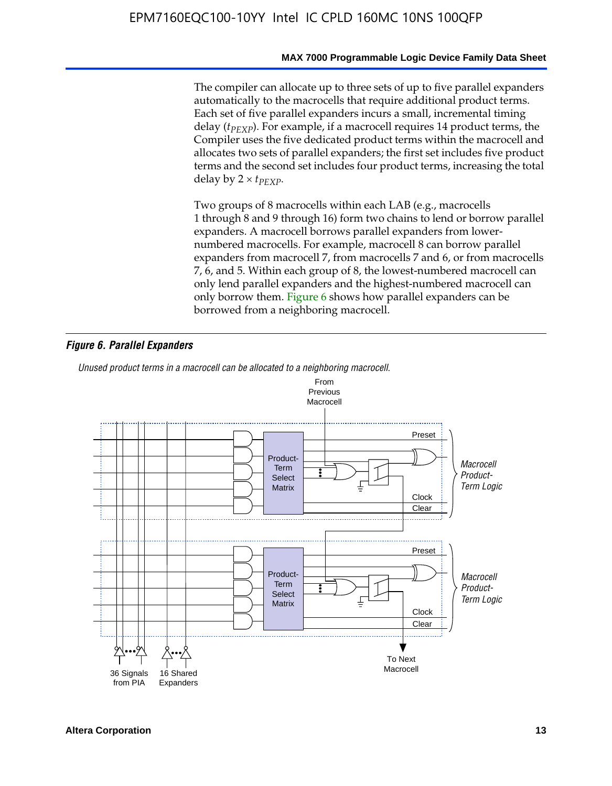The compiler can allocate up to three sets of up to five parallel expanders automatically to the macrocells that require additional product terms. Each set of five parallel expanders incurs a small, incremental timing delay (*t<sub>PEXP</sub>*). For example, if a macrocell requires 14 product terms, the Compiler uses the five dedicated product terms within the macrocell and allocates two sets of parallel expanders; the first set includes five product terms and the second set includes four product terms, increasing the total delay by  $2 \times t_{PFXP}$ .

Two groups of 8 macrocells within each LAB (e.g., macrocells 1 through 8 and 9 through 16) form two chains to lend or borrow parallel expanders. A macrocell borrows parallel expanders from lowernumbered macrocells. For example, macrocell 8 can borrow parallel expanders from macrocell 7, from macrocells 7 and 6, or from macrocells 7, 6, and 5. Within each group of 8, the lowest-numbered macrocell can only lend parallel expanders and the highest-numbered macrocell can only borrow them. Figure 6 shows how parallel expanders can be borrowed from a neighboring macrocell.

### *Figure 6. Parallel Expanders*

*Unused product terms in a macrocell can be allocated to a neighboring macrocell.*

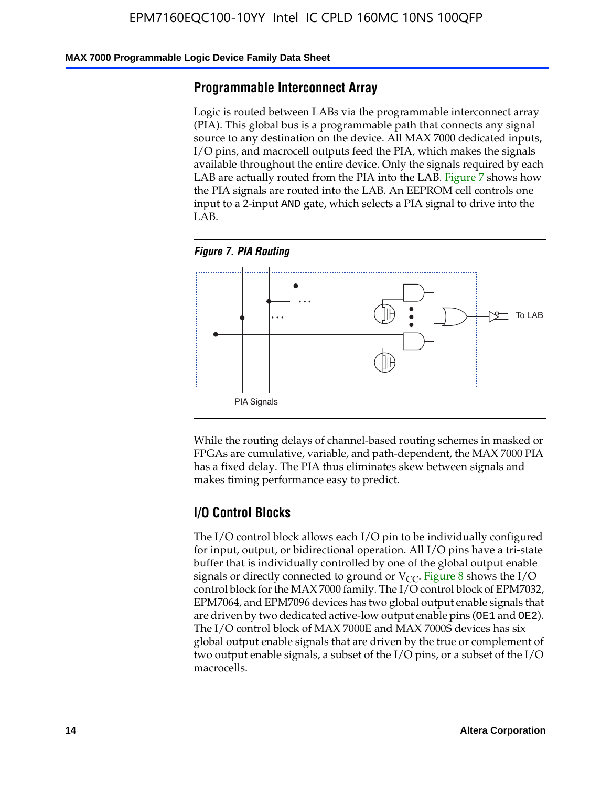#### **MAX 7000 Programmable Logic Device Family Data Sheet**

### **Programmable Interconnect Array**

Logic is routed between LABs via the programmable interconnect array (PIA). This global bus is a programmable path that connects any signal source to any destination on the device. All MAX 7000 dedicated inputs, I/O pins, and macrocell outputs feed the PIA, which makes the signals available throughout the entire device. Only the signals required by each LAB are actually routed from the PIA into the LAB. Figure 7 shows how the PIA signals are routed into the LAB. An EEPROM cell controls one input to a 2-input AND gate, which selects a PIA signal to drive into the LAB.





While the routing delays of channel-based routing schemes in masked or FPGAs are cumulative, variable, and path-dependent, the MAX 7000 PIA has a fixed delay. The PIA thus eliminates skew between signals and makes timing performance easy to predict.

### **I/O Control Blocks**

The I/O control block allows each I/O pin to be individually configured for input, output, or bidirectional operation. All I/O pins have a tri-state buffer that is individually controlled by one of the global output enable signals or directly connected to ground or  $V_{CC}$ . Figure 8 shows the I/O control block for the MAX 7000 family. The I/O control block of EPM7032, EPM7064, and EPM7096 devices has two global output enable signals that are driven by two dedicated active-low output enable pins (OE1 and OE2). The I/O control block of MAX 7000E and MAX 7000S devices has six global output enable signals that are driven by the true or complement of two output enable signals, a subset of the I/O pins, or a subset of the I/O macrocells.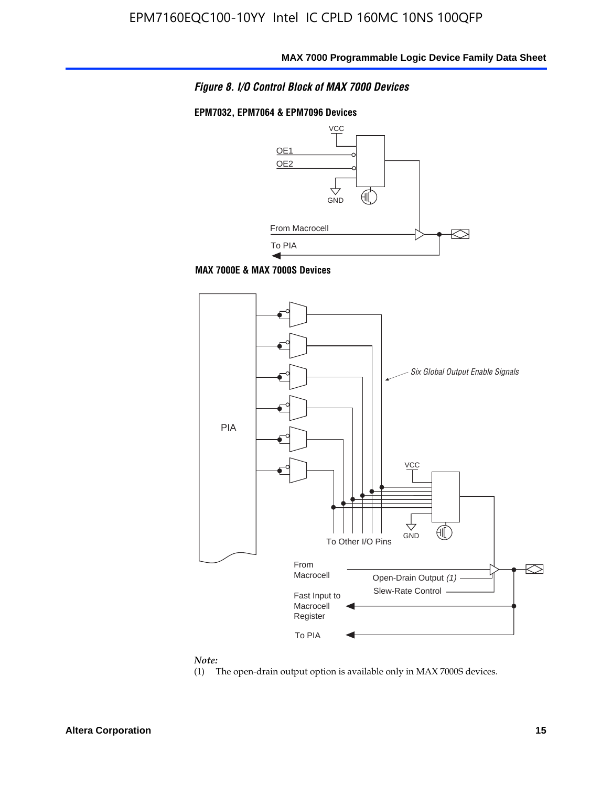

#### **EPM7032, EPM7064 & EPM7096 Devices**







#### *Note:*

(1) The open-drain output option is available only in MAX 7000S devices.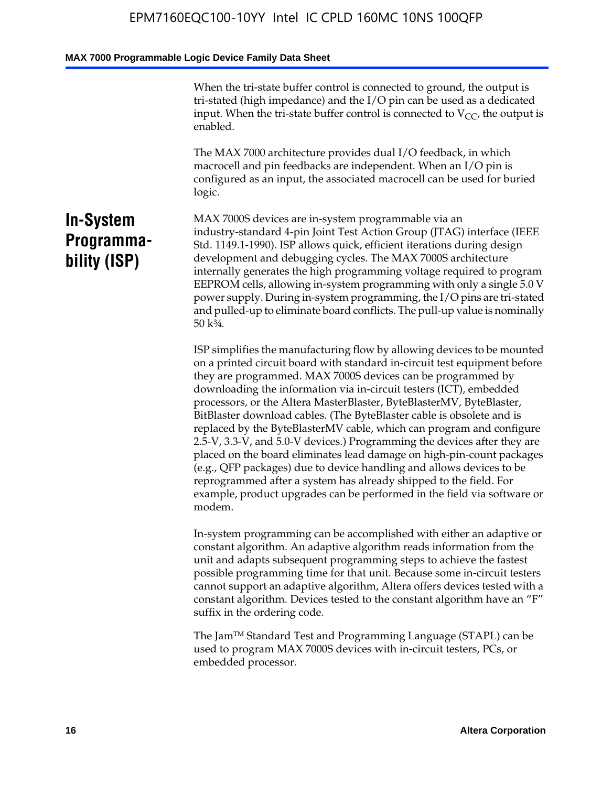When the tri-state buffer control is connected to ground, the output is tri-stated (high impedance) and the I/O pin can be used as a dedicated input. When the tri-state buffer control is connected to  $V_{CC}$ , the output is enabled.

The MAX 7000 architecture provides dual I/O feedback, in which macrocell and pin feedbacks are independent. When an I/O pin is configured as an input, the associated macrocell can be used for buried logic.

# **In-System Programmability (ISP)**

MAX 7000S devices are in-system programmable via an industry-standard 4-pin Joint Test Action Group (JTAG) interface (IEEE Std. 1149.1-1990). ISP allows quick, efficient iterations during design development and debugging cycles. The MAX 7000S architecture internally generates the high programming voltage required to program EEPROM cells, allowing in-system programming with only a single 5.0 V power supply. During in-system programming, the I/O pins are tri-stated and pulled-up to eliminate board conflicts. The pull-up value is nominally 50 k¾.

ISP simplifies the manufacturing flow by allowing devices to be mounted on a printed circuit board with standard in-circuit test equipment before they are programmed. MAX 7000S devices can be programmed by downloading the information via in-circuit testers (ICT), embedded processors, or the Altera MasterBlaster, ByteBlasterMV, ByteBlaster, BitBlaster download cables. (The ByteBlaster cable is obsolete and is replaced by the ByteBlasterMV cable, which can program and configure 2.5-V, 3.3-V, and 5.0-V devices.) Programming the devices after they are placed on the board eliminates lead damage on high-pin-count packages (e.g., QFP packages) due to device handling and allows devices to be reprogrammed after a system has already shipped to the field. For example, product upgrades can be performed in the field via software or modem.

In-system programming can be accomplished with either an adaptive or constant algorithm. An adaptive algorithm reads information from the unit and adapts subsequent programming steps to achieve the fastest possible programming time for that unit. Because some in-circuit testers cannot support an adaptive algorithm, Altera offers devices tested with a constant algorithm. Devices tested to the constant algorithm have an "F" suffix in the ordering code.

The Jam™ Standard Test and Programming Language (STAPL) can be used to program MAX 7000S devices with in-circuit testers, PCs, or embedded processor.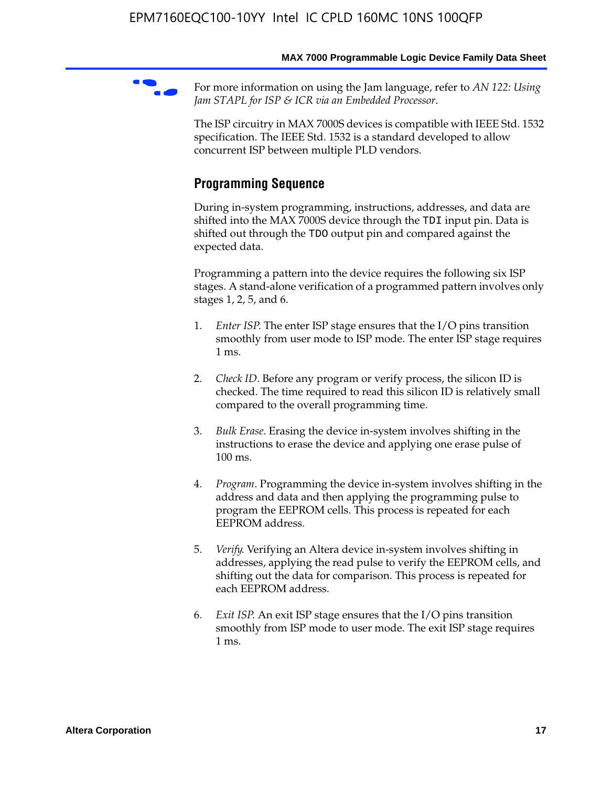For more information on using the Jam language, refer to *AN* 122: Using *Jam STAPL for ISP & ICR via an Embedded Processor*.

The ISP circuitry in MAX 7000S devices is compatible with IEEE Std. 1532 specification. The IEEE Std. 1532 is a standard developed to allow concurrent ISP between multiple PLD vendors.

# **Programming Sequence**

During in-system programming, instructions, addresses, and data are shifted into the MAX 7000S device through the TDI input pin. Data is shifted out through the TDO output pin and compared against the expected data.

Programming a pattern into the device requires the following six ISP stages. A stand-alone verification of a programmed pattern involves only stages 1, 2, 5, and 6.

- 1. *Enter ISP*. The enter ISP stage ensures that the I/O pins transition smoothly from user mode to ISP mode. The enter ISP stage requires 1 ms.
- 2. *Check ID*. Before any program or verify process, the silicon ID is checked. The time required to read this silicon ID is relatively small compared to the overall programming time.
- 3. *Bulk Erase*. Erasing the device in-system involves shifting in the instructions to erase the device and applying one erase pulse of 100 ms.
- 4. *Program*. Programming the device in-system involves shifting in the address and data and then applying the programming pulse to program the EEPROM cells. This process is repeated for each EEPROM address.
- 5. *Verify*. Verifying an Altera device in-system involves shifting in addresses, applying the read pulse to verify the EEPROM cells, and shifting out the data for comparison. This process is repeated for each EEPROM address.
- 6. *Exit ISP*. An exit ISP stage ensures that the I/O pins transition smoothly from ISP mode to user mode. The exit ISP stage requires 1 ms.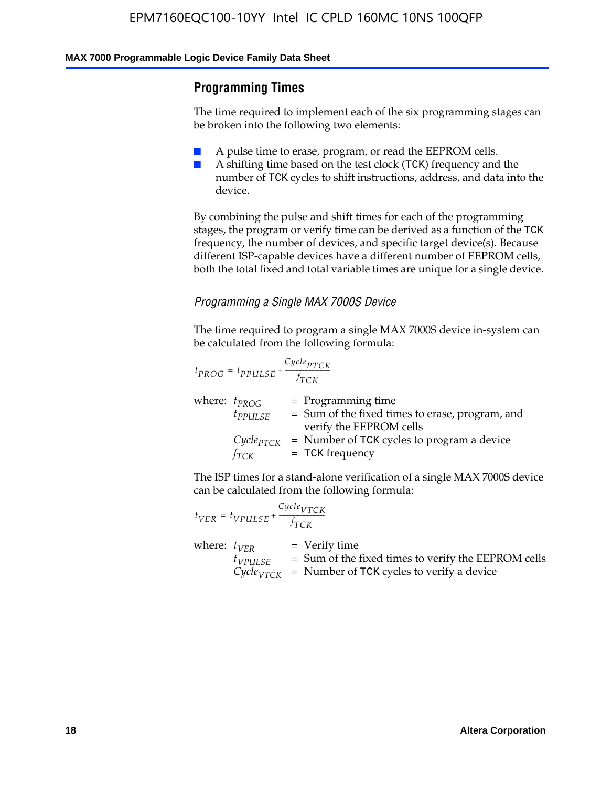# **Programming Times**

The time required to implement each of the six programming stages can be broken into the following two elements:

- A pulse time to erase, program, or read the EEPROM cells.
- A shifting time based on the test clock (TCK) frequency and the number of TCK cycles to shift instructions, address, and data into the device.

By combining the pulse and shift times for each of the programming stages, the program or verify time can be derived as a function of the TCK frequency, the number of devices, and specific target device(s). Because different ISP-capable devices have a different number of EEPROM cells, both the total fixed and total variable times are unique for a single device.

### *Programming a Single MAX 7000S Device*

The time required to program a single MAX 7000S device in-system can be calculated from the following formula:

$$
t_{PROG} = t_{PPULSE} + \frac{C_{ycle_{PTCK}}}{f_{TCK}}
$$
  
where:  $t_{PROG}$  = Programming time  
 $t_{PPULSE}$  = Sum of the fixed times to erase, program, and  
verify the EEPROM cells  
 $C_{ycle_{PTCK}}$  = Number of TCK cycles to program a device  
 $f_{TCK}$  = TCK frequency

The ISP times for a stand-alone verification of a single MAX 7000S device can be calculated from the following formula:

|                  | $t_{VER} = t_{VPULSE} + \frac{Cycle_{VTCK}}{f_{TCK}}$ |                                                                                                                                 |
|------------------|-------------------------------------------------------|---------------------------------------------------------------------------------------------------------------------------------|
| where: $t_{VFR}$ | $t_{VPULSE}$                                          | = Verify time<br>$=$ Sum of the fixed times to verify the EEPROM cells<br>$CycleVTCK$ = Number of TCK cycles to verify a device |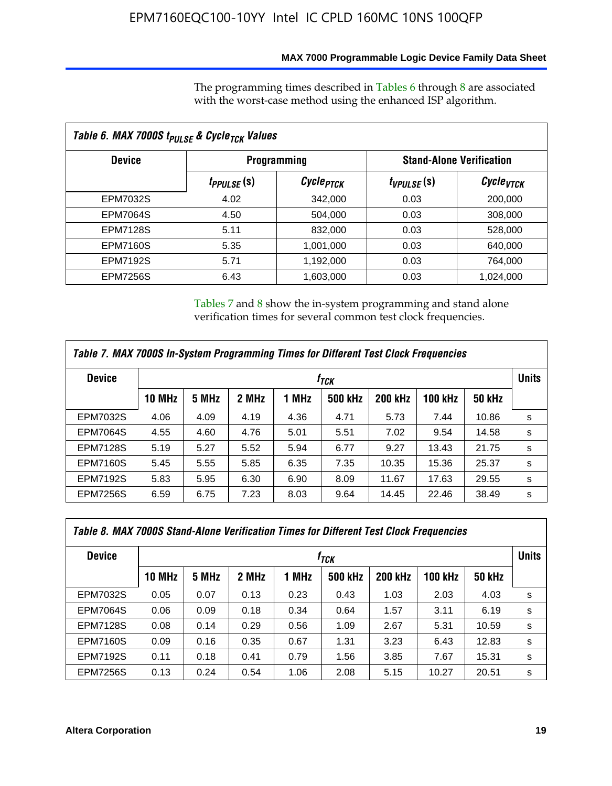### **MAX 7000 Programmable Logic Device Family Data Sheet**

The programming times described in Tables 6 through 8 are associated with the worst-case method using the enhanced ISP algorithm.

| Table 6. MAX 7000S t <sub>PULSE</sub> & Cycle <sub>TCK</sub> Values |                         |                       |                                 |                             |  |  |  |  |
|---------------------------------------------------------------------|-------------------------|-----------------------|---------------------------------|-----------------------------|--|--|--|--|
| <b>Device</b>                                                       |                         | <b>Programming</b>    | <b>Stand-Alone Verification</b> |                             |  |  |  |  |
|                                                                     | t <sub>PPULSE</sub> (S) | Cycle <sub>PTCK</sub> | $t_{VPULSE}(s)$                 | $\mathcal C$ ycle $_{VTCK}$ |  |  |  |  |
| EPM7032S                                                            | 4.02                    | 342,000               | 0.03                            | 200,000                     |  |  |  |  |
| <b>EPM7064S</b>                                                     | 4.50                    | 504,000               | 0.03                            | 308,000                     |  |  |  |  |
| <b>EPM7128S</b>                                                     | 5.11                    | 832,000               | 0.03                            | 528,000                     |  |  |  |  |
| <b>EPM7160S</b>                                                     | 5.35                    | 1,001,000             | 0.03                            | 640,000                     |  |  |  |  |
| <b>EPM7192S</b>                                                     | 5.71                    | 1,192,000             | 0.03                            | 764,000                     |  |  |  |  |
| <b>EPM7256S</b>                                                     | 6.43                    | 1,603,000             | 0.03                            | 1,024,000                   |  |  |  |  |

Tables 7 and 8 show the in-system programming and stand alone verification times for several common test clock frequencies.

| Table 7. MAX 7000S In-System Programming Times for Different Test Clock Frequencies |                  |       |       |       |                |                |                |               |              |
|-------------------------------------------------------------------------------------|------------------|-------|-------|-------|----------------|----------------|----------------|---------------|--------------|
| <b>Device</b>                                                                       | † <sub>TCK</sub> |       |       |       |                |                |                |               | <b>Units</b> |
|                                                                                     | <b>10 MHz</b>    | 5 MHz | 2 MHz | 1 MHz | <b>500 kHz</b> | <b>200 kHz</b> | <b>100 kHz</b> | <b>50 kHz</b> |              |
| <b>EPM7032S</b>                                                                     | 4.06             | 4.09  | 4.19  | 4.36  | 4.71           | 5.73           | 7.44           | 10.86         | s            |
| <b>EPM7064S</b>                                                                     | 4.55             | 4.60  | 4.76  | 5.01  | 5.51           | 7.02           | 9.54           | 14.58         | s            |
| <b>EPM7128S</b>                                                                     | 5.19             | 5.27  | 5.52  | 5.94  | 6.77           | 9.27           | 13.43          | 21.75         | s            |
| <b>EPM7160S</b>                                                                     | 5.45             | 5.55  | 5.85  | 6.35  | 7.35           | 10.35          | 15.36          | 25.37         | s            |
| <b>EPM7192S</b>                                                                     | 5.83             | 5.95  | 6.30  | 6.90  | 8.09           | 11.67          | 17.63          | 29.55         | s            |
| <b>EPM7256S</b>                                                                     | 6.59             | 6.75  | 7.23  | 8.03  | 9.64           | 14.45          | 22.46          | 38.49         | s            |

|                 | Table 8. MAX 7000S Stand-Alone Verification Times for Different Test Clock Frequencies |       |       |       |                |                |                |               |   |
|-----------------|----------------------------------------------------------------------------------------|-------|-------|-------|----------------|----------------|----------------|---------------|---|
| <b>Device</b>   | † <sub>TCK</sub>                                                                       |       |       |       |                |                |                | <b>Units</b>  |   |
|                 | <b>10 MHz</b>                                                                          | 5 MHz | 2 MHz | 1 MHz | <b>500 kHz</b> | <b>200 kHz</b> | <b>100 kHz</b> | <b>50 kHz</b> |   |
| <b>EPM7032S</b> | 0.05                                                                                   | 0.07  | 0.13  | 0.23  | 0.43           | 1.03           | 2.03           | 4.03          | s |
| <b>EPM7064S</b> | 0.06                                                                                   | 0.09  | 0.18  | 0.34  | 0.64           | 1.57           | 3.11           | 6.19          | s |
| <b>EPM7128S</b> | 0.08                                                                                   | 0.14  | 0.29  | 0.56  | 1.09           | 2.67           | 5.31           | 10.59         | s |
| <b>EPM7160S</b> | 0.09                                                                                   | 0.16  | 0.35  | 0.67  | 1.31           | 3.23           | 6.43           | 12.83         | s |
| <b>EPM7192S</b> | 0.11                                                                                   | 0.18  | 0.41  | 0.79  | 1.56           | 3.85           | 7.67           | 15.31         | s |
| <b>EPM7256S</b> | 0.13                                                                                   | 0.24  | 0.54  | 1.06  | 2.08           | 5.15           | 10.27          | 20.51         | s |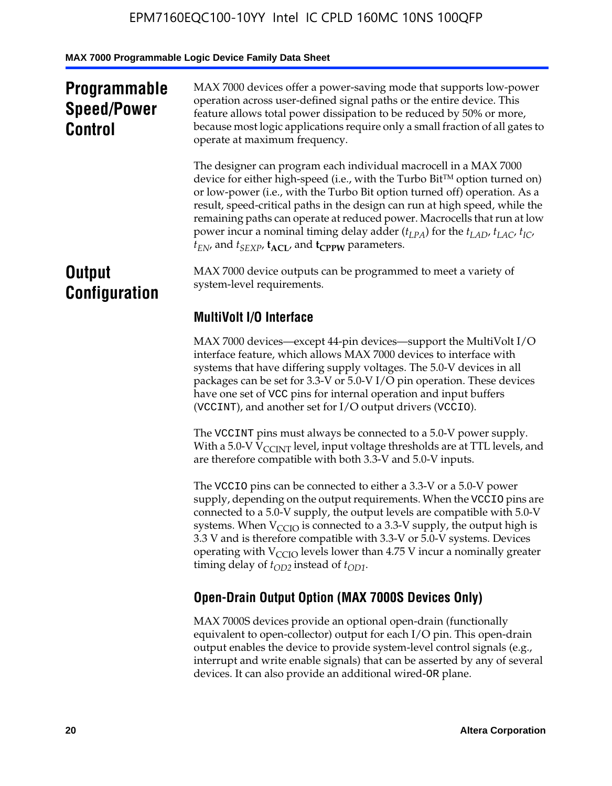# **Programmable Speed/Power Control**

MAX 7000 devices offer a power-saving mode that supports low-power operation across user-defined signal paths or the entire device. This feature allows total power dissipation to be reduced by 50% or more, because most logic applications require only a small fraction of all gates to operate at maximum frequency.

The designer can program each individual macrocell in a MAX 7000 device for either high-speed (i.e., with the Turbo  $Bit^{TM}$  option turned on) or low-power (i.e., with the Turbo Bit option turned off) operation. As a result, speed-critical paths in the design can run at high speed, while the remaining paths can operate at reduced power. Macrocells that run at low power incur a nominal timing delay adder  $(t_{LPA})$  for the  $t_{LAD}$ ,  $t_{LAC}$ ,  $t_{IC}$ ,  $t_{EN}$ , and  $t_{SEXP}$ ,  $t_{ACL}$ , and  $t_{CPPW}$  parameters.

# **Output Configuration**

MAX 7000 device outputs can be programmed to meet a variety of system-level requirements.

# **MultiVolt I/O Interface**

MAX 7000 devices—except 44-pin devices—support the MultiVolt I/O interface feature, which allows MAX 7000 devices to interface with systems that have differing supply voltages. The 5.0-V devices in all packages can be set for 3.3-V or 5.0-V I/O pin operation. These devices have one set of VCC pins for internal operation and input buffers (VCCINT), and another set for I/O output drivers (VCCIO).

The VCCINT pins must always be connected to a 5.0-V power supply. With a 5.0-V  $V_{\text{CCINT}}$  level, input voltage thresholds are at TTL levels, and are therefore compatible with both 3.3-V and 5.0-V inputs.

The VCCIO pins can be connected to either a 3.3-V or a 5.0-V power supply, depending on the output requirements. When the VCCIO pins are connected to a 5.0-V supply, the output levels are compatible with 5.0-V systems. When  $V_{\text{CGO}}$  is connected to a 3.3-V supply, the output high is 3.3 V and is therefore compatible with 3.3-V or 5.0-V systems. Devices operating with  $V_{\text{CCIO}}$  levels lower than 4.75 V incur a nominally greater timing delay of  $t_{OD2}$  instead of  $t_{OD1}$ .

# **Open-Drain Output Option (MAX 7000S Devices Only)**

MAX 7000S devices provide an optional open-drain (functionally equivalent to open-collector) output for each I/O pin. This open-drain output enables the device to provide system-level control signals (e.g., interrupt and write enable signals) that can be asserted by any of several devices. It can also provide an additional wired-OR plane.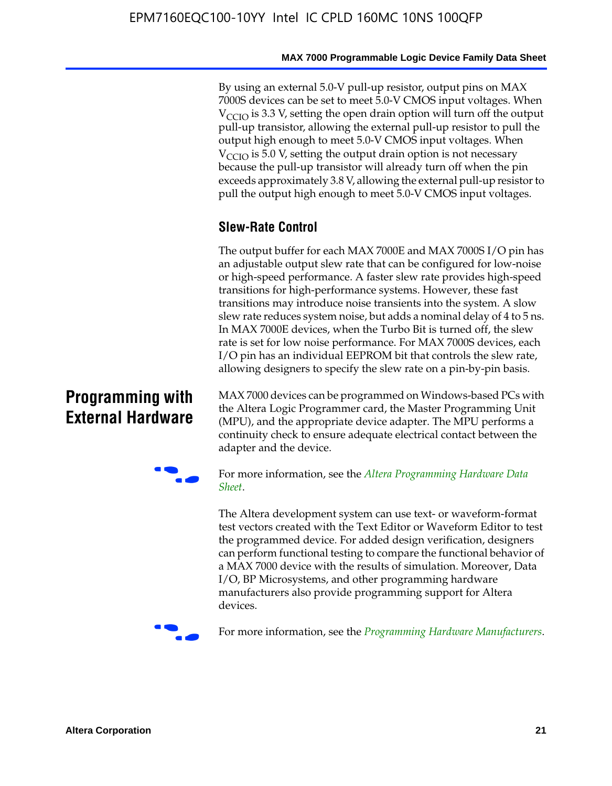By using an external 5.0-V pull-up resistor, output pins on MAX 7000S devices can be set to meet 5.0-V CMOS input voltages. When  $V_{\text{CCIO}}$  is 3.3 V, setting the open drain option will turn off the output pull-up transistor, allowing the external pull-up resistor to pull the output high enough to meet 5.0-V CMOS input voltages. When  $V_{\text{CCIO}}$  is 5.0 V, setting the output drain option is not necessary because the pull-up transistor will already turn off when the pin exceeds approximately 3.8 V, allowing the external pull-up resistor to pull the output high enough to meet 5.0-V CMOS input voltages.

# **Slew-Rate Control**

The output buffer for each MAX 7000E and MAX 7000S I/O pin has an adjustable output slew rate that can be configured for low-noise or high-speed performance. A faster slew rate provides high-speed transitions for high-performance systems. However, these fast transitions may introduce noise transients into the system. A slow slew rate reduces system noise, but adds a nominal delay of 4 to 5 ns. In MAX 7000E devices, when the Turbo Bit is turned off, the slew rate is set for low noise performance. For MAX 7000S devices, each I/O pin has an individual EEPROM bit that controls the slew rate, allowing designers to specify the slew rate on a pin-by-pin basis.

# **Programming with External Hardware**

[MAX](http://www.altera.com/literature/ds/dspghd.pdf) 7000 devices can be prog[rammed on Windows-based PCs with](http://www.altera.com/literature/ds/dspghd.pdf)  the Altera Logic Programmer card, the Master Programming Unit (MPU), and the appropriate device adapter. The MPU performs a continuity check to ensure adequate electrical contact between the adapter and the device.



For more information, see the *Altera Programming Hardware Data Sheet*.

The Altera development system can use text- or waveform-format test vectors created with the Text Editor or Waveform Editor to test the programmed device. For added design verification, designers can perform functional testing to compare the functional behavior of a MAX 7000 device with the results of simulation. Moreover, Data I/O, BP Microsystems, and other programming hardware manufacturers also provide programming support for Altera devices.



For more information, see the *Programming Hardware Manufacturers*.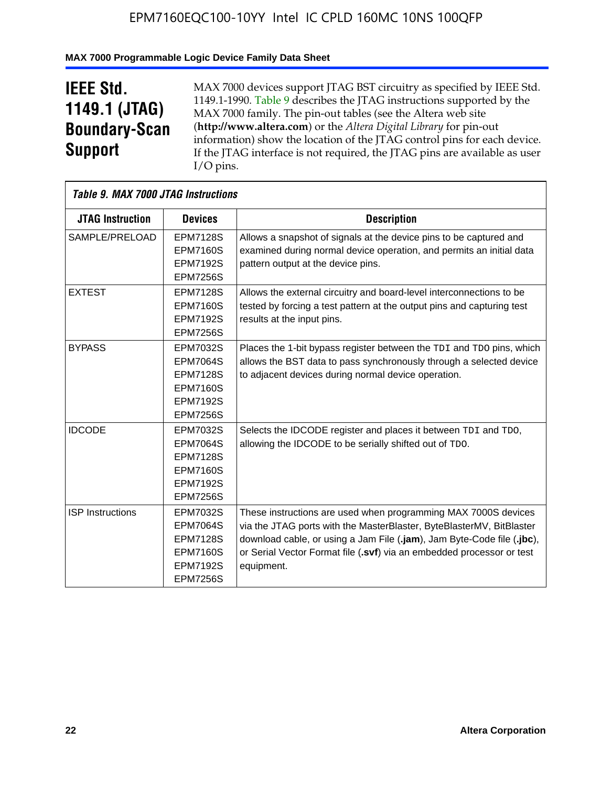# **MAX 7000 Programmable Logic Device Family Data Sheet**

# **IEEE Std. 1149.1 (JTAG) Boundary-Scan Support**

 $\mathsf{r}$ 

MAX 7000 devices support JTAG BST circuitry as specified by IEEE Std. 1149.1-1990. Table 9 describes the JTAG instructions supported by the MAX 7000 family. The pin-out tables (see the Altera web site (**http://www.altera.com**) or the *Altera Digital Library* for pin-out information) show the location of the JTAG control pins for each device. If the JTAG interface is not required, the JTAG pins are available as user I/O pins.

|                         | Table 9. MAX 7000 JTAG Instructions                                                                            |                                                                                                                                                                                                                                                                                                         |  |  |  |  |  |  |
|-------------------------|----------------------------------------------------------------------------------------------------------------|---------------------------------------------------------------------------------------------------------------------------------------------------------------------------------------------------------------------------------------------------------------------------------------------------------|--|--|--|--|--|--|
| <b>JTAG Instruction</b> | <b>Devices</b>                                                                                                 | <b>Description</b>                                                                                                                                                                                                                                                                                      |  |  |  |  |  |  |
| SAMPLE/PRELOAD          | <b>EPM7128S</b><br><b>EPM7160S</b><br><b>EPM7192S</b><br><b>EPM7256S</b>                                       | Allows a snapshot of signals at the device pins to be captured and<br>examined during normal device operation, and permits an initial data<br>pattern output at the device pins.                                                                                                                        |  |  |  |  |  |  |
| <b>EXTEST</b>           | <b>EPM7128S</b><br><b>EPM7160S</b><br><b>EPM7192S</b><br><b>EPM7256S</b>                                       | Allows the external circuitry and board-level interconnections to be<br>tested by forcing a test pattern at the output pins and capturing test<br>results at the input pins.                                                                                                                            |  |  |  |  |  |  |
| <b>BYPASS</b>           | EPM7032S<br><b>EPM7064S</b><br><b>EPM7128S</b><br><b>EPM7160S</b><br><b>EPM7192S</b><br><b>EPM7256S</b>        | Places the 1-bit bypass register between the TDI and TDO pins, which<br>allows the BST data to pass synchronously through a selected device<br>to adjacent devices during normal device operation.                                                                                                      |  |  |  |  |  |  |
| <b>IDCODE</b>           | <b>EPM7032S</b><br><b>EPM7064S</b><br><b>EPM7128S</b><br><b>EPM7160S</b><br><b>EPM7192S</b><br><b>EPM7256S</b> | Selects the IDCODE register and places it between TDI and TDO,<br>allowing the IDCODE to be serially shifted out of TDO.                                                                                                                                                                                |  |  |  |  |  |  |
| <b>ISP</b> Instructions | EPM7032S<br><b>EPM7064S</b><br><b>EPM7128S</b><br><b>EPM7160S</b><br><b>EPM7192S</b><br><b>EPM7256S</b>        | These instructions are used when programming MAX 7000S devices<br>via the JTAG ports with the MasterBlaster, ByteBlasterMV, BitBlaster<br>download cable, or using a Jam File (.jam), Jam Byte-Code file (.jbc),<br>or Serial Vector Format file (.svf) via an embedded processor or test<br>equipment. |  |  |  |  |  |  |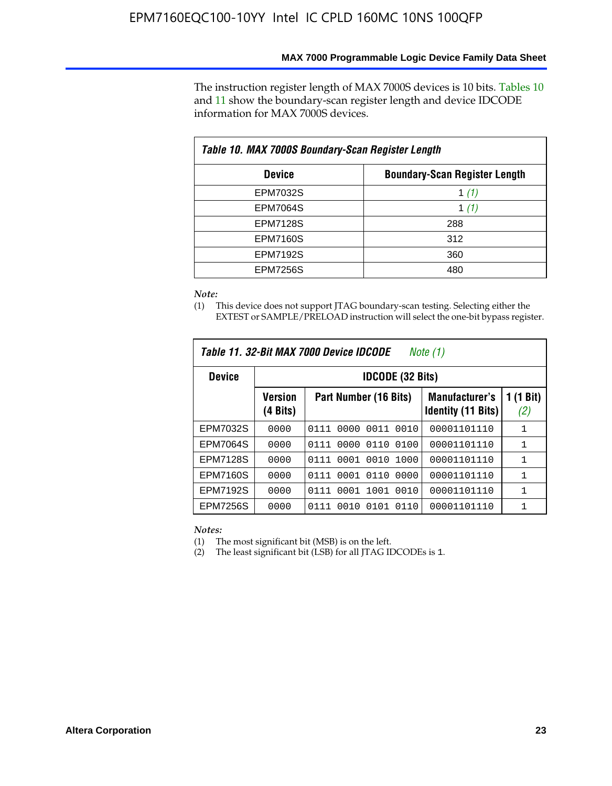The instruction register length of MAX 7000S devices is 10 bits. Tables 10 and 11 show the boundary-scan register length and device IDCODE information for MAX 7000S devices.

| Table 10. MAX 7000S Boundary-Scan Register Length     |         |  |  |  |  |  |
|-------------------------------------------------------|---------|--|--|--|--|--|
| <b>Boundary-Scan Register Length</b><br><b>Device</b> |         |  |  |  |  |  |
| EPM7032S                                              | 1 $(1)$ |  |  |  |  |  |
| <b>EPM7064S</b>                                       | 1 $(1)$ |  |  |  |  |  |
| <b>EPM7128S</b>                                       | 288     |  |  |  |  |  |
| <b>EPM7160S</b>                                       | 312     |  |  |  |  |  |
| <b>EPM7192S</b>                                       | 360     |  |  |  |  |  |
| <b>EPM7256S</b>                                       | 480     |  |  |  |  |  |

*Note:*

(1) This device does not support JTAG boundary-scan testing. Selecting either the EXTEST or SAMPLE/PRELOAD instruction will select the one-bit bypass register.

| Table 11, 32-Bit MAX 7000 Device IDCODE<br>Note (1) |                            |                              |                                                    |                  |  |  |  |  |
|-----------------------------------------------------|----------------------------|------------------------------|----------------------------------------------------|------------------|--|--|--|--|
| <b>Device</b>                                       |                            | <b>IDCODE (32 Bits)</b>      |                                                    |                  |  |  |  |  |
|                                                     | <b>Version</b><br>(4 Bits) | Part Number (16 Bits)        | <b>Manufacturer's</b><br><b>Identity (11 Bits)</b> | 1 (1 Bit)<br>(2) |  |  |  |  |
| EPM7032S                                            | 0000                       | 0010<br>0111<br>0000<br>0011 | 00001101110                                        | 1                |  |  |  |  |
| <b>EPM7064S</b>                                     | 0000                       | 0000<br>0110<br>0100<br>0111 | 00001101110                                        | 1                |  |  |  |  |
| <b>EPM7128S</b>                                     | 0000                       | 0001 0010<br>1000<br>0111    | 00001101110                                        | 1                |  |  |  |  |
| <b>EPM7160S</b>                                     | 0000                       | 0001<br>0110<br>0000<br>0111 | 00001101110                                        | $\mathbf{1}$     |  |  |  |  |
| <b>EPM7192S</b>                                     | 0000                       | 1001<br>0010<br>0111<br>0001 | 00001101110                                        | 1                |  |  |  |  |
| EPM7256S                                            | 0000                       | 0111<br>0010<br>0101<br>0110 | 00001101110                                        | 1                |  |  |  |  |

*Notes:*

(1) The most significant bit (MSB) is on the left.

(2) The least significant bit (LSB) for all JTAG IDCODEs is 1.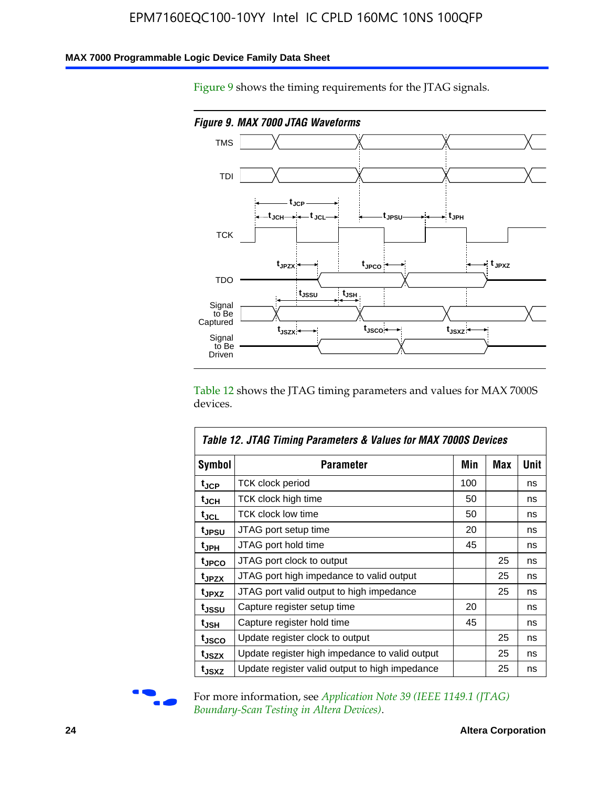### **MAX 7000 Programmable Logic Device Family Data Sheet**

Figure 9 shows the timing requirements for the JTAG signals.



Table 12 shows the JTAG timing parameters and values for MAX 7000S devices.

|                   | Table 12. JTAG Timing Parameters & Values for MAX 7000S Devices |     |     |      |  |  |  |  |  |
|-------------------|-----------------------------------------------------------------|-----|-----|------|--|--|--|--|--|
| <b>Symbol</b>     | Parameter                                                       | Min | Max | Unit |  |  |  |  |  |
| t <sub>JCP</sub>  | TCK clock period                                                | 100 |     | ns   |  |  |  |  |  |
| t <sub>JCH</sub>  | TCK clock high time                                             | 50  |     | ns   |  |  |  |  |  |
| $t_{JCL}$         | <b>TCK clock low time</b>                                       | 50  |     | ns   |  |  |  |  |  |
| tjpsu             | JTAG port setup time                                            | 20  |     | ns   |  |  |  |  |  |
| t <sub>JPH</sub>  | JTAG port hold time                                             | 45  |     | ns   |  |  |  |  |  |
| tjpco             | JTAG port clock to output                                       |     | 25  | ns   |  |  |  |  |  |
| t <sub>JPZX</sub> | JTAG port high impedance to valid output                        |     | 25  | ns   |  |  |  |  |  |
| t <sub>JPXZ</sub> | JTAG port valid output to high impedance                        |     | 25  | ns   |  |  |  |  |  |
| tjssu             | Capture register setup time                                     | 20  |     | ns   |  |  |  |  |  |
| t <sub>JSH</sub>  | Capture register hold time                                      | 45  |     | ns   |  |  |  |  |  |
| tjsco             | Update register clock to output                                 |     | 25  | ns   |  |  |  |  |  |
| t <sub>JSZX</sub> | Update register high impedance to valid output                  |     | 25  | ns   |  |  |  |  |  |
| tjsxz             | Update register valid output to high impedance                  |     | 25  | ns   |  |  |  |  |  |



For more information, see *Application Note 39 (IEEE 1149.1 (JTAG) Boundary-Scan Testing in Altera Devices)*.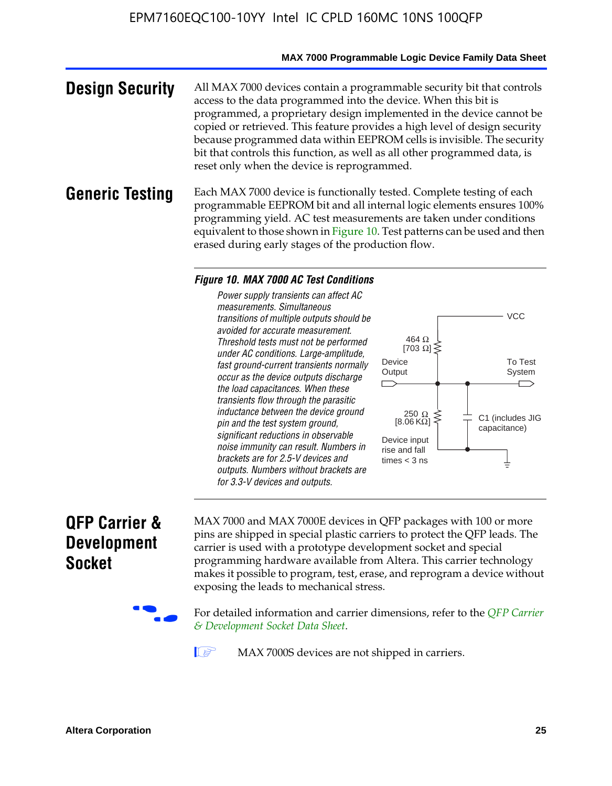### **MAX 7000 Programmable Logic Device Family Data Sheet**

**Design Security** All MAX 7000 devices contain a programmable security bit that controls access to the data programmed into the device. When this bit is programmed, a proprietary design implemented in the device cannot be copied or retrieved. This feature provides a high level of design security because programmed data within EEPROM cells is invisible. The security bit that controls this function, as well as all other programmed data, is reset only when the device is reprogrammed.

### **Generic Testing** Each MAX 7000 device is functionally tested. Complete testing of each programmable EEPROM bit and all internal logic elements ensures 100% programming yield. AC test measurements are taken under conditions equivalent to those shown in Figure 10. Test patterns can be used and then erased during early stages of the production flow.

#### *Figure 10. MAX 7000 AC Test Conditions*

*Power supply transients can affect AC measurements. Simultaneous transitions of multiple outputs should be avoided for accurate measurement. Threshold tests must not be performed under AC conditions. Large-amplitude, fast ground-current transients normally occur as the device outputs discharge the load capacitances. When these transients flow through the parasitic inductance between the device ground pin and the test system ground, significant reductions in observable noise immunity can result. Numbers in brackets are for 2.5-V devices and outputs. Numbers without brackets are for 3.3-V devices and outputs.*



# **QFP Carrier & Development Socket**

MAX 7000 and MAX 7000E devices in QFP packages with 10[0 or more](http://www.altera.com/literature/ds/dsqfp.pdf)  [pins are shipped in special plas](http://www.altera.com/literature/ds/dsqfp.pdf)tic carriers to protect the QFP leads. The carrier is used with a prototype development socket and special programming hardware available from Altera. This carrier technology makes it possible to program, test, erase, and reprogram a device without exposing the leads to mechanical stress.

For detailed information and carrier dimensions, refer to the *QFP Carrier & Development Socket Data Sheet*.

MAX 7000S devices are not shipped in carriers.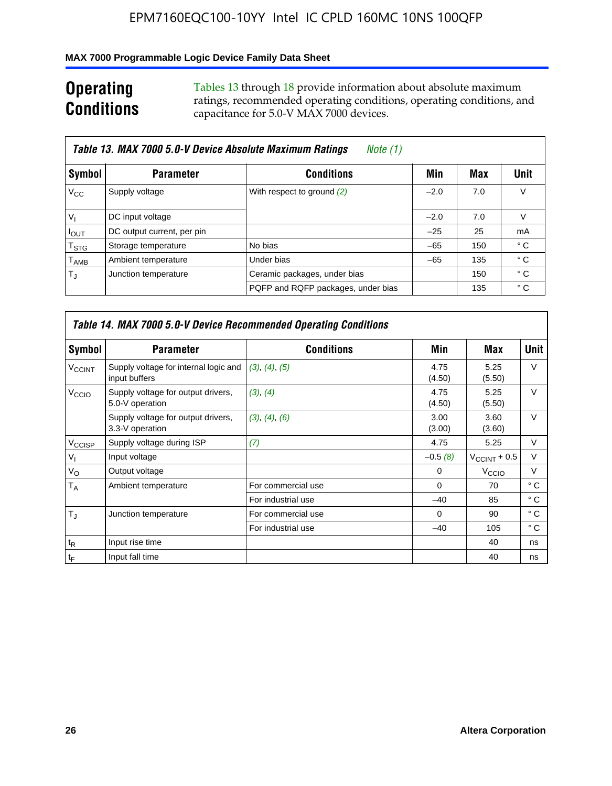### **MAX 7000 Programmable Logic Device Family Data Sheet**

# **Operating Conditions**

Tables 13 through 18 provide information about absolute maximum ratings, recommended operating conditions, operating conditions, and capacitance for 5.0-V MAX 7000 devices.

|                             | Table 13. MAX 7000 5.0-V Device Absolute Maximum Ratings<br>Note (1) |                                    |        |     |      |  |  |  |  |  |  |
|-----------------------------|----------------------------------------------------------------------|------------------------------------|--------|-----|------|--|--|--|--|--|--|
| Symbol                      | <b>Parameter</b>                                                     | <b>Conditions</b>                  | Min    | Max | Unit |  |  |  |  |  |  |
| $V_{\rm CC}$                | Supply voltage                                                       | With respect to ground (2)         | $-2.0$ | 7.0 | V    |  |  |  |  |  |  |
| $V_{1}$                     | DC input voltage                                                     |                                    | $-2.0$ | 7.0 | V    |  |  |  |  |  |  |
| $I_{\text{OUT}}$            | DC output current, per pin                                           |                                    | $-25$  | 25  | mA   |  |  |  |  |  |  |
| $\mathsf{T}_{\text{STG}}$   | Storage temperature                                                  | No bias                            | $-65$  | 150 | ° C  |  |  |  |  |  |  |
| $\mathsf{T}_{\mathsf{AMB}}$ | Ambient temperature                                                  | Under bias                         | $-65$  | 135 | ° C  |  |  |  |  |  |  |
| $T_{\rm J}$                 | Junction temperature                                                 | Ceramic packages, under bias       |        | 150 | ° C  |  |  |  |  |  |  |
|                             |                                                                      | PQFP and RQFP packages, under bias |        | 135 | ° C  |  |  |  |  |  |  |

|                          |                                                        | Table 14. MAX 7000 5.0-V Device Recommended Operating Conditions |                |                          |              |
|--------------------------|--------------------------------------------------------|------------------------------------------------------------------|----------------|--------------------------|--------------|
| Symbol                   | <b>Parameter</b>                                       | <b>Conditions</b>                                                | Min            | Max                      | Unit         |
| <b>V<sub>CCINT</sub></b> | Supply voltage for internal logic and<br>input buffers | (3), (4), (5)                                                    | 4.75<br>(4.50) | 5.25<br>(5.50)           | $\vee$       |
| V <sub>CCIO</sub>        | Supply voltage for output drivers,<br>5.0-V operation  | (3), (4)                                                         | 4.75<br>(4.50) | 5.25<br>(5.50)           | $\vee$       |
|                          | Supply voltage for output drivers,<br>3.3-V operation  | (3), (4), (6)                                                    | 3.00<br>(3.00) | 3.60<br>(3.60)           | $\vee$       |
| V <sub>CCISP</sub>       | Supply voltage during ISP                              | (7)                                                              | 4.75           | 5.25                     | V            |
| $V_{1}$                  | Input voltage                                          |                                                                  | $-0.5(8)$      | $V_{\text{CCINT}} + 0.5$ | $\vee$       |
| $V_{\rm O}$              | Output voltage                                         |                                                                  | 0              | V <sub>CCIO</sub>        | V            |
| T <sub>A</sub>           | Ambient temperature                                    | For commercial use                                               | $\Omega$       | 70                       | $^{\circ}$ C |
|                          |                                                        | For industrial use                                               | $-40$          | 85                       | °C           |
| $T_{\rm d}$              | Junction temperature                                   | For commercial use                                               | $\Omega$       | 90                       | ° C          |
|                          |                                                        | For industrial use                                               | $-40$          | 105                      | $^{\circ}$ C |
| $t_{R}$                  | Input rise time                                        |                                                                  |                | 40                       | ns           |
| $t_F$                    | Input fall time                                        |                                                                  |                | 40                       | ns           |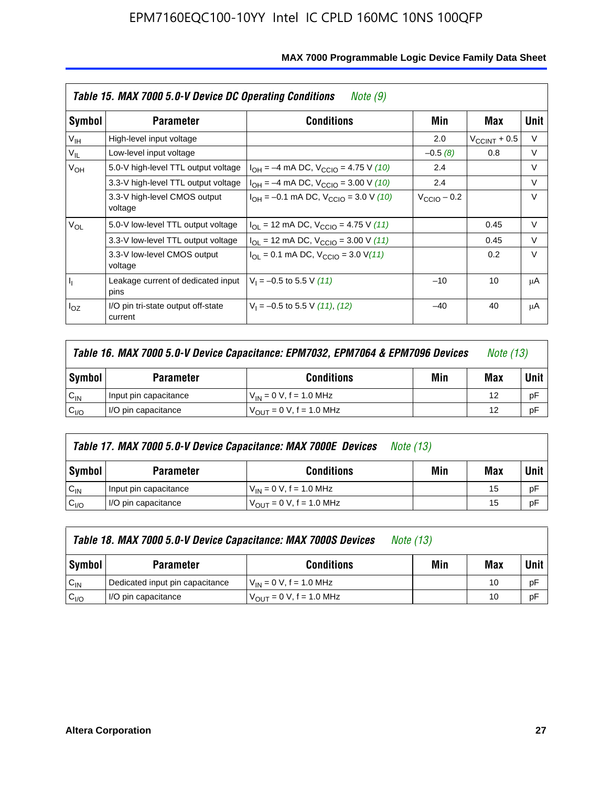|                 | Table 15. MAX 7000 5.0-V Device DC Operating Conditions<br>Note (9) |                                                                           |                 |                       |        |  |  |  |  |  |  |  |
|-----------------|---------------------------------------------------------------------|---------------------------------------------------------------------------|-----------------|-----------------------|--------|--|--|--|--|--|--|--|
| Symbol          | <b>Parameter</b>                                                    | <b>Conditions</b>                                                         | Min             | Max                   | Unit   |  |  |  |  |  |  |  |
| V <sub>IH</sub> | High-level input voltage                                            |                                                                           | 2.0             | $V_{\rm CCINT}$ + 0.5 | V      |  |  |  |  |  |  |  |
| $V_{IL}$        | Low-level input voltage                                             |                                                                           | $-0.5(8)$       | 0.8                   | V      |  |  |  |  |  |  |  |
| $V_{OH}$        | 5.0-V high-level TTL output voltage                                 | $I_{OH} = -4$ mA DC, $V_{CClO} = 4.75$ V (10)                             | 2.4             |                       | V      |  |  |  |  |  |  |  |
|                 | 3.3-V high-level TTL output voltage                                 | $I_{OH} = -4$ mA DC, $V_{CClO} = 3.00$ V (10)                             | 2.4             |                       | V      |  |  |  |  |  |  |  |
|                 | 3.3-V high-level CMOS output<br>voltage                             | $I_{OH} = -0.1$ mA DC, $V_{CClO} = 3.0$ V (10)                            | $V_{CCD}$ – 0.2 |                       | $\vee$ |  |  |  |  |  |  |  |
| $V_{OL}$        | 5.0-V low-level TTL output voltage                                  | $I_{\text{OI}}$ = 12 mA DC, $V_{\text{CCIO}}$ = 4.75 V (11)               |                 | 0.45                  | V      |  |  |  |  |  |  |  |
|                 | 3.3-V low-level TTL output voltage                                  | $I_{OL}$ = 12 mA DC, $V_{CCIO}$ = 3.00 V (11)                             |                 | 0.45                  | $\vee$ |  |  |  |  |  |  |  |
|                 | 3.3-V low-level CMOS output<br>voltage                              | $I_{\text{OI}} = 0.1 \text{ mA DC}, V_{\text{CCIO}} = 3.0 \text{ V} (11)$ |                 | 0.2                   | $\vee$ |  |  |  |  |  |  |  |
| 4               | Leakage current of dedicated input<br>pins                          | $V_1 = -0.5$ to 5.5 V (11)                                                | $-10$           | 10                    | μA     |  |  |  |  |  |  |  |
| $I_{OZ}$        | I/O pin tri-state output off-state<br>current                       | $V_1 = -0.5$ to 5.5 V (11), (12)                                          | $-40$           | 40                    | μA     |  |  |  |  |  |  |  |

| Table 16. MAX 7000 5.0-V Device Capacitance: EPM7032, EPM7064 & EPM7096 Devices |                       |                                     |     |     |             |
|---------------------------------------------------------------------------------|-----------------------|-------------------------------------|-----|-----|-------------|
| Symbol                                                                          | <b>Parameter</b>      | <b>Conditions</b>                   | Min | Max | <b>Unit</b> |
| $C_{IN}$                                                                        | Input pin capacitance | $V_{IN} = 0 V$ , f = 1.0 MHz        |     | 12  | рF          |
| C <sub>I/O</sub>                                                                | I/O pin capacitance   | $V_{\text{OUT}} = 0$ V, f = 1.0 MHz |     | 12  | рF          |

|                  | Table 17. MAX 7000 5.0-V Device Capacitance: MAX 7000E Devices<br><i>Note (13)</i> |                                |     |     |        |  |  |  |
|------------------|------------------------------------------------------------------------------------|--------------------------------|-----|-----|--------|--|--|--|
| Symbol           | <b>Parameter</b>                                                                   | <b>Conditions</b>              | Min | Max | Unit I |  |  |  |
| $C_{IN}$         | Input pin capacitance                                                              | $V_{1N} = 0 V$ , f = 1.0 MHz   |     | 15  | pF     |  |  |  |
| C <sub>I/O</sub> | I/O pin capacitance                                                                | $V_{OIII} = 0 V$ , f = 1.0 MHz |     | 15  | pF     |  |  |  |

|                  | Table 18. MAX 7000 5.0-V Device Capacitance: MAX 7000S Devices<br><i>Note (13)</i> |                                     |     |     |        |  |  |
|------------------|------------------------------------------------------------------------------------|-------------------------------------|-----|-----|--------|--|--|
| Symbol           | <b>Parameter</b>                                                                   | <b>Conditions</b>                   | Min | Max | Unit I |  |  |
| $C_{IN}$         | Dedicated input pin capacitance                                                    | $V_{IN} = 0 V$ , f = 1.0 MHz        |     | 10  | pF     |  |  |
| C <sub>I/O</sub> | I/O pin capacitance                                                                | $V_{\text{OUT}} = 0$ V, f = 1.0 MHz |     | 10  | pF     |  |  |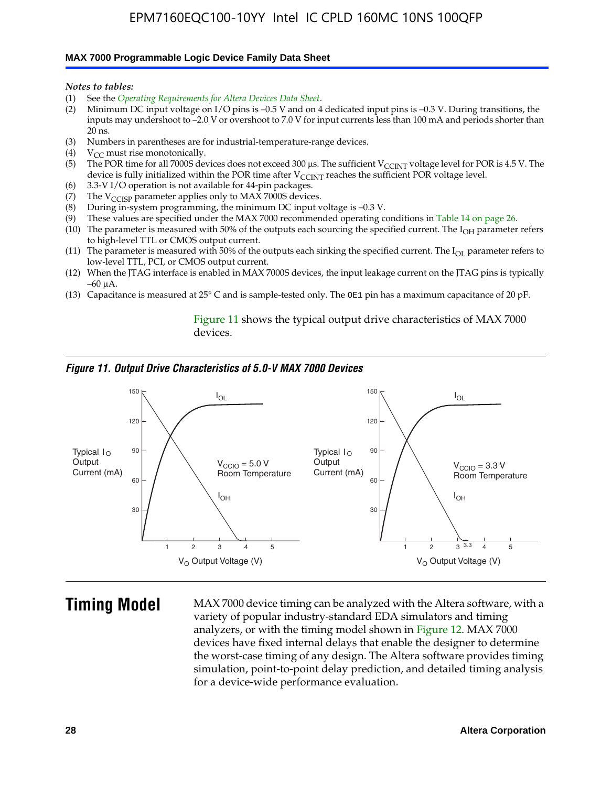#### **MAX 7000 Programmable Logic Device Family Data Sheet**

*Notes to tables:*

- (1) See the *Operating Requirements for Altera Devices Data Sheet*.
- (2) Minimum DC input voltage on I/O pins is –0.5 V and on 4 dedicated input pins is –0.3 V. During transitions, the inputs may undershoot to –2.0 V or overshoot to 7.0 V for input currents less than 100 mA and periods shorter than  $20$  ns.
- (3) Numbers in parentheses are for industrial-temperature-range devices.
- (4)  $V_{CC}$  must rise monotonically.
- (5) The POR time for all 7000S devices does not exceed 300 µs. The sufficient V<sub>CCINT</sub> voltage level for POR is 4.5 V. The device is fully initialized within the POR time after  $V_{\text{CCINT}}$  reaches the sufficient POR voltage level.
- (6) 3.3-V I/O operation is not available for 44-pin packages.
- (7) The  $V_{\text{CCISP}}$  parameter applies only to MAX 7000S devices.
- (8) During in-system programming, the minimum DC input voltage is –0.3 V.
- (9) These values are specified under the MAX 7000 recommended operating conditions in Table 14 on page 26.
- (10) The parameter is measured with 50% of the outputs each sourcing the specified current. The  $I_{OH}$  parameter refers to high-level TTL or CMOS output current.
- (11) The parameter is measured with 50% of the outputs each sinking the specified current. The  $I_{OL}$  parameter refers to low-level TTL, PCI, or CMOS output current.
- (12) When the JTAG interface is enabled in MAX 7000S devices, the input leakage current on the JTAG pins is typically –60 μA.
- (13) Capacitance is measured at 25° C and is sample-tested only. The OE1 pin has a maximum capacitance of 20 pF.

Figure 11 shows the typical output drive characteristics of MAX 7000 devices.

### *Figure 11. Output Drive Characteristics of 5.0-V MAX 7000 Devices*



**Timing Model** MAX 7000 device timing can be analyzed with the Altera software, with a variety of popular industry-standard EDA simulators and timing analyzers, or with the timing model shown in Figure 12. MAX 7000 devices have fixed internal delays that enable the designer to determine the worst-case timing of any design. The Altera software provides timing simulation, point-to-point delay prediction, and detailed timing analysis for a device-wide performance evaluation.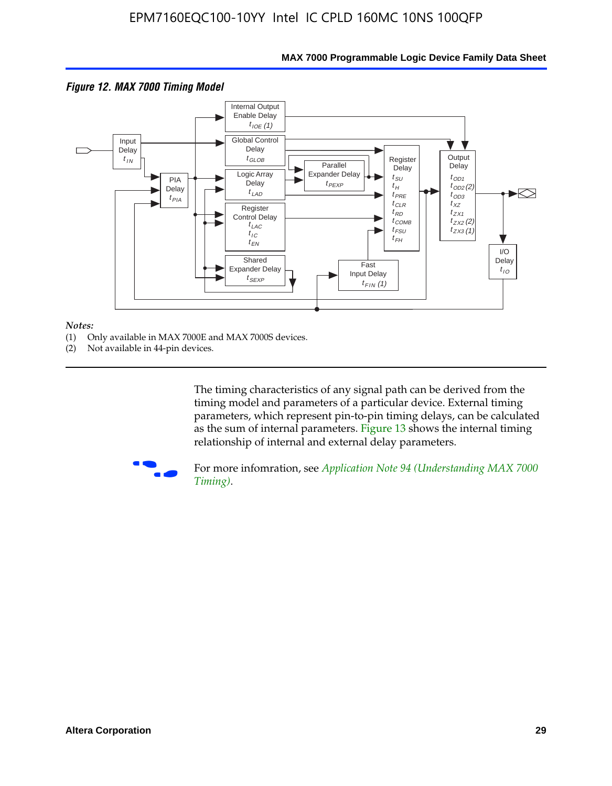

# **MAX 7000 Programmable Logic Device Family Data Sheet**

#### *Notes:*

- (1) Only available in MAX 7000E and MAX 7000S devices.
- (2) Not available in 44-pin devices.

[The tim](http://www.altera.com/literature/an/an094.pdf)ing characteristics [of any signal path can be derived from the](http://www.altera.com/literature/an/an094.pdf)  timing model and parameters of a particular device. External timing parameters, which represent pin-to-pin timing delays, can be calculated as the sum of internal parameters. Figure 13 shows the internal timing relationship of internal and external delay parameters.



For more infomration, see *Application Note 94 (Understanding MAX 7000 Timing)*.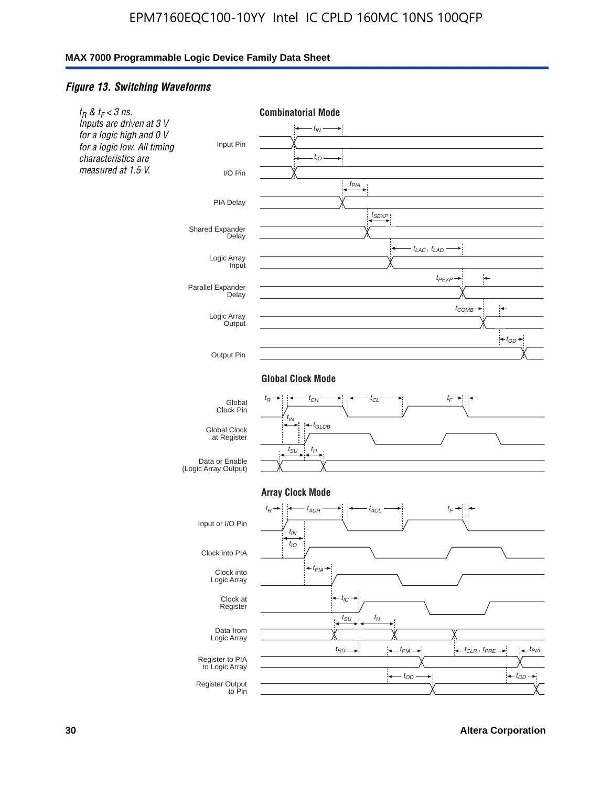### *Figure 13. Switching Waveforms*



**30 Altera Corporation**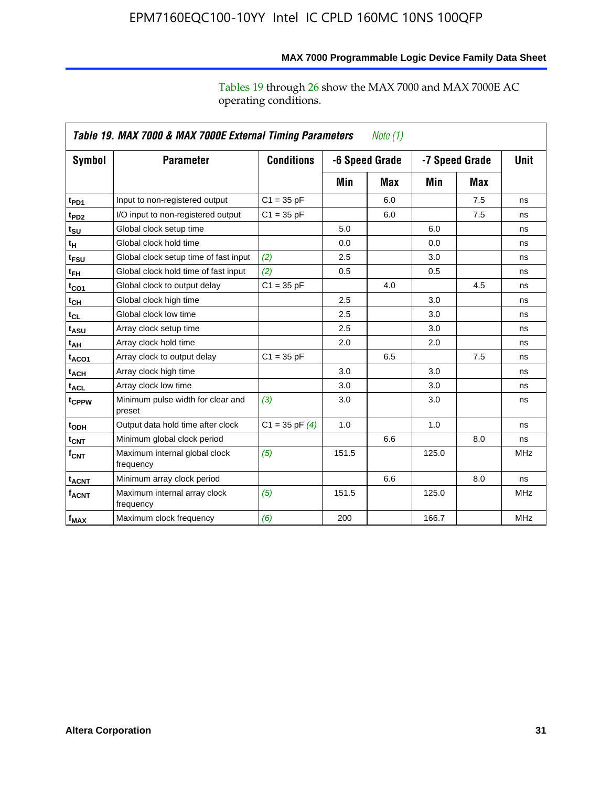operating conditions.

|                   | Table 19. MAX 7000 & MAX 7000E External Timing Parameters<br><i>Note</i> $(1)$ |                    |                |     |       |                |            |  |  |  |
|-------------------|--------------------------------------------------------------------------------|--------------------|----------------|-----|-------|----------------|------------|--|--|--|
| Symbol            | <b>Parameter</b>                                                               | <b>Conditions</b>  | -6 Speed Grade |     |       | -7 Speed Grade | Unit       |  |  |  |
|                   |                                                                                |                    | Min            | Max | Min   | Max            |            |  |  |  |
| t <sub>PD1</sub>  | Input to non-registered output                                                 | $C1 = 35 pF$       |                | 6.0 |       | 7.5            | ns         |  |  |  |
| t <sub>PD2</sub>  | I/O input to non-registered output                                             | $C1 = 35 pF$       |                | 6.0 |       | 7.5            | ns         |  |  |  |
| $t_{\texttt{SU}}$ | Global clock setup time                                                        |                    | 5.0            |     | 6.0   |                | ns         |  |  |  |
| $t_H$             | Global clock hold time                                                         |                    | 0.0            |     | 0.0   |                | ns         |  |  |  |
| t <sub>FSU</sub>  | Global clock setup time of fast input                                          | (2)                | 2.5            |     | 3.0   |                | ns         |  |  |  |
| $t_{FH}$          | Global clock hold time of fast input                                           | (2)                | 0.5            |     | 0.5   |                | ns         |  |  |  |
| $t_{CO1}$         | Global clock to output delay                                                   | $C1 = 35 pF$       |                | 4.0 |       | 4.5            | ns         |  |  |  |
| $t_{\mathsf{CH}}$ | Global clock high time                                                         |                    | 2.5            |     | 3.0   |                | ns         |  |  |  |
| $t_{CL}$          | Global clock low time                                                          |                    | 2.5            |     | 3.0   |                | ns         |  |  |  |
| t <sub>ASU</sub>  | Array clock setup time                                                         |                    | 2.5            |     | 3.0   |                | ns         |  |  |  |
| t <sub>АН</sub>   | Array clock hold time                                                          |                    | 2.0            |     | 2.0   |                | ns         |  |  |  |
| t <sub>ACO1</sub> | Array clock to output delay                                                    | $C1 = 35 pF$       |                | 6.5 |       | 7.5            | ns         |  |  |  |
| $t_{ACH}$         | Array clock high time                                                          |                    | 3.0            |     | 3.0   |                | ns         |  |  |  |
| $t_{\sf ACL}$     | Array clock low time                                                           |                    | 3.0            |     | 3.0   |                | ns         |  |  |  |
| t <sub>CPPW</sub> | Minimum pulse width for clear and<br>preset                                    | (3)                | 3.0            |     | 3.0   |                | ns         |  |  |  |
| t <sub>ODH</sub>  | Output data hold time after clock                                              | $C1 = 35$ pF $(4)$ | 1.0            |     | 1.0   |                | ns         |  |  |  |
| $t_{\text{CNT}}$  | Minimum global clock period                                                    |                    |                | 6.6 |       | 8.0            | ns         |  |  |  |
| $f_{\text{CNT}}$  | Maximum internal global clock<br>frequency                                     | (5)                | 151.5          |     | 125.0 |                | <b>MHz</b> |  |  |  |
| t <sub>ACNT</sub> | Minimum array clock period                                                     |                    |                | 6.6 |       | 8.0            | ns         |  |  |  |
| f <sub>ACNT</sub> | Maximum internal array clock<br>frequency                                      | (5)                | 151.5          |     | 125.0 |                | <b>MHz</b> |  |  |  |
| $f_{MAX}$         | Maximum clock frequency                                                        | (6)                | 200            |     | 166.7 |                | <b>MHz</b> |  |  |  |

**MAX 7000 Programmable Logic Device Family Data Sheet**

Tables 19 through 26 show the MAX 7000 and MAX 7000E AC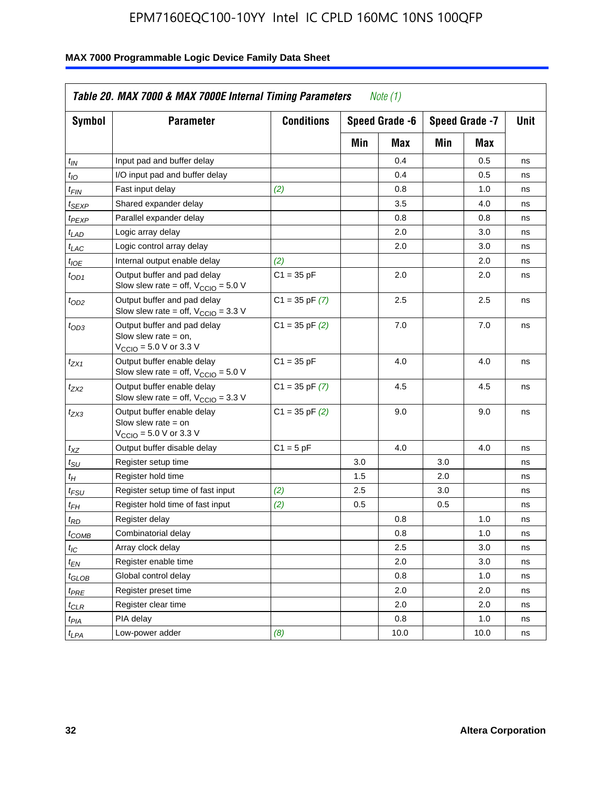| <b>Symbol</b>               | <b>Parameter</b>                                                                                             | <b>Conditions</b>  |     | Speed Grade -6 |     | Speed Grade -7 | Unit |
|-----------------------------|--------------------------------------------------------------------------------------------------------------|--------------------|-----|----------------|-----|----------------|------|
|                             |                                                                                                              |                    | Min | Max            | Min | Max            |      |
| $t_{\mathsf{IN}}$           | Input pad and buffer delay                                                                                   |                    |     | 0.4            |     | 0.5            | ns   |
| tιo                         | I/O input pad and buffer delay                                                                               |                    |     | 0.4            |     | 0.5            | ns   |
| t <sub>FIN</sub>            | Fast input delay                                                                                             | (2)                |     | 0.8            |     | 1.0            | ns   |
| <sup>t</sup> SEXP           | Shared expander delay                                                                                        |                    |     | 3.5            |     | 4.0            | ns   |
| t <sub>PEXP</sub>           | Parallel expander delay                                                                                      |                    |     | 0.8            |     | 0.8            | ns   |
| t <sub>LAD</sub>            | Logic array delay                                                                                            |                    |     | 2.0            |     | 3.0            | ns   |
| $t_{LAC}$                   | Logic control array delay                                                                                    |                    |     | 2.0            |     | 3.0            | ns   |
| t <sub>IOE</sub>            | Internal output enable delay                                                                                 | (2)                |     |                |     | 2.0            | ns   |
| $t_{OD1}$                   | Output buffer and pad delay<br>Slow slew rate = off, $V_{\text{CCIO}} = 5.0 \text{ V}$                       | $C1 = 35 pF$       |     | 2.0            |     | 2.0            | ns   |
| $t_{OD2}$                   | Output buffer and pad delay<br>Slow slew rate = off, $V_{\text{CCIO}} = 3.3$ V                               | $C1 = 35$ pF $(7)$ |     | 2.5            |     | 2.5            | ns   |
| $t_{OD3}$                   | Output buffer and pad delay<br>Slow slew rate $=$ on,<br>$V_{\text{CCIO}} = 5.0 \text{ V or } 3.3 \text{ V}$ | $C1 = 35$ pF $(2)$ |     | 7.0            |     | 7.0            | ns   |
| tzx1                        | Output buffer enable delay<br>Slow slew rate = off, $V_{\text{CCIO}} = 5.0 V$                                | $C1 = 35 pF$       |     | 4.0            |     | 4.0            | ns   |
| t <sub>ZX2</sub>            | Output buffer enable delay<br>Slow slew rate = off, $V_{\text{CCIO}} = 3.3 \text{ V}$                        | $C1 = 35$ pF $(7)$ |     | 4.5            |     | 4.5            | ns   |
| tzx3                        | Output buffer enable delay<br>Slow slew rate $=$ on<br>$V_{\text{CCIO}} = 5.0 \text{ V or } 3.3 \text{ V}$   | $C1 = 35$ pF $(2)$ |     | 9.0            |     | 9.0            | ns   |
| $t_{\mathsf{XZ}}$           | Output buffer disable delay                                                                                  | $C1 = 5pF$         |     | 4.0            |     | 4.0            | ns   |
| $t_{\scriptstyle\text{SU}}$ | Register setup time                                                                                          |                    | 3.0 |                | 3.0 |                | ns   |
| $t_H$                       | Register hold time                                                                                           |                    | 1.5 |                | 2.0 |                | ns   |
| t <sub>FSU</sub>            | Register setup time of fast input                                                                            | (2)                | 2.5 |                | 3.0 |                | ns   |
| t <sub>FH</sub>             | Register hold time of fast input                                                                             | (2)                | 0.5 |                | 0.5 |                | ns   |
| t <sub>RD</sub>             | Register delay                                                                                               |                    |     | 0.8            |     | 1.0            | ns   |
| $t_{\mathsf{COMB}}$         | Combinatorial delay                                                                                          |                    |     | 0.8            |     | 1.0            | ns   |
| $t_{IC}$                    | Array clock delay                                                                                            |                    |     | 2.5            |     | 3.0            | ns   |
| t <sub>EN</sub>             | Register enable time                                                                                         |                    |     | 2.0            |     | 3.0            | ns   |
| t <sub>GLOB</sub>           | Global control delay                                                                                         |                    |     | 0.8            |     | 1.0            | ns   |
| $t_{PRE}$                   | Register preset time                                                                                         |                    |     | 2.0            |     | 2.0            | ns   |
| t <sub>CLR</sub>            | Register clear time                                                                                          |                    |     | 2.0            |     | 2.0            | ns   |
| t <sub>PIA</sub>            | PIA delay                                                                                                    |                    |     | 0.8            |     | 1.0            | ns   |
| $t_{LPA}$                   | Low-power adder                                                                                              | (8)                |     | 10.0           |     | 10.0           | ns   |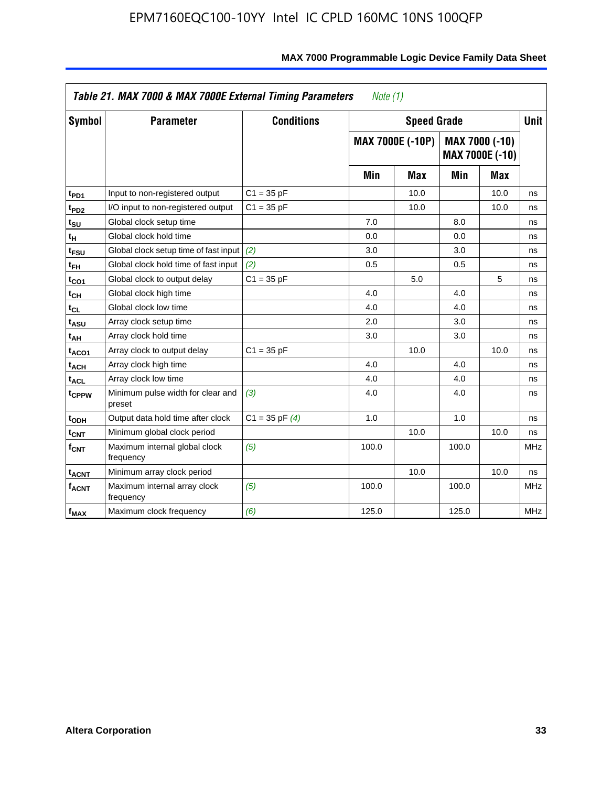|                         | Table 21. MAX 7000 & MAX 7000E External Timing Parameters |                    | Note $(1)$ |                         |                                          |      |             |
|-------------------------|-----------------------------------------------------------|--------------------|------------|-------------------------|------------------------------------------|------|-------------|
| Symbol                  | <b>Parameter</b>                                          | <b>Conditions</b>  |            | <b>Speed Grade</b>      |                                          |      | <b>Unit</b> |
|                         |                                                           |                    |            | <b>MAX 7000E (-10P)</b> | MAX 7000 (-10)<br><b>MAX 7000E (-10)</b> |      |             |
|                         |                                                           |                    | Min        | Max                     | Min                                      | Max  |             |
| t <sub>PD1</sub>        | Input to non-registered output                            | $C1 = 35 pF$       |            | 10.0                    |                                          | 10.0 | ns          |
| t <sub>PD2</sub>        | I/O input to non-registered output                        | $C1 = 35 pF$       |            | 10.0                    |                                          | 10.0 | ns          |
| t <sub>SU</sub>         | Global clock setup time                                   |                    | 7.0        |                         | 8.0                                      |      | ns          |
| tμ                      | Global clock hold time                                    |                    | 0.0        |                         | 0.0                                      |      | ns          |
| <sup>t</sup> FSU        | Global clock setup time of fast input                     | (2)                | 3.0        |                         | 3.0                                      |      | ns          |
| $t_{FH}$                | Global clock hold time of fast input                      | (2)                | 0.5        |                         | 0.5                                      |      | ns          |
| t <sub>CO1</sub>        | Global clock to output delay                              | $C1 = 35 pF$       |            | 5.0                     |                                          | 5    | ns          |
| $t_{\mathsf{CH}}$       | Global clock high time                                    |                    | 4.0        |                         | 4.0                                      |      | ns          |
| $t_{CL}$                | Global clock low time                                     |                    | 4.0        |                         | 4.0                                      |      | ns          |
| t <sub>ASU</sub>        | Array clock setup time                                    |                    | 2.0        |                         | 3.0                                      |      | ns          |
| t <sub>АН</sub>         | Array clock hold time                                     |                    | 3.0        |                         | 3.0                                      |      | ns          |
| t <sub>ACO1</sub>       | Array clock to output delay                               | $C1 = 35 pF$       |            | 10.0                    |                                          | 10.0 | ns          |
| t <sub>ACH</sub>        | Array clock high time                                     |                    | 4.0        |                         | 4.0                                      |      | ns          |
| $t_{\sf ACL}$           | Array clock low time                                      |                    | 4.0        |                         | 4.0                                      |      | ns          |
| t <sub>CPPW</sub>       | Minimum pulse width for clear and<br>preset               | (3)                | 4.0        |                         | 4.0                                      |      | ns          |
| t <sub>ODH</sub>        | Output data hold time after clock                         | $C1 = 35$ pF $(4)$ | 1.0        |                         | 1.0                                      |      | ns          |
| $t_{\text{CNT}}$        | Minimum global clock period                               |                    |            | 10.0                    |                                          | 10.0 | ns          |
| f <sub>CNT</sub>        | Maximum internal global clock<br>frequency                | (5)                | 100.0      |                         | 100.0                                    |      | <b>MHz</b>  |
| <b>t<sub>ACNT</sub></b> | Minimum array clock period                                |                    |            | 10.0                    |                                          | 10.0 | ns          |
| $f_{ACNT}$              | Maximum internal array clock<br>frequency                 | (5)                | 100.0      |                         | 100.0                                    |      | <b>MHz</b>  |
| f <sub>MAX</sub>        | Maximum clock frequency                                   | (6)                | 125.0      |                         | 125.0                                    |      | <b>MHz</b>  |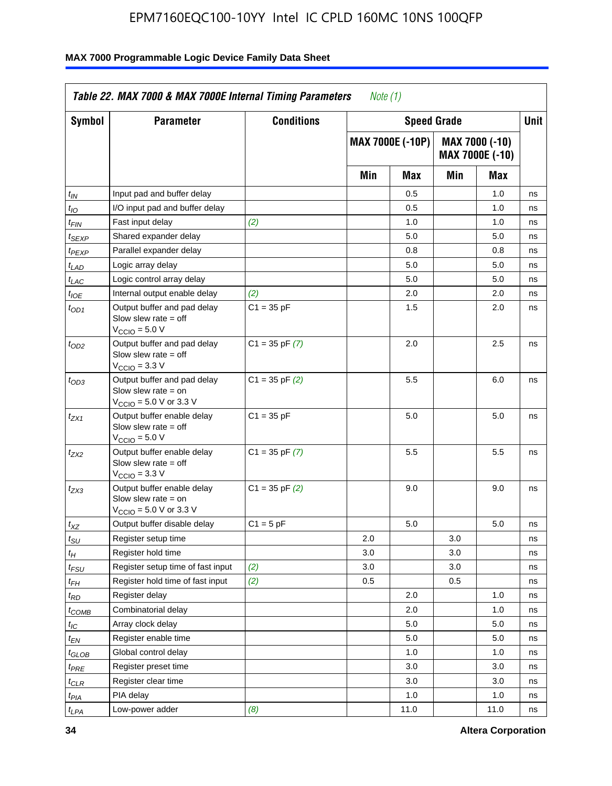| Symbol                      | <b>Parameter</b>                                                                                            | <b>Conditions</b>  |     | <b>Speed Grade</b> |     |                                   | Unit |
|-----------------------------|-------------------------------------------------------------------------------------------------------------|--------------------|-----|--------------------|-----|-----------------------------------|------|
|                             |                                                                                                             |                    |     | MAX 7000E (-10P)   |     | MAX 7000 (-10)<br>MAX 7000E (-10) |      |
|                             |                                                                                                             |                    | Min | Max                | Min | Max                               |      |
| t <sub>IN</sub>             | Input pad and buffer delay                                                                                  |                    |     | 0.5                |     | 1.0                               | ns   |
| $t_{IO}$                    | I/O input pad and buffer delay                                                                              |                    |     | 0.5                |     | 1.0                               | ns   |
| t <sub>FIN</sub>            | Fast input delay                                                                                            | (2)                |     | 1.0                |     | 1.0                               | ns   |
| t <sub>SEXP</sub>           | Shared expander delay                                                                                       |                    |     | 5.0                |     | 5.0                               | ns   |
| t <sub>PEXP</sub>           | Parallel expander delay                                                                                     |                    |     | 0.8                |     | 0.8                               | ns   |
| t <sub>LAD</sub>            | Logic array delay                                                                                           |                    |     | 5.0                |     | 5.0                               | ns   |
| t <sub>LAC</sub>            | Logic control array delay                                                                                   |                    |     | 5.0                |     | 5.0                               | ns   |
| $t_{\mathit{IOE}}$          | Internal output enable delay                                                                                | (2)                |     | 2.0                |     | 2.0                               | ns   |
| $t_{OD1}$                   | Output buffer and pad delay<br>Slow slew rate $=$ off<br>$V_{\text{CCIO}} = 5.0 V$                          | $C1 = 35 pF$       |     | 1.5                |     | 2.0                               | ns   |
| $t_{OD2}$                   | Output buffer and pad delay<br>Slow slew rate $=$ off<br>$VCCIO = 3.3 V$                                    | $C1 = 35$ pF $(7)$ |     | 2.0                |     | 2.5                               | ns   |
| $t_{OD3}$                   | Output buffer and pad delay<br>Slow slew rate $=$ on<br>$V_{\text{CCIO}} = 5.0 \text{ V or } 3.3 \text{ V}$ | $C1 = 35$ pF $(2)$ |     | 5.5                |     | 6.0                               | ns   |
| tzx1                        | Output buffer enable delay<br>Slow slew rate $=$ off<br>$V_{\text{CCIO}} = 5.0 V$                           | $C1 = 35 pF$       |     | 5.0                |     | 5.0                               | ns   |
| t <sub>ZX2</sub>            | Output buffer enable delay<br>Slow slew rate $=$ off<br>$VCCIO = 3.3 V$                                     | $C1 = 35$ pF $(7)$ |     | 5.5                |     | 5.5                               | ns   |
| t <sub>ZX3</sub>            | Output buffer enable delay<br>Slow slew rate $=$ on<br>$V_{\text{CCIO}} = 5.0 \text{ V or } 3.3 \text{ V}$  | $C1 = 35$ pF $(2)$ |     | 9.0                |     | 9.0                               | ns   |
| $t_{\mathsf{XZ}}$           | Output buffer disable delay                                                                                 | $C1 = 5 pF$        |     | 5.0                |     | 5.0                               | ns   |
| $t_{\scriptstyle\text{SU}}$ | Register setup time                                                                                         |                    | 2.0 |                    | 3.0 |                                   | ns   |
| $t_H$                       | Register hold time                                                                                          |                    | 3.0 |                    | 3.0 |                                   | ns   |
| t <sub>FSU</sub>            | Register setup time of fast input                                                                           | (2)                | 3.0 |                    | 3.0 |                                   | ns   |
| t <sub>FH</sub>             | Register hold time of fast input                                                                            | (2)                | 0.5 |                    | 0.5 |                                   | ns   |
| t <sub>RD</sub>             | Register delay                                                                                              |                    |     | 2.0                |     | 1.0                               | ns   |
| $t_{COMB}$                  | Combinatorial delay                                                                                         |                    |     | 2.0                |     | 1.0                               | ns   |
| ЧC                          | Array clock delay                                                                                           |                    |     | 5.0                |     | 5.0                               | ns   |
| $t_{EN}$                    | Register enable time                                                                                        |                    |     | 5.0                |     | 5.0                               | ns   |
| $t_{GLOB}$                  | Global control delay                                                                                        |                    |     | 1.0                |     | 1.0                               | ns   |
| $t_{PRE}$                   | Register preset time                                                                                        |                    |     | 3.0                |     | 3.0                               | ns   |
| $t_{\sf CLR}$               | Register clear time                                                                                         |                    |     | 3.0                |     | 3.0                               | ns   |
| t <sub>PIA</sub>            | PIA delay                                                                                                   |                    |     | 1.0                |     | 1.0                               | ns   |
| $t_{LPA}$                   | Low-power adder                                                                                             | (8)                |     | 11.0               |     | 11.0                              | ns   |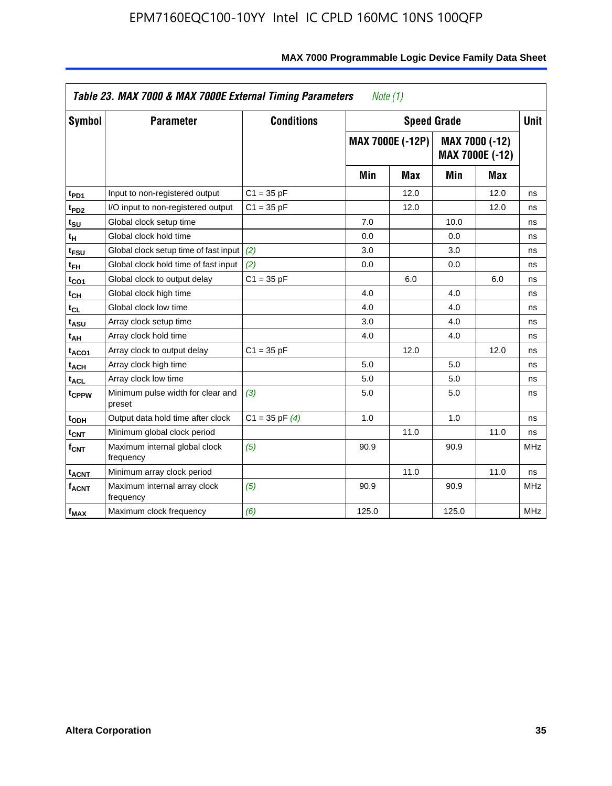| Symbol                        | <b>Parameter</b>                            | <b>Conditions</b>  |       | <b>Speed Grade</b>      |       |                                   | <b>Unit</b> |
|-------------------------------|---------------------------------------------|--------------------|-------|-------------------------|-------|-----------------------------------|-------------|
|                               |                                             |                    |       | <b>MAX 7000E (-12P)</b> |       | MAX 7000 (-12)<br>MAX 7000E (-12) |             |
|                               |                                             |                    | Min   | Max                     | Min   | Max                               |             |
| t <sub>PD1</sub>              | Input to non-registered output              | $C1 = 35 pF$       |       | 12.0                    |       | 12.0                              | ns          |
| t <sub>PD2</sub>              | I/O input to non-registered output          | $C1 = 35 pF$       |       | 12.0                    |       | 12.0                              | ns          |
| $t_{\scriptstyle\textrm{SU}}$ | Global clock setup time                     |                    | 7.0   |                         | 10.0  |                                   | ns          |
| tμ                            | Global clock hold time                      |                    | 0.0   |                         | 0.0   |                                   | ns          |
| t <sub>FSU</sub>              | Global clock setup time of fast input       | (2)                | 3.0   |                         | 3.0   |                                   | ns          |
| $t_{FH}$                      | Global clock hold time of fast input        | (2)                | 0.0   |                         | 0.0   |                                   | ns          |
| t <sub>CO1</sub>              | Global clock to output delay                | $C1 = 35 pF$       |       | 6.0                     |       | 6.0                               | ns          |
| $t_{\mathsf{CH}}$             | Global clock high time                      |                    | 4.0   |                         | 4.0   |                                   | ns          |
| $t_{CL}$                      | Global clock low time                       |                    | 4.0   |                         | 4.0   |                                   | ns          |
| t <sub>ASU</sub>              | Array clock setup time                      |                    | 3.0   |                         | 4.0   |                                   | ns          |
| t <sub>АН</sub>               | Array clock hold time                       |                    | 4.0   |                         | 4.0   |                                   | ns          |
| t <sub>ACO1</sub>             | Array clock to output delay                 | $C1 = 35 pF$       |       | 12.0                    |       | 12.0                              | ns          |
| <sup>t</sup> ach              | Array clock high time                       |                    | 5.0   |                         | 5.0   |                                   | ns          |
| t <sub>ACL</sub>              | Array clock low time                        |                    | 5.0   |                         | 5.0   |                                   | ns          |
| t <sub>CPPW</sub>             | Minimum pulse width for clear and<br>preset | (3)                | 5.0   |                         | 5.0   |                                   | ns          |
| t <sub>ODH</sub>              | Output data hold time after clock           | $C1 = 35$ pF $(4)$ | 1.0   |                         | 1.0   |                                   | ns          |
| $\mathfrak{t}_{\textsf{CNT}}$ | Minimum global clock period                 |                    |       | 11.0                    |       | 11.0                              | ns          |
| $f_{\mathsf{CNT}}$            | Maximum internal global clock<br>frequency  | (5)                | 90.9  |                         | 90.9  |                                   | <b>MHz</b>  |
| <b>t<sub>ACNT</sub></b>       | Minimum array clock period                  |                    |       | 11.0                    |       | 11.0                              | ns          |
| <b>f<sub>ACNT</sub></b>       | Maximum internal array clock<br>frequency   | (5)                | 90.9  |                         | 90.9  |                                   | <b>MHz</b>  |
| f <sub>MAX</sub>              | Maximum clock frequency                     | (6)                | 125.0 |                         | 125.0 |                                   | <b>MHz</b>  |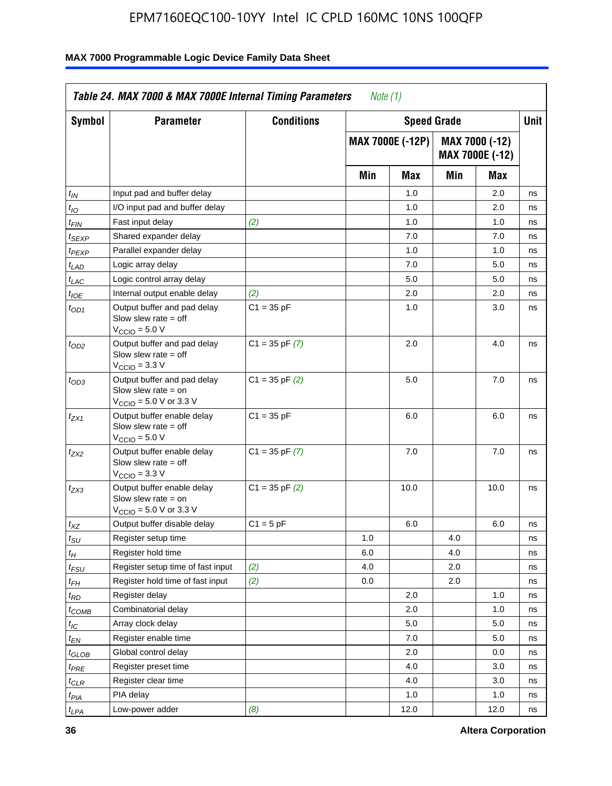| <b>Symbol</b>               | <b>Parameter</b>                                                                                           | <b>Conditions</b>  |     | <b>Speed Grade</b>      |     |                                          | <b>Unit</b> |
|-----------------------------|------------------------------------------------------------------------------------------------------------|--------------------|-----|-------------------------|-----|------------------------------------------|-------------|
|                             |                                                                                                            |                    |     | <b>MAX 7000E (-12P)</b> |     | MAX 7000 (-12)<br><b>MAX 7000E (-12)</b> |             |
|                             |                                                                                                            |                    | Min | Max                     | Min | Max                                      |             |
| $t_{\mathsf{IN}}$           | Input pad and buffer delay                                                                                 |                    |     | 1.0                     |     | 2.0                                      | ns          |
| $t_{IO}$                    | I/O input pad and buffer delay                                                                             |                    |     | 1.0                     |     | 2.0                                      | ns          |
| $t_{\sf FIN}$               | Fast input delay                                                                                           | (2)                |     | 1.0                     |     | 1.0                                      | ns          |
| t <sub>SEXP</sub>           | Shared expander delay                                                                                      |                    |     | 7.0                     |     | 7.0                                      | ns          |
| t <sub>PEXP</sub>           | Parallel expander delay                                                                                    |                    |     | 1.0                     |     | 1.0                                      | ns          |
| t <sub>LAD</sub>            | Logic array delay                                                                                          |                    |     | 7.0                     |     | 5.0                                      | ns          |
| $t_{LAC}$                   | Logic control array delay                                                                                  |                    |     | 5.0                     |     | 5.0                                      | ns          |
| $t_{IOE}$                   | Internal output enable delay                                                                               | (2)                |     | 2.0                     |     | 2.0                                      | ns          |
| $t_{OD1}$                   | Output buffer and pad delay<br>Slow slew rate $=$ off<br>$V_{\text{CCIO}} = 5.0 V$                         | $C1 = 35 pF$       |     | 1.0                     |     | 3.0                                      | ns          |
| $t_{OD2}$                   | Output buffer and pad delay<br>Slow slew rate $=$ off<br>V <sub>CCIO</sub> = 3.3 V                         | $C1 = 35$ pF $(7)$ |     | 2.0                     |     | 4.0                                      | ns          |
| $t_{OD3}$                   | Output buffer and pad delay<br>Slow slew rate = on<br>$V_{\text{CCIO}} = 5.0 \text{ V or } 3.3 \text{ V}$  | $C1 = 35$ pF $(2)$ |     | 5.0                     |     | 7.0                                      | ns          |
| $t_{ZX1}$                   | Output buffer enable delay<br>Slow slew rate $=$ off<br>$V_{\text{CCIO}} = 5.0 V$                          | $C1 = 35 pF$       |     | 6.0                     |     | 6.0                                      | ns          |
| t <sub>ZX2</sub>            | Output buffer enable delay<br>Slow slew rate $=$ off<br>$V_{\text{CCIO}} = 3.3 \text{ V}$                  | $C1 = 35$ pF $(7)$ |     | 7.0                     |     | 7.0                                      | ns          |
| $t_{ZX3}$                   | Output buffer enable delay<br>Slow slew rate $=$ on<br>$V_{\text{CCIO}} = 5.0 \text{ V or } 3.3 \text{ V}$ | $C1 = 35$ pF $(2)$ |     | 10.0                    |     | 10.0                                     | ns          |
| $t_{\mathsf{XZ}}$           | Output buffer disable delay                                                                                | $C1 = 5 pF$        |     | 6.0                     |     | 6.0                                      | ns          |
| $t_{\scriptstyle\text{SU}}$ | Register setup time                                                                                        |                    | 1.0 |                         | 4.0 |                                          | ns          |
| t <sub>Η</sub>              | Register hold time                                                                                         |                    | 6.0 |                         | 4.0 |                                          | ns          |
| $t_{\mathit{FSU}}$          | Register setup time of fast input                                                                          | (2)                | 4.0 |                         | 2.0 |                                          | ns          |
| t <sub>FН</sub>             | Register hold time of fast input                                                                           | (2)                | 0.0 |                         | 2.0 |                                          | ns          |
| $t_{RD}$                    | Register delay                                                                                             |                    |     | 2.0                     |     | 1.0                                      | ns          |
| $t_{COMB}$                  | Combinatorial delay                                                                                        |                    |     | 2.0                     |     | 1.0                                      | ns          |
| ЧC                          | Array clock delay                                                                                          |                    |     | $5.0\,$                 |     | 5.0                                      | 115         |
| $t_{EN}$                    | Register enable time                                                                                       |                    |     | 7.0                     |     | 5.0                                      | ns          |
| $t_{GLOB}$                  | Global control delay                                                                                       |                    |     | 2.0                     |     | 0.0                                      | ns          |
| t <sub>PRE</sub>            | Register preset time                                                                                       |                    |     | 4.0                     |     | 3.0                                      | ns          |
| $t_{CLR}$                   | Register clear time                                                                                        |                    |     | 4.0                     |     | 3.0                                      | ns          |
| t <sub>PIA</sub>            | PIA delay                                                                                                  |                    |     | 1.0                     |     | 1.0                                      | ns          |
| $t_{LPA}$                   | Low-power adder                                                                                            | (8)                |     | 12.0                    |     | 12.0                                     | ns          |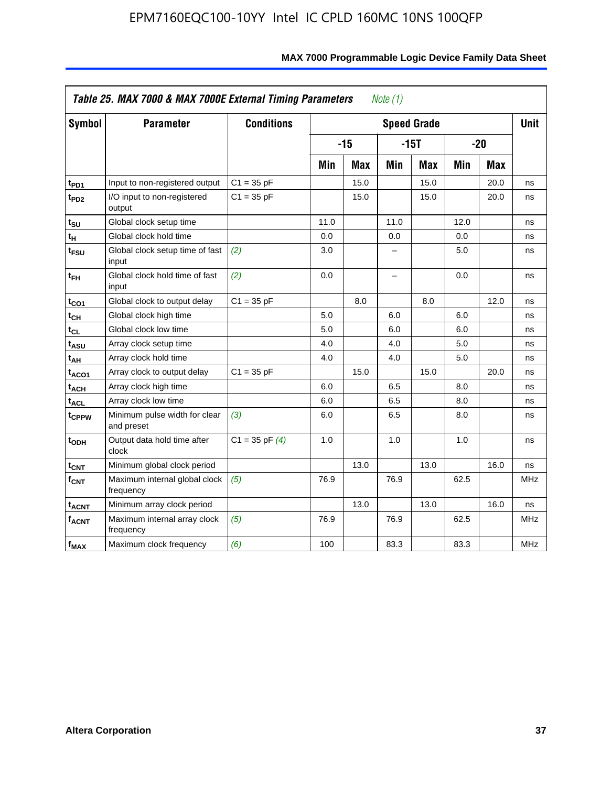| <b>Symbol</b>     | <b>Parameter</b>                            | <b>Conditions</b>  |      |            |      | <b>Speed Grade</b> |      |            | <b>Unit</b> |
|-------------------|---------------------------------------------|--------------------|------|------------|------|--------------------|------|------------|-------------|
|                   |                                             |                    |      | $-15$      |      | $-15T$             |      | $-20$      |             |
|                   |                                             |                    | Min  | <b>Max</b> | Min  | <b>Max</b>         | Min  | <b>Max</b> |             |
| t <sub>PD1</sub>  | Input to non-registered output              | $C1 = 35 pF$       |      | 15.0       |      | 15.0               |      | 20.0       | ns          |
| t <sub>PD2</sub>  | I/O input to non-registered<br>output       | $C1 = 35 pF$       |      | 15.0       |      | 15.0               |      | 20.0       | ns          |
| t <sub>su</sub>   | Global clock setup time                     |                    | 11.0 |            | 11.0 |                    | 12.0 |            | ns          |
| $t_H$             | Global clock hold time                      |                    | 0.0  |            | 0.0  |                    | 0.0  |            | ns          |
| t <sub>FSU</sub>  | Global clock setup time of fast<br>input    | (2)                | 3.0  |            | -    |                    | 5.0  |            | ns          |
| $t_{FH}$          | Global clock hold time of fast<br>input     | (2)                | 0.0  |            | -    |                    | 0.0  |            | ns          |
| $t_{CO1}$         | Global clock to output delay                | $C1 = 35 pF$       |      | 8.0        |      | 8.0                |      | 12.0       | ns          |
| $t_{\mathsf{CH}}$ | Global clock high time                      |                    | 5.0  |            | 6.0  |                    | 6.0  |            | ns          |
| $t_{CL}$          | Global clock low time                       |                    | 5.0  |            | 6.0  |                    | 6.0  |            | ns          |
| t <sub>ASU</sub>  | Array clock setup time                      |                    | 4.0  |            | 4.0  |                    | 5.0  |            | ns          |
| t <sub>АН</sub>   | Array clock hold time                       |                    | 4.0  |            | 4.0  |                    | 5.0  |            | ns          |
| t <sub>ACO1</sub> | Array clock to output delay                 | $C1 = 35 pF$       |      | 15.0       |      | 15.0               |      | 20.0       | ns          |
| $t_{\sf ACH}$     | Array clock high time                       |                    | 6.0  |            | 6.5  |                    | 8.0  |            | ns          |
| t <sub>ACL</sub>  | Array clock low time                        |                    | 6.0  |            | 6.5  |                    | 8.0  |            | ns          |
| t <sub>CPPW</sub> | Minimum pulse width for clear<br>and preset | (3)                | 6.0  |            | 6.5  |                    | 8.0  |            | ns          |
| t <sub>ODH</sub>  | Output data hold time after<br>clock        | $C1 = 35$ pF $(4)$ | 1.0  |            | 1.0  |                    | 1.0  |            | ns          |
| $t_{\text{CNT}}$  | Minimum global clock period                 |                    |      | 13.0       |      | 13.0               |      | 16.0       | ns          |
| $f_{CNT}$         | Maximum internal global clock<br>frequency  | (5)                | 76.9 |            | 76.9 |                    | 62.5 |            | <b>MHz</b>  |
| $t_{ACNT}$        | Minimum array clock period                  |                    |      | 13.0       |      | 13.0               |      | 16.0       | ns          |
| f <sub>ACNT</sub> | Maximum internal array clock<br>frequency   | (5)                | 76.9 |            | 76.9 |                    | 62.5 |            | <b>MHz</b>  |
| $f_{MAX}$         | Maximum clock frequency                     | (6)                | 100  |            | 83.3 |                    | 83.3 |            | MHz         |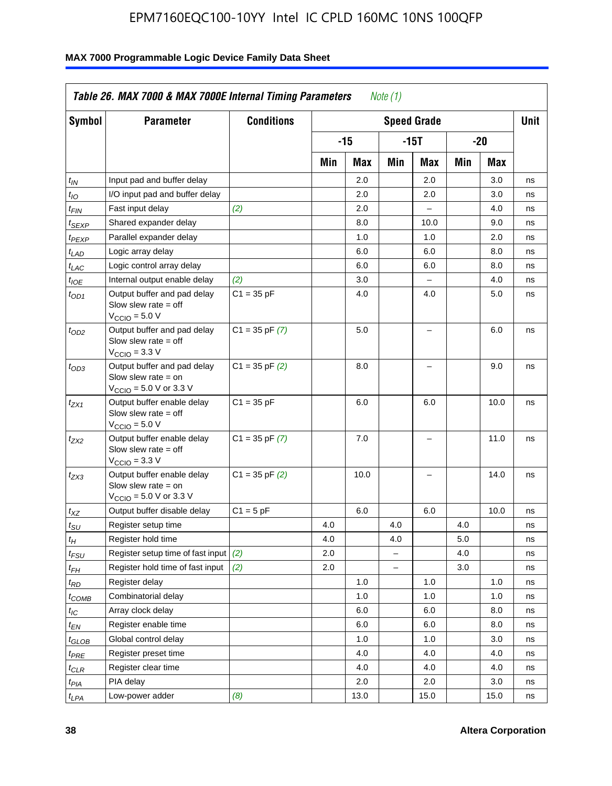| Symbol                        | <b>Parameter</b>                                                                                            | <b>Conditions</b>  |     |       |          | <b>Speed Grade</b>       |     |      | <b>Unit</b> |
|-------------------------------|-------------------------------------------------------------------------------------------------------------|--------------------|-----|-------|----------|--------------------------|-----|------|-------------|
|                               |                                                                                                             |                    |     | $-15$ |          | $-15T$                   |     | -20  |             |
|                               |                                                                                                             |                    | Min | Max   | Min      | Max                      | Min | Max  |             |
| $t_{IN}$                      | Input pad and buffer delay                                                                                  |                    |     | 2.0   |          | 2.0                      |     | 3.0  | ns          |
| $t_{IO}$                      | I/O input pad and buffer delay                                                                              |                    |     | 2.0   |          | 2.0                      |     | 3.0  | ns          |
| $t_{\textsf{FIN}}$            | Fast input delay                                                                                            | (2)                |     | 2.0   |          | $\overline{a}$           |     | 4.0  | ns          |
| $t_{SEXP}$                    | Shared expander delay                                                                                       |                    |     | 8.0   |          | 10.0                     |     | 9.0  | ns          |
| $t_{PEXP}$                    | Parallel expander delay                                                                                     |                    |     | 1.0   |          | 1.0                      |     | 2.0  | ns          |
| $t_{LAD}$                     | Logic array delay                                                                                           |                    |     | 6.0   |          | 6.0                      |     | 8.0  | ns          |
| $t_{LAC}$                     | Logic control array delay                                                                                   |                    |     | 6.0   |          | 6.0                      |     | 8.0  | ns          |
| $t_{IOE}$                     | Internal output enable delay                                                                                | (2)                |     | 3.0   |          | $\overline{\phantom{a}}$ |     | 4.0  | ns          |
| $t_{OD1}$                     | Output buffer and pad delay<br>Slow slew rate $=$ off<br>$VCCIO = 5.0 V$                                    | $C1 = 35 pF$       |     | 4.0   |          | 4.0                      |     | 5.0  | ns          |
| $t_{OD2}$                     | Output buffer and pad delay<br>Slow slew rate $=$ off<br>$V_{\text{CCIO}} = 3.3 \text{ V}$                  | $C1 = 35$ pF $(7)$ |     | 5.0   |          | L.                       |     | 6.0  | ns          |
| $t_{OD3}$                     | Output buffer and pad delay<br>Slow slew rate $=$ on<br>$V_{\text{CGIO}} = 5.0 \text{ V or } 3.3 \text{ V}$ | $C1 = 35$ pF $(2)$ |     | 8.0   |          | L.                       |     | 9.0  | ns          |
| $t_{ZX1}$                     | Output buffer enable delay<br>Slow slew rate $=$ off<br>$VCCIO = 5.0 V$                                     | $C1 = 35 pF$       |     | 6.0   |          | 6.0                      |     | 10.0 | ns          |
| $t_{ZX2}$                     | Output buffer enable delay<br>Slow slew rate $=$ off<br>$V_{\text{CCIO}} = 3.3 \text{ V}$                   | $C1 = 35$ pF $(7)$ |     | 7.0   |          | $\overline{\phantom{0}}$ |     | 11.0 | ns          |
| t <sub>ZX3</sub>              | Output buffer enable delay<br>Slow slew rate $=$ on<br>$V_{\text{CCIO}} = 5.0 \text{ V or } 3.3 \text{ V}$  | $C1 = 35$ pF $(2)$ |     | 10.0  |          | -                        |     | 14.0 | ns          |
| $t_{\mathsf{XZ}}$             | Output buffer disable delay                                                                                 | $C1 = 5$ pF        |     | 6.0   |          | 6.0                      |     | 10.0 | ns          |
| $t_{\text{SU}}$               | Register setup time                                                                                         |                    | 4.0 |       | 4.0      |                          | 4.0 |      | ns          |
| $t_H$                         | Register hold time                                                                                          |                    | 4.0 |       | 4.0      |                          | 5.0 |      | ns          |
| $t_{\mathit{FSU}}$            | Register setup time of fast input                                                                           | (2)                | 2.0 |       | $\equiv$ |                          | 4.0 |      | ns          |
| $t_{FH}$                      | Register hold time of fast input                                                                            | (2)                | 2.0 |       |          |                          | 3.0 |      | ns          |
| $t_{RD}$                      | Register delay                                                                                              |                    |     | 1.0   |          | 1.0                      |     | 1.0  | ns          |
| $t_{COMB}$                    | Combinatorial delay                                                                                         |                    |     | 1.0   |          | 1.0                      |     | 1.0  | ns          |
| $t_{\text{IC}}$               | Array clock delay                                                                                           |                    |     | 6.0   |          | 6.0                      |     | 8.0  | ns          |
| $t_{EN}$                      | Register enable time                                                                                        |                    |     | 6.0   |          | 6.0                      |     | 8.0  | ns          |
| $t_{\scriptstyle\text{GLOB}}$ | Global control delay                                                                                        |                    |     | 1.0   |          | 1.0                      |     | 3.0  | ns          |
| t <sub>PRE</sub>              | Register preset time                                                                                        |                    |     | 4.0   |          | 4.0                      |     | 4.0  | ns          |
| $t_{\sf CLR}$                 | Register clear time                                                                                         |                    |     | 4.0   |          | 4.0                      |     | 4.0  | ns          |
| $t_{PIA}$                     | PIA delay                                                                                                   |                    |     | 2.0   |          | 2.0                      |     | 3.0  | ns          |
| $t_{LPA}$                     | Low-power adder                                                                                             | (8)                |     | 13.0  |          | 15.0                     |     | 15.0 | ns          |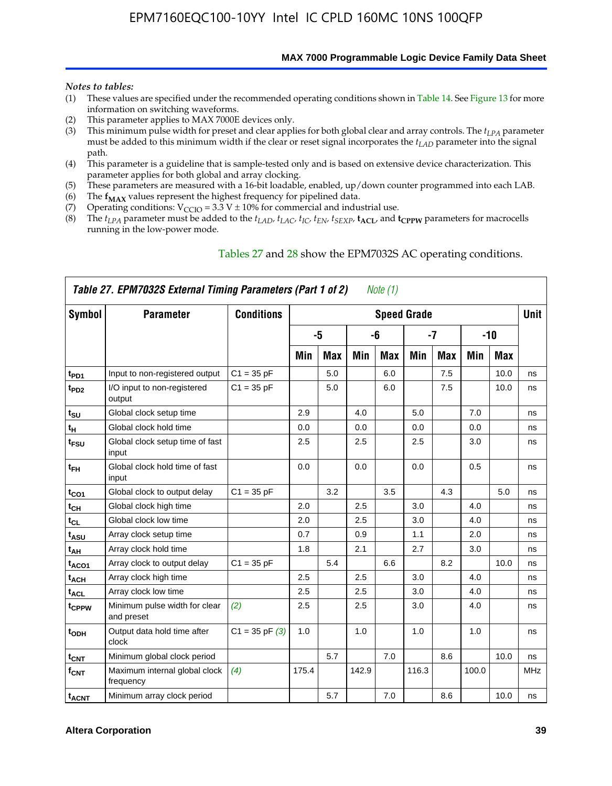**MAX 7000 Programmable Logic Device Family Data Sheet**

#### *Notes to tables:*

- (1) These values are specified under the recommended operating conditions shown in Table 14. See Figure 13 for more information on switching waveforms.
- (2) This parameter applies to MAX 7000E devices only.
- (3) This minimum pulse width for preset and clear applies for both global clear and array controls. The *tLPA* parameter must be added to this minimum width if the clear or reset signal incorporates the  $t_{LAD}$  parameter into the signal path.
- (4) This parameter is a guideline that is sample-tested only and is based on extensive device characterization. This parameter applies for both global and array clocking.
- (5) These parameters are measured with a 16-bit loadable, enabled, up/down counter programmed into each LAB.
- (6) The  $f_{MAX}$  values represent the highest frequency for pipelined data.
- (7) Operating conditions:  $V_{\text{CCIO}} = 3.3 \text{ V} \pm 10\%$  for commercial and industrial use.
- (8) The  $t_{LPA}$  parameter must be added to the  $t_{LAD}$ ,  $t_{LAC}$ ,  $t_{IC}$ ,  $t_{EN}$ ,  $t_{SEXP}$ ,  $t_{ACL}$ , and  $t_{CPPW}$  parameters for macrocells running in the low-power mode.

| Table 27. EPM7032S External Timing Parameters (Part 1 of 2)<br>Note (1) |                                             |                    |       |            |       |            |                    |            |       |       |             |  |  |
|-------------------------------------------------------------------------|---------------------------------------------|--------------------|-------|------------|-------|------------|--------------------|------------|-------|-------|-------------|--|--|
| Symbol                                                                  | <b>Parameter</b>                            | <b>Conditions</b>  |       |            |       |            | <b>Speed Grade</b> |            |       |       | <b>Unit</b> |  |  |
|                                                                         |                                             |                    |       | -5         |       | -6         |                    | -7         |       | $-10$ |             |  |  |
|                                                                         |                                             |                    | Min   | <b>Max</b> | Min   | <b>Max</b> | Min                | <b>Max</b> | Min   | Max   |             |  |  |
| t <sub>PD1</sub>                                                        | Input to non-registered output              | $C1 = 35 pF$       |       | 5.0        |       | 6.0        |                    | 7.5        |       | 10.0  | ns          |  |  |
| $t_{PD2}$                                                               | I/O input to non-registered<br>output       | $C1 = 35 pF$       |       | 5.0        |       | 6.0        |                    | 7.5        |       | 10.0  | ns          |  |  |
| tsu                                                                     | Global clock setup time                     |                    | 2.9   |            | 4.0   |            | 5.0                |            | 7.0   |       | ns          |  |  |
| $t_H$                                                                   | Global clock hold time                      |                    | 0.0   |            | 0.0   |            | 0.0                |            | 0.0   |       | ns          |  |  |
| t <sub>FSU</sub>                                                        | Global clock setup time of fast<br>input    |                    | 2.5   |            | 2.5   |            | 2.5                |            | 3.0   |       | ns          |  |  |
| $t_{FH}$                                                                | Global clock hold time of fast<br>input     |                    | 0.0   |            | 0.0   |            | 0.0                |            | 0.5   |       | ns          |  |  |
| t <sub>CO1</sub>                                                        | Global clock to output delay                | $C1 = 35 pF$       |       | 3.2        |       | 3.5        |                    | 4.3        |       | 5.0   | ns          |  |  |
| $t_{CH}$                                                                | Global clock high time                      |                    | 2.0   |            | 2.5   |            | 3.0                |            | 4.0   |       | ns          |  |  |
| $t_{CL}$                                                                | Global clock low time                       |                    | 2.0   |            | 2.5   |            | 3.0                |            | 4.0   |       | ns          |  |  |
| t <sub>ASU</sub>                                                        | Array clock setup time                      |                    | 0.7   |            | 0.9   |            | 1.1                |            | 2.0   |       | ns          |  |  |
| t <sub>АН</sub>                                                         | Array clock hold time                       |                    | 1.8   |            | 2.1   |            | 2.7                |            | 3.0   |       | ns          |  |  |
| t <sub>ACO1</sub>                                                       | Array clock to output delay                 | $C1 = 35 pF$       |       | 5.4        |       | 6.6        |                    | 8.2        |       | 10.0  | ns          |  |  |
| t <sub>ACH</sub>                                                        | Array clock high time                       |                    | 2.5   |            | 2.5   |            | 3.0                |            | 4.0   |       | ns          |  |  |
| $t_{\sf ACL}$                                                           | Array clock low time                        |                    | 2.5   |            | 2.5   |            | 3.0                |            | 4.0   |       | ns          |  |  |
| tcppw                                                                   | Minimum pulse width for clear<br>and preset | (2)                | 2.5   |            | 2.5   |            | 3.0                |            | 4.0   |       | ns          |  |  |
| $t_{ODH}$                                                               | Output data hold time after<br>clock        | $C1 = 35$ pF $(3)$ | 1.0   |            | 1.0   |            | 1.0                |            | 1.0   |       | ns          |  |  |
| $t_{\mathsf{CNT}}$                                                      | Minimum global clock period                 |                    |       | 5.7        |       | 7.0        |                    | 8.6        |       | 10.0  | ns          |  |  |
| $f_{\mathsf{CNT}}$                                                      | Maximum internal global clock<br>frequency  | (4)                | 175.4 |            | 142.9 |            | 116.3              |            | 100.0 |       | MHz         |  |  |
| t <sub>ACNT</sub>                                                       | Minimum array clock period                  |                    |       | 5.7        |       | 7.0        |                    | 8.6        |       | 10.0  | ns          |  |  |

### Tables 27 and 28 show the EPM7032S AC operating conditions.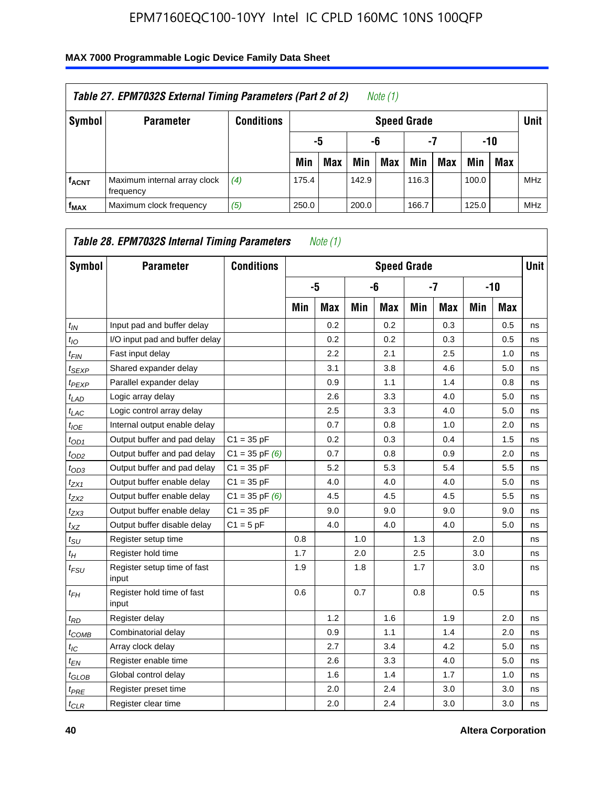| Table 27. EPM7032S External Timing Parameters (Part 2 of 2)<br>Note (1) |                                           |                   |                    |                       |       |            |       |     |       |            |            |  |
|-------------------------------------------------------------------------|-------------------------------------------|-------------------|--------------------|-----------------------|-------|------------|-------|-----|-------|------------|------------|--|
| Symbol                                                                  | <b>Parameter</b>                          | <b>Conditions</b> | <b>Speed Grade</b> |                       |       |            |       |     |       |            |            |  |
|                                                                         |                                           |                   |                    | -7<br>-10<br>-6<br>-5 |       |            |       |     |       |            |            |  |
|                                                                         |                                           |                   | Min                | <b>Max</b>            | Min   | <b>Max</b> | Min   | Max | Min   | <b>Max</b> |            |  |
| <b>fACNT</b>                                                            | Maximum internal array clock<br>frequency | (4)               | 175.4              |                       | 142.9 |            | 116.3 |     | 100.0 |            | <b>MHz</b> |  |
| f <sub>MAX</sub>                                                        | Maximum clock frequency                   | (5)               | 250.0              |                       | 200.0 |            | 166.7 |     | 125.0 |            | <b>MHz</b> |  |

| Symbol                     | <b>Parameter</b>                     | <b>Conditions</b>  |     |            |     | <b>Speed Grade</b> |     |            |     |       | <b>Unit</b> |
|----------------------------|--------------------------------------|--------------------|-----|------------|-----|--------------------|-----|------------|-----|-------|-------------|
|                            |                                      |                    |     | -5         |     | -6                 |     | $-7$       |     | $-10$ |             |
|                            |                                      |                    | Min | <b>Max</b> | Min | <b>Max</b>         | Min | <b>Max</b> | Min | Max   |             |
| $t_{IN}$                   | Input pad and buffer delay           |                    |     | 0.2        |     | 0.2                |     | 0.3        |     | 0.5   | ns          |
| $t_{IO}$                   | I/O input pad and buffer delay       |                    |     | 0.2        |     | 0.2                |     | 0.3        |     | 0.5   | ns          |
| $t_{\text{FIN}}$           | Fast input delay                     |                    |     | 2.2        |     | 2.1                |     | 2.5        |     | 1.0   | ns          |
| t <sub>SEXP</sub>          | Shared expander delay                |                    |     | 3.1        |     | 3.8                |     | 4.6        |     | 5.0   | ns          |
| t <sub>PEXP</sub>          | Parallel expander delay              |                    |     | 0.9        |     | 1.1                |     | 1.4        |     | 0.8   | ns          |
| $t_{LAD}$                  | Logic array delay                    |                    |     | 2.6        |     | 3.3                |     | 4.0        |     | 5.0   | ns          |
| $t_{LAC}$                  | Logic control array delay            |                    |     | 2.5        |     | 3.3                |     | 4.0        |     | 5.0   | ns          |
| $t_{IOE}$                  | Internal output enable delay         |                    |     | 0.7        |     | 0.8                |     | 1.0        |     | 2.0   | ns          |
| $t_{OD1}$                  | Output buffer and pad delay          | $C1 = 35 pF$       |     | 0.2        |     | 0.3                |     | 0.4        |     | 1.5   | ns          |
| $t_{OD2}$                  | Output buffer and pad delay          | $C1 = 35$ pF $(6)$ |     | 0.7        |     | 0.8                |     | 0.9        |     | 2.0   | ns          |
| $t_{OD3}$                  | Output buffer and pad delay          | $C1 = 35 pF$       |     | 5.2        |     | 5.3                |     | 5.4        |     | 5.5   | ns          |
| $t_{ZX1}$                  | Output buffer enable delay           | $C1 = 35 pF$       |     | 4.0        |     | 4.0                |     | 4.0        |     | 5.0   | ns          |
| tzx2                       | Output buffer enable delay           | $C1 = 35$ pF $(6)$ |     | 4.5        |     | 4.5                |     | 4.5        |     | 5.5   | ns          |
| t <sub>ZX3</sub>           | Output buffer enable delay           | $C1 = 35 pF$       |     | 9.0        |     | 9.0                |     | 9.0        |     | 9.0   | ns          |
| $t_{XZ}$                   | Output buffer disable delay          | $C1 = 5pF$         |     | 4.0        |     | 4.0                |     | 4.0        |     | 5.0   | ns          |
| $t_{\text{SU}}$            | Register setup time                  |                    | 0.8 |            | 1.0 |                    | 1.3 |            | 2.0 |       | ns          |
| $t_H$                      | Register hold time                   |                    | 1.7 |            | 2.0 |                    | 2.5 |            | 3.0 |       | ns          |
| $t_{\mathit{FSU}}$         | Register setup time of fast<br>input |                    | 1.9 |            | 1.8 |                    | 1.7 |            | 3.0 |       | ns          |
| $t_{FH}$                   | Register hold time of fast<br>input  |                    | 0.6 |            | 0.7 |                    | 0.8 |            | 0.5 |       | ns          |
| $t_{RD}$                   | Register delay                       |                    |     | 1.2        |     | 1.6                |     | 1.9        |     | 2.0   | ns          |
| $t_{COMB}$                 | Combinatorial delay                  |                    |     | 0.9        |     | 1.1                |     | 1.4        |     | 2.0   | ns          |
| $t_{IC}$                   | Array clock delay                    |                    |     | 2.7        |     | 3.4                |     | 4.2        |     | 5.0   | ns          |
| $t_{EN}$                   | Register enable time                 |                    |     | 2.6        |     | 3.3                |     | 4.0        |     | 5.0   | ns          |
| $t_{\scriptstyle\rm GLOB}$ | Global control delay                 |                    |     | 1.6        |     | 1.4                |     | 1.7        |     | 1.0   | ns          |
| t <sub>PRE</sub>           | Register preset time                 |                    |     | 2.0        |     | 2.4                |     | 3.0        |     | 3.0   | ns          |
| $t_{CLR}$                  | Register clear time                  |                    |     | 2.0        |     | 2.4                |     | 3.0        |     | 3.0   | ns          |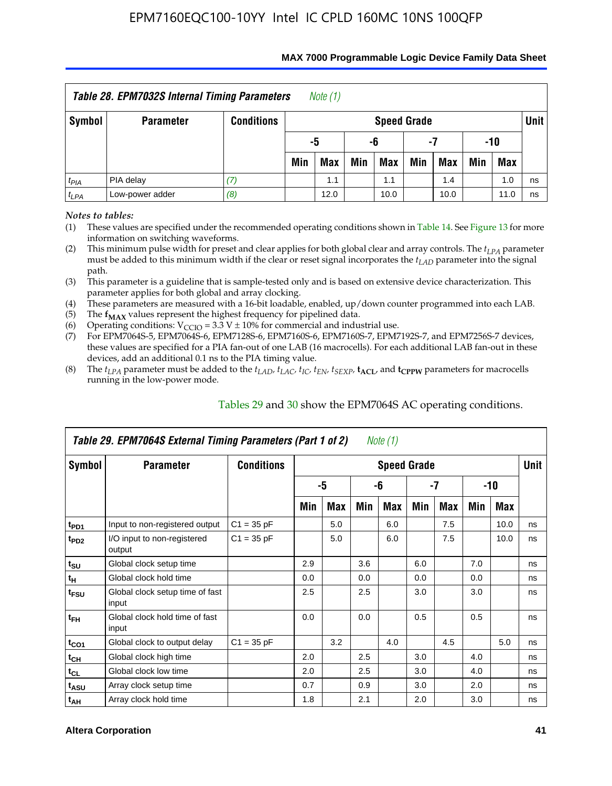| <b>Table 28. EPM7032S Internal Timing Parameters</b><br>Note $(1)$ |                  |                   |     |            |     |                    |     |      |     |            |        |  |
|--------------------------------------------------------------------|------------------|-------------------|-----|------------|-----|--------------------|-----|------|-----|------------|--------|--|
| Symbol                                                             | <b>Parameter</b> | <b>Conditions</b> |     |            |     | <b>Speed Grade</b> |     |      |     |            | Unit I |  |
|                                                                    |                  |                   |     | -5         | -6  |                    | -7  |      | -10 |            |        |  |
|                                                                    |                  |                   | Min | <b>Max</b> | Min | <b>Max</b>         | Min | Max  | Min | <b>Max</b> |        |  |
| $t_{PIA}$                                                          | PIA delay        | (7)               |     | 1.1        |     | 1.1                |     | 1.4  |     | 1.0        | ns     |  |
| $t_{LPA}$                                                          | Low-power adder  | (8)               |     | 12.0       |     | 10.0               |     | 10.0 |     | 11.0       | ns     |  |

#### **MAX 7000 Programmable Logic Device Family Data Sheet**

*Notes to tables:*

(1) These values are specified under the recommended operating conditions shown in Table 14. See Figure 13 for more information on switching waveforms.

(2) This minimum pulse width for preset and clear applies for both global clear and array controls. The  $t_{LPA}$  parameter must be added to this minimum width if the clear or reset signal incorporates the *tLAD* parameter into the signal path.

(3) This parameter is a guideline that is sample-tested only and is based on extensive device characterization. This parameter applies for both global and array clocking.

(4) These parameters are measured with a 16-bit loadable, enabled, up/down counter programmed into each LAB.

(5) The  $f_{MAX}$  values represent the highest frequency for pipelined data.

(6) Operating conditions:  $V_{\text{CCIO}} = 3.3 \text{ V} \pm 10\%$  for commercial and industrial use.

(7) For EPM7064S-5, EPM7064S-6, EPM7128S-6, EPM7160S-6, EPM7160S-7, EPM7192S-7, and EPM7256S-7 devices, these values are specified for a PIA fan-out of one LAB (16 macrocells). For each additional LAB fan-out in these devices, add an additional 0.1 ns to the PIA timing value.

(8) The  $t_{LPA}$  parameter must be added to the  $t_{LAD}$ ,  $t_{LAC}$ ,  $t_{IC}$ ,  $t_{EN}$ ,  $t_{SEXP}$ ,  $t_{ACL}$ , and  $t_{CPPW}$  parameters for macrocells running in the low-power mode.

| Table 29. EPM7064S External Timing Parameters (Part 1 of 2)<br>Note (1) |                                          |                   |     |     |     |                    |     |      |     |      |      |  |  |
|-------------------------------------------------------------------------|------------------------------------------|-------------------|-----|-----|-----|--------------------|-----|------|-----|------|------|--|--|
| Symbol                                                                  | <b>Parameter</b>                         | <b>Conditions</b> |     |     |     | <b>Speed Grade</b> |     |      |     |      | Unit |  |  |
|                                                                         |                                          |                   |     | -5  |     | -6                 |     | $-7$ |     | -10  |      |  |  |
|                                                                         |                                          |                   | Min | Max | Min | Max                | Min | Max  | Min | Max  |      |  |  |
| t <sub>PD1</sub>                                                        | Input to non-registered output           | $C1 = 35 pF$      |     | 5.0 |     | 6.0                |     | 7.5  |     | 10.0 | ns   |  |  |
| t <sub>PD2</sub>                                                        | I/O input to non-registered<br>output    | $C1 = 35 pF$      |     | 5.0 |     | 6.0                |     | 7.5  |     | 10.0 | ns   |  |  |
| $t_{\text{SU}}$                                                         | Global clock setup time                  |                   | 2.9 |     | 3.6 |                    | 6.0 |      | 7.0 |      | ns   |  |  |
| $t_H$                                                                   | Global clock hold time                   |                   | 0.0 |     | 0.0 |                    | 0.0 |      | 0.0 |      | ns   |  |  |
| t <sub>FSU</sub>                                                        | Global clock setup time of fast<br>input |                   | 2.5 |     | 2.5 |                    | 3.0 |      | 3.0 |      | ns   |  |  |
| $t_{FH}$                                                                | Global clock hold time of fast<br>input  |                   | 0.0 |     | 0.0 |                    | 0.5 |      | 0.5 |      | ns   |  |  |
| $t_{CO1}$                                                               | Global clock to output delay             | $C1 = 35 pF$      |     | 3.2 |     | 4.0                |     | 4.5  |     | 5.0  | ns   |  |  |
| $t_{CH}$                                                                | Global clock high time                   |                   | 2.0 |     | 2.5 |                    | 3.0 |      | 4.0 |      | ns   |  |  |
| $t_{CL}$                                                                | Global clock low time                    |                   | 2.0 |     | 2.5 |                    | 3.0 |      | 4.0 |      | ns   |  |  |
| t <sub>ASU</sub>                                                        | Array clock setup time                   |                   | 0.7 |     | 0.9 |                    | 3.0 |      | 2.0 |      | ns   |  |  |
| $t_{AH}$                                                                | Array clock hold time                    |                   | 1.8 |     | 2.1 |                    | 2.0 |      | 3.0 |      | ns   |  |  |

Tables 29 and 30 show the EPM7064S AC operating conditions.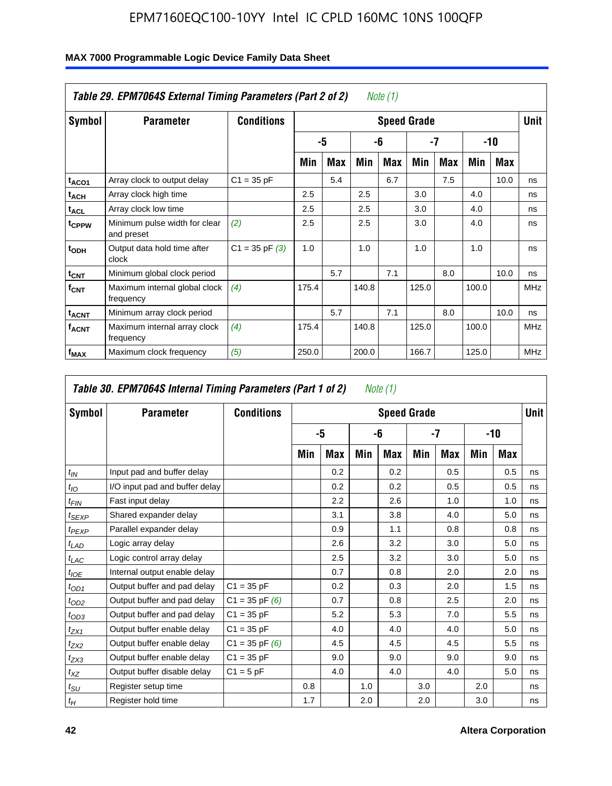|                         | Table 29. EPM7064S External Timing Parameters (Part 2 of 2) |                    |       |            |       | Note (1)   |                    |            |       |      |             |
|-------------------------|-------------------------------------------------------------|--------------------|-------|------------|-------|------------|--------------------|------------|-------|------|-------------|
| Symbol                  | <b>Parameter</b>                                            | <b>Conditions</b>  |       |            |       |            | <b>Speed Grade</b> |            |       |      | <b>Unit</b> |
|                         |                                                             |                    |       | -5         |       | -6         |                    | -7         |       | -10  |             |
|                         |                                                             |                    | Min   | <b>Max</b> | Min   | <b>Max</b> | Min                | <b>Max</b> | Min   | Max  |             |
| t <sub>ACO1</sub>       | Array clock to output delay                                 | $C1 = 35 pF$       |       | 5.4        |       | 6.7        |                    | 7.5        |       | 10.0 | ns          |
| $t_{ACH}$               | Array clock high time                                       |                    | 2.5   |            | 2.5   |            | 3.0                |            | 4.0   |      | ns          |
| <sup>t</sup> ACL        | Array clock low time                                        |                    | 2.5   |            | 2.5   |            | 3.0                |            | 4.0   |      | ns          |
| t <sub>CPPW</sub>       | Minimum pulse width for clear<br>and preset                 | (2)                | 2.5   |            | 2.5   |            | 3.0                |            | 4.0   |      | ns          |
| t <sub>ODH</sub>        | Output data hold time after<br>clock                        | $C1 = 35$ pF $(3)$ | 1.0   |            | 1.0   |            | 1.0                |            | 1.0   |      | ns          |
| $t_{CNT}$               | Minimum global clock period                                 |                    |       | 5.7        |       | 7.1        |                    | 8.0        |       | 10.0 | ns          |
| $f_{\text{CNT}}$        | Maximum internal global clock<br>frequency                  | (4)                | 175.4 |            | 140.8 |            | 125.0              |            | 100.0 |      | <b>MHz</b>  |
| <b>t<sub>ACNT</sub></b> | Minimum array clock period                                  |                    |       | 5.7        |       | 7.1        |                    | 8.0        |       | 10.0 | ns          |
| <b>f<sub>ACNT</sub></b> | Maximum internal array clock<br>frequency                   | (4)                | 175.4 |            | 140.8 |            | 125.0              |            | 100.0 |      | <b>MHz</b>  |
| f <sub>MAX</sub>        | Maximum clock frequency                                     | (5)                | 250.0 |            | 200.0 |            | 166.7              |            | 125.0 |      | <b>MHz</b>  |

|                   | Table 30. EPM7064S Internal Timing Parameters (Part 1 of 2) |                    |     |            |     | Note (1)           |     |            |     |            |             |
|-------------------|-------------------------------------------------------------|--------------------|-----|------------|-----|--------------------|-----|------------|-----|------------|-------------|
| Symbol            | <b>Parameter</b>                                            | <b>Conditions</b>  |     |            |     | <b>Speed Grade</b> |     |            |     |            | <b>Unit</b> |
|                   |                                                             |                    |     | -5         |     | -6                 |     | -7         |     | -10        |             |
|                   |                                                             |                    | Min | <b>Max</b> | Min | Max                | Min | <b>Max</b> | Min | <b>Max</b> |             |
| $t_{IN}$          | Input pad and buffer delay                                  |                    |     | 0.2        |     | 0.2                |     | 0.5        |     | 0.5        | ns          |
| $t_{IO}$          | I/O input pad and buffer delay                              |                    |     | 0.2        |     | 0.2                |     | 0.5        |     | 0.5        | ns          |
| $t_{FIN}$         | Fast input delay                                            |                    |     | 2.2        |     | 2.6                |     | 1.0        |     | 1.0        | ns          |
| t <sub>SEXP</sub> | Shared expander delay                                       |                    |     | 3.1        |     | 3.8                |     | 4.0        |     | 5.0        | ns          |
| $t_{PEXP}$        | Parallel expander delay                                     |                    |     | 0.9        |     | 1.1                |     | 0.8        |     | 0.8        | ns          |
| $t_{LAD}$         | Logic array delay                                           |                    |     | 2.6        |     | 3.2                |     | 3.0        |     | 5.0        | ns          |
| $t_{LAC}$         | Logic control array delay                                   |                    |     | 2.5        |     | 3.2                |     | 3.0        |     | 5.0        | ns          |
| $t_{IOE}$         | Internal output enable delay                                |                    |     | 0.7        |     | 0.8                |     | 2.0        |     | 2.0        | ns          |
| $t_{OD1}$         | Output buffer and pad delay                                 | $C1 = 35 pF$       |     | 0.2        |     | 0.3                |     | 2.0        |     | 1.5        | ns          |
| $t_{OD2}$         | Output buffer and pad delay                                 | $C1 = 35$ pF $(6)$ |     | 0.7        |     | 0.8                |     | 2.5        |     | 2.0        | ns          |
| $t_{OD3}$         | Output buffer and pad delay                                 | $C1 = 35 pF$       |     | 5.2        |     | 5.3                |     | 7.0        |     | 5.5        | ns          |
| $t_{ZX1}$         | Output buffer enable delay                                  | $C1 = 35 pF$       |     | 4.0        |     | 4.0                |     | 4.0        |     | 5.0        | ns          |
| $t_{ZX2}$         | Output buffer enable delay                                  | $C1 = 35$ pF $(6)$ |     | 4.5        |     | 4.5                |     | 4.5        |     | 5.5        | ns          |
| $t_{ZX3}$         | Output buffer enable delay                                  | $C1 = 35 pF$       |     | 9.0        |     | 9.0                |     | 9.0        |     | 9.0        | ns          |
| $t_{XZ}$          | Output buffer disable delay                                 | $C1 = 5pF$         |     | 4.0        |     | 4.0                |     | 4.0        |     | 5.0        | ns          |
| $t_{\text{SU}}$   | Register setup time                                         |                    | 0.8 |            | 1.0 |                    | 3.0 |            | 2.0 |            | ns          |
| $t_H$             | Register hold time                                          |                    | 1.7 |            | 2.0 |                    | 2.0 |            | 3.0 |            | ns          |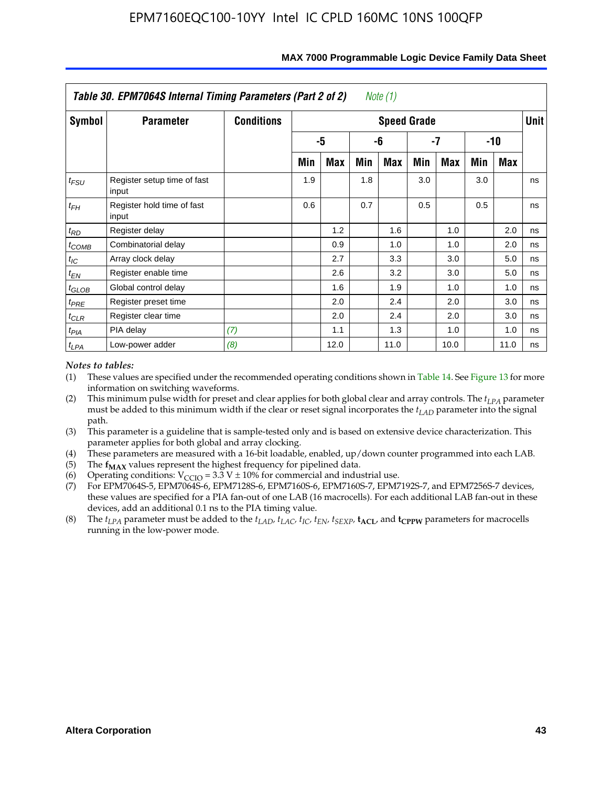|                   | Table 30. EPM7064S Internal Timing Parameters (Part 2 of 2) |                   |     |      |     | Note (1)           |     |            |     |       |             |
|-------------------|-------------------------------------------------------------|-------------------|-----|------|-----|--------------------|-----|------------|-----|-------|-------------|
| Symbol            | <b>Parameter</b>                                            | <b>Conditions</b> |     |      |     | <b>Speed Grade</b> |     |            |     |       | <b>Unit</b> |
|                   |                                                             |                   |     | -5   |     | -6                 |     | -7         |     | $-10$ |             |
|                   |                                                             |                   | Min | Max  | Min | <b>Max</b>         | Min | <b>Max</b> | Min | Max   |             |
| $t_{FSU}$         | Register setup time of fast<br>input                        |                   | 1.9 |      | 1.8 |                    | 3.0 |            | 3.0 |       | ns          |
| $t_{FH}$          | Register hold time of fast<br>input                         |                   | 0.6 |      | 0.7 |                    | 0.5 |            | 0.5 |       | ns          |
| $t_{RD}$          | Register delay                                              |                   |     | 1.2  |     | 1.6                |     | 1.0        |     | 2.0   | ns          |
| $t_{COMB}$        | Combinatorial delay                                         |                   |     | 0.9  |     | 1.0                |     | 1.0        |     | 2.0   | ns          |
| $t_{IC}$          | Array clock delay                                           |                   |     | 2.7  |     | 3.3                |     | 3.0        |     | 5.0   | ns          |
| $t_{EN}$          | Register enable time                                        |                   |     | 2.6  |     | 3.2                |     | 3.0        |     | 5.0   | ns          |
| $t_{\text{GLOB}}$ | Global control delay                                        |                   |     | 1.6  |     | 1.9                |     | 1.0        |     | 1.0   | ns          |
| $t_{PRE}$         | Register preset time                                        |                   |     | 2.0  |     | 2.4                |     | 2.0        |     | 3.0   | ns          |
| $t_{CLR}$         | Register clear time                                         |                   |     | 2.0  |     | 2.4                |     | 2.0        |     | 3.0   | ns          |
| $t_{PIA}$         | PIA delay                                                   | (7)               |     | 1.1  |     | 1.3                |     | 1.0        |     | 1.0   | ns          |
| $t_{LPA}$         | Low-power adder                                             | (8)               |     | 12.0 |     | 11.0               |     | 10.0       |     | 11.0  | ns          |

#### **MAX 7000 Programmable Logic Device Family Data Sheet**

### *Notes to tables:*

- (1) These values are specified under the recommended operating conditions shown in Table 14. See Figure 13 for more information on switching waveforms.
- (2) This minimum pulse width for preset and clear applies for both global clear and array controls. The  $t_{LPA}$  parameter must be added to this minimum width if the clear or reset signal incorporates the *t<sub>LAD</sub>* parameter into the signal path.
- (3) This parameter is a guideline that is sample-tested only and is based on extensive device characterization. This parameter applies for both global and array clocking.
- (4) These parameters are measured with a 16-bit loadable, enabled, up/down counter programmed into each LAB.
- (5) The  $f_{MAX}$  values represent the highest frequency for pipelined data.
- (6) Operating conditions:  $V_{\text{CCIO}} = 3.3 \text{ V} \pm 10\%$  for commercial and industrial use.
- (7) For EPM7064S-5, EPM7064S-6, EPM7128S-6, EPM7160S-6, EPM7160S-7, EPM7192S-7, and EPM7256S-7 devices, these values are specified for a PIA fan-out of one LAB (16 macrocells). For each additional LAB fan-out in these devices, add an additional 0.1 ns to the PIA timing value.
- (8) The  $t_{LPA}$  parameter must be added to the  $t_{LAD}$ ,  $t_{LAC}$ ,  $t_{IC}$ ,  $t_{EN}$ ,  $t_{SEXP}$ ,  $t_{ACL}$ , and  $t_{CPPW}$  parameters for macrocells running in the low-power mode.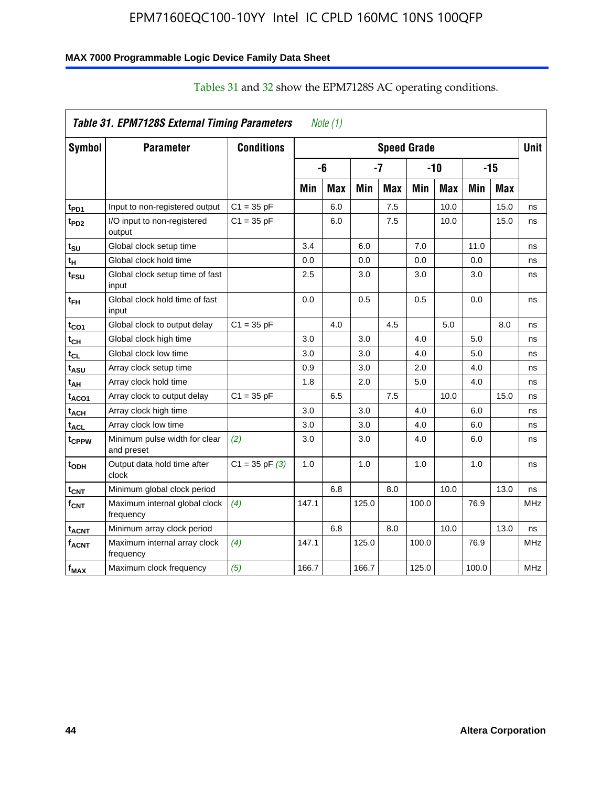### **MAX 7000 Programmable Logic Device Family Data Sheet**

|                             | Table 31. EPM7128S External Timing Parameters |                   |       | Note $(1)$ |            |            |                    |            |       |            |             |
|-----------------------------|-----------------------------------------------|-------------------|-------|------------|------------|------------|--------------------|------------|-------|------------|-------------|
| Symbol                      | <b>Parameter</b>                              | <b>Conditions</b> |       |            |            |            | <b>Speed Grade</b> |            |       |            | <b>Unit</b> |
|                             |                                               |                   |       | -6         |            | -7         |                    | $-10$      |       | $-15$      |             |
|                             |                                               |                   | Min   | <b>Max</b> | <b>Min</b> | <b>Max</b> | Min                | <b>Max</b> | Min   | <b>Max</b> |             |
| t <sub>PD1</sub>            | Input to non-registered output                | $C1 = 35 pF$      |       | 6.0        |            | 7.5        |                    | 10.0       |       | 15.0       | ns          |
| t <sub>PD2</sub>            | I/O input to non-registered<br>output         | $C1 = 35 pF$      |       | 6.0        |            | 7.5        |                    | 10.0       |       | 15.0       | ns          |
| tsu                         | Global clock setup time                       |                   | 3.4   |            | 6.0        |            | 7.0                |            | 11.0  |            | ns          |
| t <sub>H</sub>              | Global clock hold time                        |                   | 0.0   |            | 0.0        |            | 0.0                |            | 0.0   |            | ns          |
| t <sub>FSU</sub>            | Global clock setup time of fast<br>input      |                   | 2.5   |            | 3.0        |            | 3.0                |            | 3.0   |            | ns          |
| t <sub>ЕН</sub>             | Global clock hold time of fast<br>input       |                   | 0.0   |            | 0.5        |            | 0.5                |            | 0.0   |            | ns          |
| $t_{CO1}$                   | Global clock to output delay                  | $C1 = 35 pF$      |       | 4.0        |            | 4.5        |                    | 5.0        |       | 8.0        | ns          |
| $t_{\mathsf{CH}}$           | Global clock high time                        |                   | 3.0   |            | 3.0        |            | 4.0                |            | 5.0   |            | ns          |
| $t_{CL}$                    | Global clock low time                         |                   | 3.0   |            | 3.0        |            | 4.0                |            | 5.0   |            | ns          |
| t <sub>ASU</sub>            | Array clock setup time                        |                   | 0.9   |            | 3.0        |            | 2.0                |            | 4.0   |            | ns          |
| t <sub>АН</sub>             | Array clock hold time                         |                   | 1.8   |            | 2.0        |            | 5.0                |            | 4.0   |            | ns          |
| t <sub>ACO1</sub>           | Array clock to output delay                   | $C1 = 35 pF$      |       | 6.5        |            | 7.5        |                    | 10.0       |       | 15.0       | ns          |
| t <sub>АСН</sub>            | Array clock high time                         |                   | 3.0   |            | 3.0        |            | 4.0                |            | 6.0   |            | ns          |
| $\mathsf{t}_{\mathsf{ACL}}$ | Array clock low time                          |                   | 3.0   |            | 3.0        |            | 4.0                |            | 6.0   |            | ns          |
| t <sub>CPPW</sub>           | Minimum pulse width for clear<br>and preset   | (2)               | 3.0   |            | 3.0        |            | 4.0                |            | 6.0   |            | ns          |
| t <sub>ODH</sub>            | Output data hold time after<br>clock          | $C1 = 35 pF(3)$   | 1.0   |            | 1.0        |            | 1.0                |            | 1.0   |            | ns          |
| $t_{\mathsf{CNT}}$          | Minimum global clock period                   |                   |       | 6.8        |            | 8.0        |                    | 10.0       |       | 13.0       | ns          |
| $f_{\text{CNT}}$            | Maximum internal global clock<br>frequency    | (4)               | 147.1 |            | 125.0      |            | 100.0              |            | 76.9  |            | <b>MHz</b>  |
| <sup>t</sup> acnt           | Minimum array clock period                    |                   |       | 6.8        |            | 8.0        |                    | 10.0       |       | 13.0       | ns          |
| <b>f<sub>ACNT</sub></b>     | Maximum internal array clock<br>frequency     | (4)               | 147.1 |            | 125.0      |            | 100.0              |            | 76.9  |            | <b>MHz</b>  |
| $f_{MAX}$                   | Maximum clock frequency                       | (5)               | 166.7 |            | 166.7      |            | 125.0              |            | 100.0 |            | MHz         |

# Tables 31 and 32 show the EPM7128S AC operating conditions.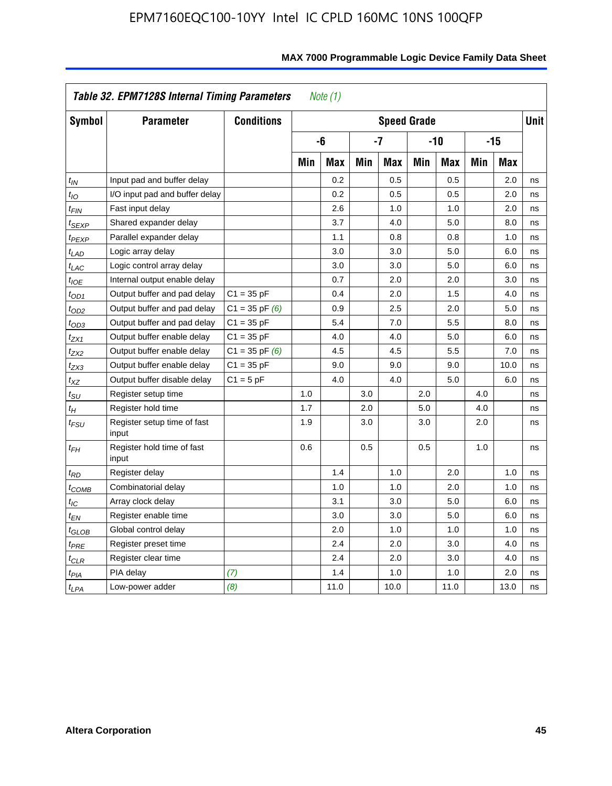|                    | Table 32. EPM7128S Internal Timing Parameters |                    |     | Note $(1)$ |            |                    |     |            |     |            |      |
|--------------------|-----------------------------------------------|--------------------|-----|------------|------------|--------------------|-----|------------|-----|------------|------|
| Symbol             | <b>Parameter</b>                              | <b>Conditions</b>  |     |            |            | <b>Speed Grade</b> |     |            |     |            | Unit |
|                    |                                               |                    |     | -6         |            | $-7$               |     | $-10$      |     | $-15$      |      |
|                    |                                               |                    | Min | <b>Max</b> | <b>Min</b> | <b>Max</b>         | Min | <b>Max</b> | Min | <b>Max</b> |      |
| $t_{IN}$           | Input pad and buffer delay                    |                    |     | 0.2        |            | 0.5                |     | 0.5        |     | 2.0        | ns   |
| $t_{IO}$           | I/O input pad and buffer delay                |                    |     | 0.2        |            | 0.5                |     | 0.5        |     | 2.0        | ns   |
| $t_{\textit{FIN}}$ | Fast input delay                              |                    |     | 2.6        |            | 1.0                |     | 1.0        |     | 2.0        | ns   |
| <sup>t</sup> SEXP  | Shared expander delay                         |                    |     | 3.7        |            | 4.0                |     | 5.0        |     | 8.0        | ns   |
| t <sub>PEXP</sub>  | Parallel expander delay                       |                    |     | 1.1        |            | 0.8                |     | 0.8        |     | 1.0        | ns   |
| $t_{LAD}$          | Logic array delay                             |                    |     | 3.0        |            | 3.0                |     | 5.0        |     | 6.0        | ns   |
| $t_{LAC}$          | Logic control array delay                     |                    |     | 3.0        |            | 3.0                |     | 5.0        |     | 6.0        | ns   |
| $t_{IOE}$          | Internal output enable delay                  |                    |     | 0.7        |            | 2.0                |     | 2.0        |     | 3.0        | ns   |
| $t_{OD1}$          | Output buffer and pad delay                   | $C1 = 35 pF$       |     | 0.4        |            | 2.0                |     | 1.5        |     | 4.0        | ns   |
| $t_{OD2}$          | Output buffer and pad delay                   | $C1 = 35$ pF $(6)$ |     | 0.9        |            | 2.5                |     | 2.0        |     | 5.0        | ns   |
| $t_{OD3}$          | Output buffer and pad delay                   | $C1 = 35 pF$       |     | 5.4        |            | 7.0                |     | 5.5        |     | 8.0        | ns   |
| $t_{ZX1}$          | Output buffer enable delay                    | $C1 = 35 pF$       |     | 4.0        |            | 4.0                |     | 5.0        |     | 6.0        | ns   |
| $t_{ZX2}$          | Output buffer enable delay                    | $C1 = 35$ pF $(6)$ |     | 4.5        |            | 4.5                |     | 5.5        |     | 7.0        | ns   |
| tzx3               | Output buffer enable delay                    | $C1 = 35 pF$       |     | 9.0        |            | 9.0                |     | 9.0        |     | 10.0       | ns   |
| $t_{\mathsf{XZ}}$  | Output buffer disable delay                   | $C1 = 5 pF$        |     | 4.0        |            | 4.0                |     | 5.0        |     | 6.0        | ns   |
| $t_{\rm SU}$       | Register setup time                           |                    | 1.0 |            | 3.0        |                    | 2.0 |            | 4.0 |            | ns   |
| $t_H$              | Register hold time                            |                    | 1.7 |            | 2.0        |                    | 5.0 |            | 4.0 |            | ns   |
| $t_{\it FSU}$      | Register setup time of fast<br>input          |                    | 1.9 |            | 3.0        |                    | 3.0 |            | 2.0 |            | ns   |
| $t_{FH}$           | Register hold time of fast<br>input           |                    | 0.6 |            | 0.5        |                    | 0.5 |            | 1.0 |            | ns   |
| t <sub>RD</sub>    | Register delay                                |                    |     | 1.4        |            | 1.0                |     | 2.0        |     | 1.0        | ns   |
| t <sub>COMB</sub>  | Combinatorial delay                           |                    |     | 1.0        |            | 1.0                |     | 2.0        |     | 1.0        | ns   |
| $t_{IC}$           | Array clock delay                             |                    |     | 3.1        |            | 3.0                |     | 5.0        |     | 6.0        | ns   |
| t <sub>EN</sub>    | Register enable time                          |                    |     | 3.0        |            | 3.0                |     | 5.0        |     | 6.0        | ns   |
| t <sub>GLOB</sub>  | Global control delay                          |                    |     | 2.0        |            | 1.0                |     | 1.0        |     | 1.0        | ns   |
| $t_{PRE}$          | Register preset time                          |                    |     | 2.4        |            | 2.0                |     | 3.0        |     | 4.0        | ns   |
| $t_{CLR}$          | Register clear time                           |                    |     | 2.4        |            | 2.0                |     | 3.0        |     | 4.0        | ns   |
| t <sub>PIA</sub>   | PIA delay                                     | (7)                |     | 1.4        |            | 1.0                |     | 1.0        |     | 2.0        | ns   |
| $t_{LPA}$          | Low-power adder                               | (8)                |     | 11.0       |            | 10.0               |     | 11.0       |     | 13.0       | ns   |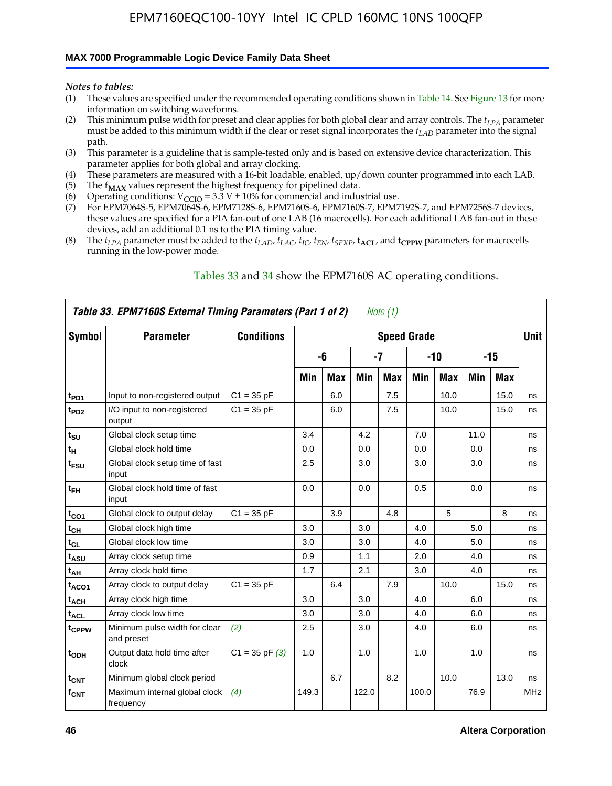#### **MAX 7000 Programmable Logic Device Family Data Sheet**

*Notes to tables:*

- (1) These values are specified under the recommended operating conditions shown in Table 14. See Figure 13 for more information on switching waveforms.
- (2) This minimum pulse width for preset and clear applies for both global clear and array controls. The  $t_{LPA}$  parameter must be added to this minimum width if the clear or reset signal incorporates the *tLAD* parameter into the signal path.
- (3) This parameter is a guideline that is sample-tested only and is based on extensive device characterization. This parameter applies for both global and array clocking.
- (4) These parameters are measured with a 16-bit loadable, enabled, up/down counter programmed into each LAB.
- (5) The  $f_{MAX}$  values represent the highest frequency for pipelined data.
- (6) Operating conditions:  $V_{\text{CCIO}} = 3.3 \text{ V} \pm 10\%$  for commercial and industrial use.
- (7) For EPM7064S-5, EPM7064S-6, EPM7128S-6, EPM7160S-6, EPM7160S-7, EPM7192S-7, and EPM7256S-7 devices, these values are specified for a PIA fan-out of one LAB (16 macrocells). For each additional LAB fan-out in these devices, add an additional 0.1 ns to the PIA timing value.
- (8) The  $t_{LPA}$  parameter must be added to the  $t_{LAD}$ ,  $t_{LAC}$ ,  $t_{IC}$ ,  $t_{EN}$ ,  $t_{SEXP}$ ,  $t_{ACL}$ , and  $t_{CPPW}$  parameters for macrocells running in the low-power mode.

|                  | Table 33. EPM7160S External Timing Parameters (Part 1 of 2) |                    |       |            |       | Note (1)   |                    |            |      |      |            |
|------------------|-------------------------------------------------------------|--------------------|-------|------------|-------|------------|--------------------|------------|------|------|------------|
| Symbol           | <b>Parameter</b>                                            | <b>Conditions</b>  |       |            |       |            | <b>Speed Grade</b> |            |      |      | Unit       |
|                  |                                                             |                    |       | -6         |       | -7         |                    | -10        |      | -15  |            |
|                  |                                                             |                    | Min   | <b>Max</b> | Min   | <b>Max</b> | Min                | <b>Max</b> | Min  | Max  |            |
| t <sub>PD1</sub> | Input to non-registered output                              | $C1 = 35 pF$       |       | 6.0        |       | 7.5        |                    | 10.0       |      | 15.0 | ns         |
| t <sub>PD2</sub> | I/O input to non-registered<br>output                       | $C1 = 35 pF$       |       | 6.0        |       | 7.5        |                    | 10.0       |      | 15.0 | ns         |
| $t_{\text{SU}}$  | Global clock setup time                                     |                    | 3.4   |            | 4.2   |            | 7.0                |            | 11.0 |      | ns         |
| $t_H$            | Global clock hold time                                      |                    | 0.0   |            | 0.0   |            | 0.0                |            | 0.0  |      | ns         |
| t <sub>FSU</sub> | Global clock setup time of fast<br>input                    |                    | 2.5   |            | 3.0   |            | 3.0                |            | 3.0  |      | ns         |
| $t_{FH}$         | Global clock hold time of fast<br>input                     |                    | 0.0   |            | 0.0   |            | 0.5                |            | 0.0  |      | ns         |
| $t_{CO1}$        | Global clock to output delay                                | $C1 = 35 pF$       |       | 3.9        |       | 4.8        |                    | 5          |      | 8    | ns         |
| $t_{CH}$         | Global clock high time                                      |                    | 3.0   |            | 3.0   |            | 4.0                |            | 5.0  |      | ns         |
| $t_{CL}$         | Global clock low time                                       |                    | 3.0   |            | 3.0   |            | 4.0                |            | 5.0  |      | ns         |
| t <sub>ASU</sub> | Array clock setup time                                      |                    | 0.9   |            | 1.1   |            | 2.0                |            | 4.0  |      | ns         |
| t <sub>АН</sub>  | Array clock hold time                                       |                    | 1.7   |            | 2.1   |            | 3.0                |            | 4.0  |      | ns         |
| $t_{ACO1}$       | Array clock to output delay                                 | $C1 = 35 pF$       |       | 6.4        |       | 7.9        |                    | 10.0       |      | 15.0 | ns         |
| $t_{ACH}$        | Array clock high time                                       |                    | 3.0   |            | 3.0   |            | 4.0                |            | 6.0  |      | ns         |
| $t_{\sf ACL}$    | Array clock low time                                        |                    | 3.0   |            | 3.0   |            | 4.0                |            | 6.0  |      | ns         |
| tcppw            | Minimum pulse width for clear<br>and preset                 | (2)                | 2.5   |            | 3.0   |            | 4.0                |            | 6.0  |      | ns         |
| t <sub>ODH</sub> | Output data hold time after<br>clock                        | $C1 = 35$ pF $(3)$ | 1.0   |            | 1.0   |            | 1.0                |            | 1.0  |      | ns         |
| $t_{\text{CNT}}$ | Minimum global clock period                                 |                    |       | 6.7        |       | 8.2        |                    | 10.0       |      | 13.0 | ns         |
| $f_{\text{CNT}}$ | Maximum internal global clock<br>frequency                  | (4)                | 149.3 |            | 122.0 |            | 100.0              |            | 76.9 |      | <b>MHz</b> |

### Tables 33 and 34 show the EPM7160S AC operating conditions.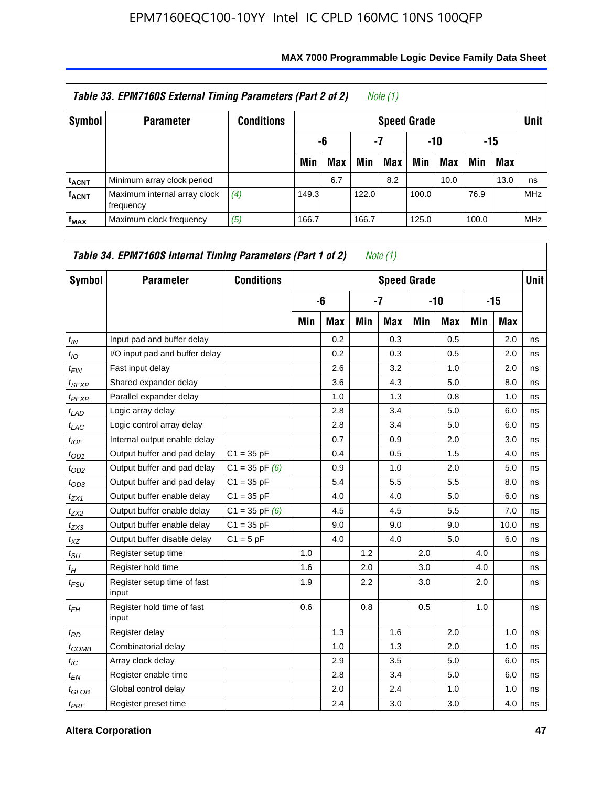|                         | Table 33. EPM7160S External Timing Parameters (Part 2 of 2) |                   |       |            |       | Note (1)           |       |      |       |            |             |
|-------------------------|-------------------------------------------------------------|-------------------|-------|------------|-------|--------------------|-------|------|-------|------------|-------------|
| Symbol                  | <b>Parameter</b>                                            | <b>Conditions</b> |       |            |       | <b>Speed Grade</b> |       |      |       |            | <b>Unit</b> |
|                         |                                                             |                   |       | -6         | -7    |                    | -10   |      |       | -15        |             |
|                         |                                                             |                   | Min   | <b>Max</b> | Min   | Max                | Min   | Max  | Min   | <b>Max</b> |             |
| <sup>t</sup> acnt       | Minimum array clock period                                  |                   |       | 6.7        |       | 8.2                |       | 10.0 |       | 13.0       | ns          |
| <b>f<sub>ACNT</sub></b> | Maximum internal array clock<br>frequency                   | (4)               | 149.3 |            | 122.0 |                    | 100.0 |      | 76.9  |            | <b>MHz</b>  |
| $f_{MAX}$               | Maximum clock frequency                                     | (5)               | 166.7 |            | 166.7 |                    | 125.0 |      | 100.0 |            | <b>MHz</b>  |

| Symbol            | <b>Parameter</b>                     | <b>Conditions</b>  |     |            |     | <b>Speed Grade</b> |     |            |     |       | <b>Unit</b> |
|-------------------|--------------------------------------|--------------------|-----|------------|-----|--------------------|-----|------------|-----|-------|-------------|
|                   |                                      |                    |     | -6         |     | $-7$               |     | -10        |     | $-15$ |             |
|                   |                                      |                    | Min | <b>Max</b> | Min | <b>Max</b>         | Min | <b>Max</b> | Min | Max   |             |
| $t_{IN}$          | Input pad and buffer delay           |                    |     | 0.2        |     | 0.3                |     | 0.5        |     | 2.0   | ns          |
| $t_{IO}$          | I/O input pad and buffer delay       |                    |     | 0.2        |     | 0.3                |     | 0.5        |     | 2.0   | ns          |
| $t_{FIN}$         | Fast input delay                     |                    |     | 2.6        |     | 3.2                |     | 1.0        |     | 2.0   | ns          |
| $t_{SEXP}$        | Shared expander delay                |                    |     | 3.6        |     | 4.3                |     | 5.0        |     | 8.0   | ns          |
| <sup>t</sup> PEXP | Parallel expander delay              |                    |     | 1.0        |     | 1.3                |     | 0.8        |     | 1.0   | ns          |
| $t_{LAD}$         | Logic array delay                    |                    |     | 2.8        |     | 3.4                |     | 5.0        |     | 6.0   | ns          |
| $t_{LAC}$         | Logic control array delay            |                    |     | 2.8        |     | 3.4                |     | 5.0        |     | 6.0   | ns          |
| $t_{IOE}$         | Internal output enable delay         |                    |     | 0.7        |     | 0.9                |     | 2.0        |     | 3.0   | ns          |
| $t_{OD1}$         | Output buffer and pad delay          | $C1 = 35 pF$       |     | 0.4        |     | 0.5                |     | 1.5        |     | 4.0   | ns          |
| $t_{OD2}$         | Output buffer and pad delay          | $C1 = 35$ pF $(6)$ |     | 0.9        |     | 1.0                |     | 2.0        |     | 5.0   | ns          |
| $t_{OD3}$         | Output buffer and pad delay          | $C1 = 35 pF$       |     | 5.4        |     | 5.5                |     | 5.5        |     | 8.0   | ns          |
| $t_{ZX1}$         | Output buffer enable delay           | $C1 = 35 pF$       |     | 4.0        |     | 4.0                |     | 5.0        |     | 6.0   | ns          |
| $t_{ZX2}$         | Output buffer enable delay           | $C1 = 35$ pF $(6)$ |     | 4.5        |     | 4.5                |     | 5.5        |     | 7.0   | ns          |
| $t_{ZX3}$         | Output buffer enable delay           | $C1 = 35 pF$       |     | 9.0        |     | 9.0                |     | 9.0        |     | 10.0  | ns          |
| $t_{XZ}$          | Output buffer disable delay          | $C1 = 5pF$         |     | 4.0        |     | 4.0                |     | 5.0        |     | 6.0   | ns          |
| $t_{\rm SU}$      | Register setup time                  |                    | 1.0 |            | 1.2 |                    | 2.0 |            | 4.0 |       | ns          |
| $t_H$             | Register hold time                   |                    | 1.6 |            | 2.0 |                    | 3.0 |            | 4.0 |       | ns          |
| $t_{FSU}$         | Register setup time of fast<br>input |                    | 1.9 |            | 2.2 |                    | 3.0 |            | 2.0 |       | ns          |
| $t_{FH}$          | Register hold time of fast<br>input  |                    | 0.6 |            | 0.8 |                    | 0.5 |            | 1.0 |       | ns          |
| $t_{RD}$          | Register delay                       |                    |     | 1.3        |     | 1.6                |     | 2.0        |     | 1.0   | ns          |
| $t_{COMB}$        | Combinatorial delay                  |                    |     | 1.0        |     | 1.3                |     | 2.0        |     | 1.0   | ns          |
| $t_{\text{IC}}$   | Array clock delay                    |                    |     | 2.9        |     | 3.5                |     | 5.0        |     | 6.0   | ns          |
| $t_{EN}$          | Register enable time                 |                    |     | 2.8        |     | 3.4                |     | 5.0        |     | 6.0   | ns          |
| $t_{GLOB}$        | Global control delay                 |                    |     | 2.0        |     | 2.4                |     | 1.0        |     | 1.0   | ns          |
| $t_{PRE}$         | Register preset time                 |                    |     | 2.4        |     | 3.0                |     | 3.0        |     | 4.0   | ns          |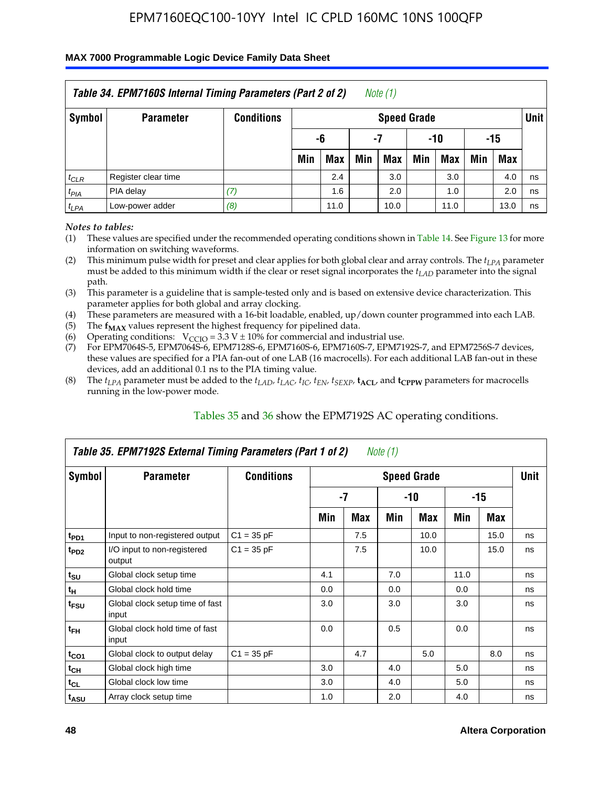### **MAX 7000 Programmable Logic Device Family Data Sheet**

|           | Table 34. EPM7160S Internal Timing Parameters (Part 2 of 2) |                   |                        |            |     | Note (1)           |     |      |     |            |             |  |
|-----------|-------------------------------------------------------------|-------------------|------------------------|------------|-----|--------------------|-----|------|-----|------------|-------------|--|
| Symbol    | <b>Parameter</b>                                            | <b>Conditions</b> |                        |            |     | <b>Speed Grade</b> |     |      |     |            | <b>Unit</b> |  |
|           |                                                             |                   | -15<br>-6<br>-7<br>-10 |            |     |                    |     |      |     |            |             |  |
|           |                                                             |                   | Min                    | <b>Max</b> | Min | <b>Max</b>         | Min | Max  | Min | <b>Max</b> |             |  |
| $t_{CLR}$ | Register clear time                                         |                   |                        | 2.4        |     | 3.0                |     | 3.0  |     | 4.0        | ns          |  |
| $t_{PIA}$ | PIA delay                                                   | (7)               |                        | 1.6        |     | 2.0                |     | 1.0  |     | 2.0        | ns          |  |
| $t_{LPA}$ | Low-power adder                                             | (8)               |                        | 11.0       |     | 10.0               |     | 11.0 |     | 13.0       | ns          |  |

*Notes to tables:*

- (1) These values are specified under the recommended operating conditions shown in Table 14. See Figure 13 for more information on switching waveforms.
- (2) This minimum pulse width for preset and clear applies for both global clear and array controls. The  $t_{LPA}$  parameter must be added to this minimum width if the clear or reset signal incorporates the *t<sub>LAD</sub>* parameter into the signal path.
- (3) This parameter is a guideline that is sample-tested only and is based on extensive device characterization. This parameter applies for both global and array clocking.
- (4) These parameters are measured with a 16-bit loadable, enabled, up/down counter programmed into each LAB.
- (5) The  $f_{MAX}$  values represent the highest frequency for pipelined data.
- (6) Operating conditions:  $V_{\text{CCIO}} = 3.3 V \pm 10\%$  for commercial and industrial use.
- (7) For EPM7064S-5, EPM7064S-6, EPM7128S-6, EPM7160S-6, EPM7160S-7, EPM7192S-7, and EPM7256S-7 devices, these values are specified for a PIA fan-out of one LAB (16 macrocells). For each additional LAB fan-out in these devices, add an additional 0.1 ns to the PIA timing value.
- (8) The  $t_{LPA}$  parameter must be added to the  $t_{LAP}$ ,  $t_{LAC}$ ,  $t_{IC}$ ,  $t_{EN}$ ,  $t_{SEXP}$ ,  $t_{ACL}$ , and  $t_{CPPW}$  parameters for macrocells running in the low-power mode.

|                             | Table 35. EPM7192S External Timing Parameters (Part 1 of 2) |                   |     |      | Note $(1)$ |                    |      |       |             |
|-----------------------------|-------------------------------------------------------------|-------------------|-----|------|------------|--------------------|------|-------|-------------|
| Symbol                      | <b>Parameter</b>                                            | <b>Conditions</b> |     |      |            | <b>Speed Grade</b> |      |       | <b>Unit</b> |
|                             |                                                             |                   |     | $-7$ |            | -10                |      | $-15$ |             |
|                             |                                                             |                   | Min | Max  | Min        | <b>Max</b>         | Min  | Max   |             |
| t <sub>PD1</sub>            | Input to non-registered output                              | $C1 = 35 pF$      |     | 7.5  |            | 10.0               |      | 15.0  | ns          |
| $t_{PD2}$                   | I/O input to non-registered<br>output                       | $C1 = 35 pF$      |     | 7.5  |            | 10.0               |      | 15.0  | ns          |
| $t_{\scriptstyle\text{SU}}$ | Global clock setup time                                     |                   | 4.1 |      | 7.0        |                    | 11.0 |       | ns          |
| $t_H$                       | Global clock hold time                                      |                   | 0.0 |      | 0.0        |                    | 0.0  |       | ns          |
| t <sub>FSU</sub>            | Global clock setup time of fast<br>input                    |                   | 3.0 |      | 3.0        |                    | 3.0  |       | ns          |
| $t_{FH}$                    | Global clock hold time of fast<br>input                     |                   | 0.0 |      | 0.5        |                    | 0.0  |       | ns          |
| $t_{CO1}$                   | Global clock to output delay                                | $C1 = 35 pF$      |     | 4.7  |            | 5.0                |      | 8.0   | ns          |
| $t_{CH}$                    | Global clock high time                                      |                   | 3.0 |      | 4.0        |                    | 5.0  |       | ns          |
| $t_{CL}$                    | Global clock low time                                       |                   | 3.0 |      | 4.0        |                    | 5.0  |       | ns          |
| t <sub>ASU</sub>            | Array clock setup time                                      |                   | 1.0 |      | 2.0        |                    | 4.0  |       | ns          |

### Tables 35 and 36 show the EPM7192S AC operating conditions.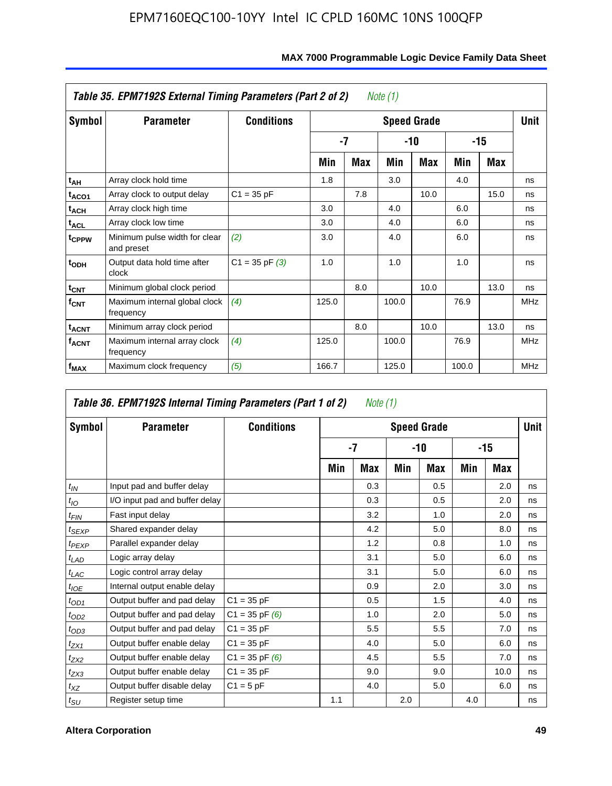|                         | Table 35. EPM7192S External Timing Parameters (Part 2 of 2) |                    |       |      | Note (1) |                    |       |      |            |
|-------------------------|-------------------------------------------------------------|--------------------|-------|------|----------|--------------------|-------|------|------------|
| Symbol                  | <b>Parameter</b>                                            | <b>Conditions</b>  |       |      |          | <b>Speed Grade</b> |       |      | Unit       |
|                         |                                                             |                    |       | $-7$ |          | -10                |       | -15  |            |
|                         |                                                             |                    | Min   | Max  | Min      | Max                | Min   | Max  |            |
| t <sub>АН</sub>         | Array clock hold time                                       |                    | 1.8   |      | 3.0      |                    | 4.0   |      | ns         |
| t <sub>ACO1</sub>       | Array clock to output delay                                 | $C1 = 35 pF$       |       | 7.8  |          | 10.0               |       | 15.0 | ns         |
| $t_{\sf ACH}$           | Array clock high time                                       |                    | 3.0   |      | 4.0      |                    | 6.0   |      | ns         |
| $t_{\sf ACL}$           | Array clock low time                                        |                    | 3.0   |      | 4.0      |                    | 6.0   |      | ns         |
| t <sub>CPPW</sub>       | Minimum pulse width for clear<br>and preset                 | (2)                | 3.0   |      | 4.0      |                    | 6.0   |      | ns         |
| $t_{ODH}$               | Output data hold time after<br>clock                        | $C1 = 35$ pF $(3)$ | 1.0   |      | 1.0      |                    | 1.0   |      | ns         |
| $t_{\mathsf{CNT}}$      | Minimum global clock period                                 |                    |       | 8.0  |          | 10.0               |       | 13.0 | ns         |
| $f_{\text{CNT}}$        | Maximum internal global clock<br>frequency                  | (4)                | 125.0 |      | 100.0    |                    | 76.9  |      | <b>MHz</b> |
| $t_{ACNT}$              | Minimum array clock period                                  |                    |       | 8.0  |          | 10.0               |       | 13.0 | ns         |
| <b>f<sub>ACNT</sub></b> | Maximum internal array clock<br>frequency                   | (4)                | 125.0 |      | 100.0    |                    | 76.9  |      | <b>MHz</b> |
| f <sub>MAX</sub>        | Maximum clock frequency                                     | (5)                | 166.7 |      | 125.0    |                    | 100.0 |      | <b>MHz</b> |

### **MAX 7000 Programmable Logic Device Family Data Sheet**

|                    | Table 36. EPM7192S Internal Timing Parameters (Part 1 of 2) |                    |     | Note (1) |     |                    |     |       |      |
|--------------------|-------------------------------------------------------------|--------------------|-----|----------|-----|--------------------|-----|-------|------|
| Symbol             | <b>Parameter</b>                                            | <b>Conditions</b>  |     |          |     | <b>Speed Grade</b> |     |       | Unit |
|                    |                                                             |                    |     | -7       |     | -10                |     | $-15$ |      |
|                    |                                                             |                    | Min | Max      | Min | Max                | Min | Max   |      |
| $t_{IN}$           | Input pad and buffer delay                                  |                    |     | 0.3      |     | 0.5                |     | 2.0   | ns   |
| $t_{IO}$           | I/O input pad and buffer delay                              |                    |     | 0.3      |     | 0.5                |     | 2.0   | ns   |
| $t_{\textit{FIN}}$ | Fast input delay                                            |                    |     | 3.2      |     | 1.0                |     | 2.0   | ns   |
| $t_{SEXP}$         | Shared expander delay                                       |                    |     | 4.2      |     | 5.0                |     | 8.0   | ns   |
| $t_{PEXP}$         | Parallel expander delay                                     |                    |     | 1.2      |     | 0.8                |     | 1.0   | ns   |
| $t_{LAD}$          | Logic array delay                                           |                    |     | 3.1      |     | 5.0                |     | 6.0   | ns   |
| $t_{LAC}$          | Logic control array delay                                   |                    |     | 3.1      |     | 5.0                |     | 6.0   | ns   |
| $t_{IOE}$          | Internal output enable delay                                |                    |     | 0.9      |     | 2.0                |     | 3.0   | ns   |
| $t_{OD1}$          | Output buffer and pad delay                                 | $C1 = 35 pF$       |     | 0.5      |     | 1.5                |     | 4.0   | ns   |
| $t_{OD2}$          | Output buffer and pad delay                                 | $C1 = 35$ pF $(6)$ |     | 1.0      |     | 2.0                |     | 5.0   | ns   |
| $t_{OD3}$          | Output buffer and pad delay                                 | $C1 = 35 pF$       |     | 5.5      |     | 5.5                |     | 7.0   | ns   |
| $t_{ZX1}$          | Output buffer enable delay                                  | $C1 = 35 pF$       |     | 4.0      |     | 5.0                |     | 6.0   | ns   |
| $t_{ZX2}$          | Output buffer enable delay                                  | $C1 = 35$ pF $(6)$ |     | 4.5      |     | 5.5                |     | 7.0   | ns   |
| $t_{ZX3}$          | Output buffer enable delay                                  | $C1 = 35 pF$       |     | 9.0      |     | 9.0                |     | 10.0  | ns   |
| $t_{XZ}$           | Output buffer disable delay                                 | $C1 = 5pF$         |     | 4.0      |     | 5.0                |     | 6.0   | ns   |
| $t_{\text{SU}}$    | Register setup time                                         |                    | 1.1 |          | 2.0 |                    | 4.0 |       | ns   |

**F**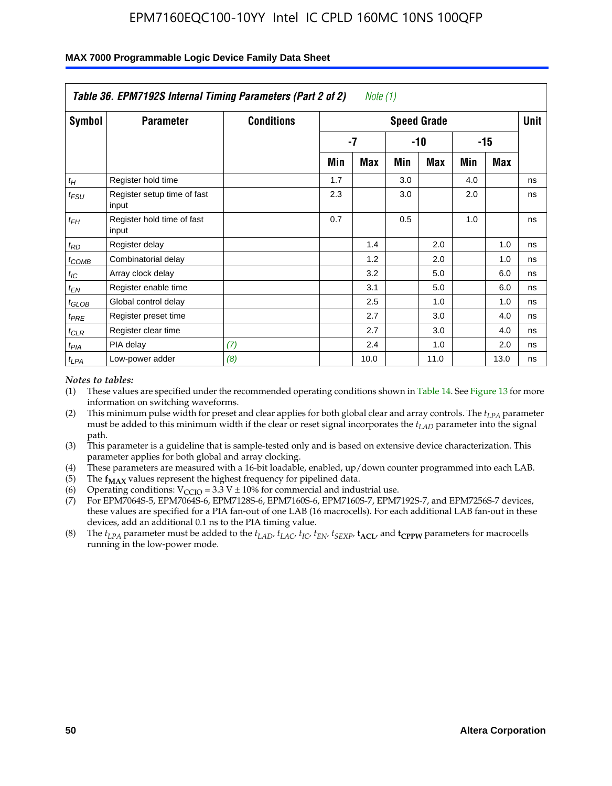|                    | Table 36. EPM7192S Internal Timing Parameters (Part 2 of 2) |                   |     | Note (1) |     |                    |     |       |      |
|--------------------|-------------------------------------------------------------|-------------------|-----|----------|-----|--------------------|-----|-------|------|
| Symbol             | <b>Parameter</b>                                            | <b>Conditions</b> |     |          |     | <b>Speed Grade</b> |     |       | Unit |
|                    |                                                             |                   |     | -7       |     | -10                |     | $-15$ |      |
|                    |                                                             |                   | Min | Max      | Min | Max                | Min | Max   |      |
| $t_H$              | Register hold time                                          |                   | 1.7 |          | 3.0 |                    | 4.0 |       | ns   |
| $t_{\mathit{FSU}}$ | Register setup time of fast<br>input                        |                   | 2.3 |          | 3.0 |                    | 2.0 |       | ns   |
| $t_{FH}$           | Register hold time of fast<br>input                         |                   | 0.7 |          | 0.5 |                    | 1.0 |       | ns   |
| $t_{RD}$           | Register delay                                              |                   |     | 1.4      |     | 2.0                |     | 1.0   | ns   |
| $t_{COMB}$         | Combinatorial delay                                         |                   |     | 1.2      |     | 2.0                |     | 1.0   | ns   |
| $t_{IC}$           | Array clock delay                                           |                   |     | 3.2      |     | 5.0                |     | 6.0   | ns   |
| $t_{EN}$           | Register enable time                                        |                   |     | 3.1      |     | 5.0                |     | 6.0   | ns   |
| $t_{GLOB}$         | Global control delay                                        |                   |     | 2.5      |     | 1.0                |     | 1.0   | ns   |
| $t_{PRE}$          | Register preset time                                        |                   |     | 2.7      |     | 3.0                |     | 4.0   | ns   |
| $t_{CLR}$          | Register clear time                                         |                   |     | 2.7      |     | 3.0                |     | 4.0   | ns   |
| t <sub>PIA</sub>   | PIA delay                                                   | (7)               |     | 2.4      |     | 1.0                |     | 2.0   | ns   |
| $t_{LPA}$          | Low-power adder                                             | (8)               |     | 10.0     |     | 11.0               |     | 13.0  | ns   |

#### **MAX 7000 Programmable Logic Device Family Data Sheet**

#### *Notes to tables:*

- (1) These values are specified under the recommended operating conditions shown in Table 14. See Figure 13 for more information on switching waveforms.
- (2) This minimum pulse width for preset and clear applies for both global clear and array controls. The *tLPA* parameter must be added to this minimum width if the clear or reset signal incorporates the *t<sub>LAD</sub>* parameter into the signal path.
- (3) This parameter is a guideline that is sample-tested only and is based on extensive device characterization. This parameter applies for both global and array clocking.
- (4) These parameters are measured with a 16-bit loadable, enabled, up/down counter programmed into each LAB.
- (5) The  $f_{MAX}$  values represent the highest frequency for pipelined data.
- (6) Operating conditions:  $V_{\text{CCIO}} = 3.3 \text{ V} \pm 10\%$  for commercial and industrial use.
- (7) For EPM7064S-5, EPM7064S-6, EPM7128S-6, EPM7160S-6, EPM7160S-7, EPM7192S-7, and EPM7256S-7 devices, these values are specified for a PIA fan-out of one LAB (16 macrocells). For each additional LAB fan-out in these devices, add an additional 0.1 ns to the PIA timing value.
- (8) The  $t_{LPA}$  parameter must be added to the  $t_{LAD}$ ,  $t_{LAC}$ ,  $t_{IC}$ ,  $t_{EN}$ ,  $t_{SIX}$ ,  $t_{ACL}$ , and  $t_{CPW}$  parameters for macrocells running in the low-power mode.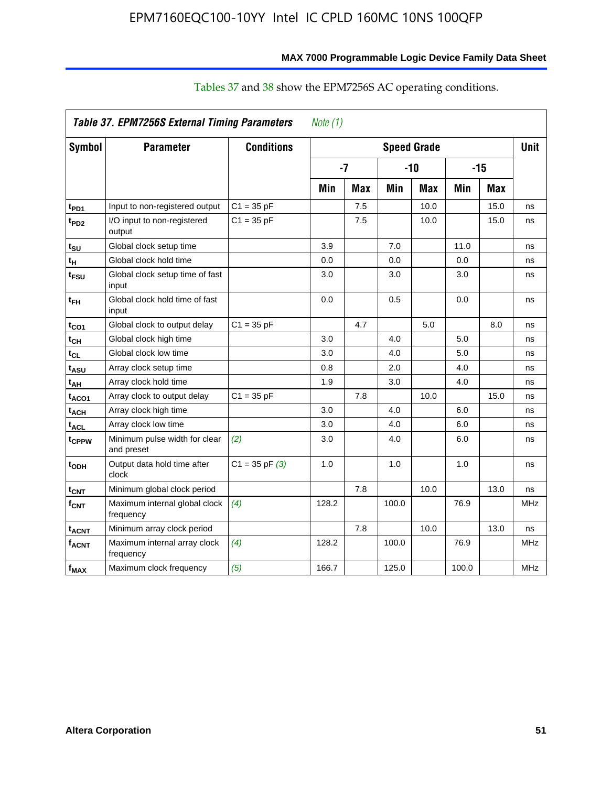|                         | Table 37. EPM7256S External Timing Parameters |                    | Note $(1)$ |            |       |                    |       |            |            |
|-------------------------|-----------------------------------------------|--------------------|------------|------------|-------|--------------------|-------|------------|------------|
| Symbol                  | <b>Parameter</b>                              | <b>Conditions</b>  |            |            |       | <b>Speed Grade</b> |       |            | Unit       |
|                         |                                               |                    |            | $-7$       |       | $-10$              |       | $-15$      |            |
|                         |                                               |                    | Min        | <b>Max</b> | Min   | <b>Max</b>         | Min   | <b>Max</b> |            |
| t <sub>PD1</sub>        | Input to non-registered output                | $C1 = 35 pF$       |            | 7.5        |       | 10.0               |       | 15.0       | ns         |
| t <sub>PD2</sub>        | I/O input to non-registered<br>output         | $C1 = 35 pF$       |            | 7.5        |       | 10.0               |       | 15.0       | ns         |
| $t_{\text{SU}}$         | Global clock setup time                       |                    | 3.9        |            | 7.0   |                    | 11.0  |            | ns         |
| tμ                      | Global clock hold time                        |                    | 0.0        |            | 0.0   |                    | 0.0   |            | ns         |
| t <sub>FSU</sub>        | Global clock setup time of fast<br>input      |                    | 3.0        |            | 3.0   |                    | 3.0   |            | ns         |
| $t_{FH}$                | Global clock hold time of fast<br>input       |                    | 0.0        |            | 0.5   |                    | 0.0   |            | ns         |
| $t_{CO1}$               | Global clock to output delay                  | $C1 = 35 pF$       |            | 4.7        |       | 5.0                |       | 8.0        | ns         |
| $t_{\mathsf{CH}}$       | Global clock high time                        |                    | 3.0        |            | 4.0   |                    | 5.0   |            | ns         |
| t <sub>CL</sub>         | Global clock low time                         |                    | 3.0        |            | 4.0   |                    | 5.0   |            | ns         |
| t <sub>ASU</sub>        | Array clock setup time                        |                    | 0.8        |            | 2.0   |                    | 4.0   |            | ns         |
| t <sub>АН</sub>         | Array clock hold time                         |                    | 1.9        |            | 3.0   |                    | 4.0   |            | ns         |
| t <sub>ACO1</sub>       | Array clock to output delay                   | $C1 = 35 pF$       |            | 7.8        |       | 10.0               |       | 15.0       | ns         |
| <b>t<sub>ACH</sub></b>  | Array clock high time                         |                    | 3.0        |            | 4.0   |                    | 6.0   |            | ns         |
| <sup>t</sup> ACL        | Array clock low time                          |                    | 3.0        |            | 4.0   |                    | 6.0   |            | ns         |
| t <sub>CPPW</sub>       | Minimum pulse width for clear<br>and preset   | (2)                | 3.0        |            | 4.0   |                    | 6.0   |            | ns         |
| t <sub>ODH</sub>        | Output data hold time after<br>clock          | $C1 = 35$ pF $(3)$ | 1.0        |            | 1.0   |                    | 1.0   |            | ns         |
| $t_{\text{CNT}}$        | Minimum global clock period                   |                    |            | 7.8        |       | 10.0               |       | 13.0       | ns         |
| $f_{CNT}$               | Maximum internal global clock<br>frequency    | (4)                | 128.2      |            | 100.0 |                    | 76.9  |            | <b>MHz</b> |
| <b>t<sub>ACNT</sub></b> | Minimum array clock period                    |                    |            | 7.8        |       | 10.0               |       | 13.0       | ns         |
| <b>f<sub>ACNT</sub></b> | Maximum internal array clock<br>frequency     | (4)                | 128.2      |            | 100.0 |                    | 76.9  |            | <b>MHz</b> |
| $f_{MAX}$               | Maximum clock frequency                       | (5)                | 166.7      |            | 125.0 |                    | 100.0 |            | <b>MHz</b> |

# Tables 37 and 38 show the EPM7256S AC operating conditions.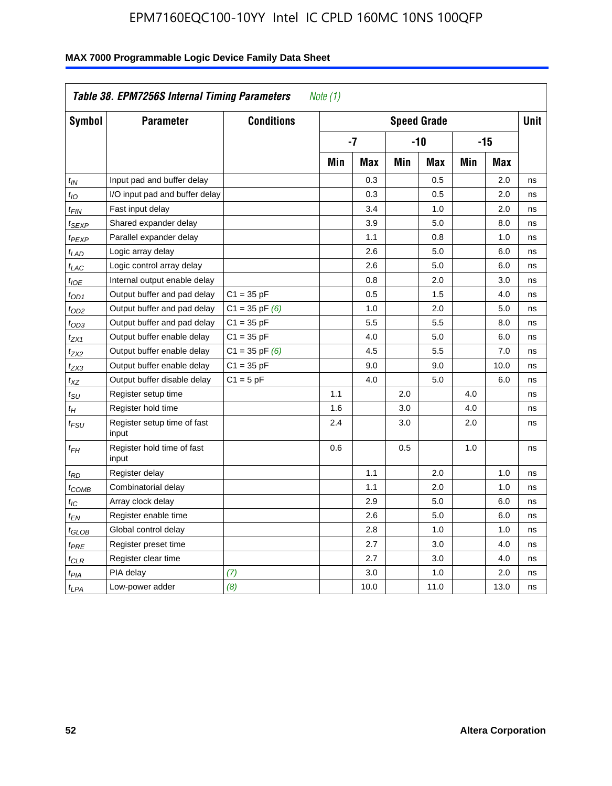| Table 38. EPM7256S Internal Timing Parameters<br>Note (1) |                                      |                    |                    |      |     |      |       |      |    |
|-----------------------------------------------------------|--------------------------------------|--------------------|--------------------|------|-----|------|-------|------|----|
| Symbol                                                    | <b>Parameter</b>                     | <b>Conditions</b>  | <b>Speed Grade</b> |      |     |      |       | Unit |    |
|                                                           |                                      |                    | $-7$               |      | -10 |      | $-15$ |      |    |
|                                                           |                                      |                    | Min                | Max  | Min | Max  | Min   | Max  |    |
| $t_{IN}$                                                  | Input pad and buffer delay           |                    |                    | 0.3  |     | 0.5  |       | 2.0  | ns |
| $t_{1O}$                                                  | I/O input pad and buffer delay       |                    |                    | 0.3  |     | 0.5  |       | 2.0  | ns |
| t <sub>FIN</sub>                                          | Fast input delay                     |                    |                    | 3.4  |     | 1.0  |       | 2.0  | ns |
| t <sub>SEXP</sub>                                         | Shared expander delay                |                    |                    | 3.9  |     | 5.0  |       | 8.0  | ns |
| t <sub>PEXP</sub>                                         | Parallel expander delay              |                    |                    | 1.1  |     | 0.8  |       | 1.0  | ns |
| t <sub>LAD</sub>                                          | Logic array delay                    |                    |                    | 2.6  |     | 5.0  |       | 6.0  | ns |
| $t_{LAC}$                                                 | Logic control array delay            |                    |                    | 2.6  |     | 5.0  |       | 6.0  | ns |
| $t_{IOE}$                                                 | Internal output enable delay         |                    |                    | 0.8  |     | 2.0  |       | 3.0  | ns |
| t <sub>OD1</sub>                                          | Output buffer and pad delay          | $C1 = 35 pF$       |                    | 0.5  |     | 1.5  |       | 4.0  | ns |
| t <sub>OD2</sub>                                          | Output buffer and pad delay          | $C1 = 35$ pF $(6)$ |                    | 1.0  |     | 2.0  |       | 5.0  | ns |
| $t_{OD3}$                                                 | Output buffer and pad delay          | $C1 = 35 pF$       |                    | 5.5  |     | 5.5  |       | 8.0  | ns |
| $t_{ZX1}$                                                 | Output buffer enable delay           | $C1 = 35 pF$       |                    | 4.0  |     | 5.0  |       | 6.0  | ns |
| t <sub>ZX2</sub>                                          | Output buffer enable delay           | $C1 = 35$ pF $(6)$ |                    | 4.5  |     | 5.5  |       | 7.0  | ns |
| $t_{ZX3}$                                                 | Output buffer enable delay           | $C1 = 35 pF$       |                    | 9.0  |     | 9.0  |       | 10.0 | ns |
| $t_{XZ}$                                                  | Output buffer disable delay          | $C1 = 5pF$         |                    | 4.0  |     | 5.0  |       | 6.0  | ns |
| $t_{\rm SU}$                                              | Register setup time                  |                    | 1.1                |      | 2.0 |      | 4.0   |      | ns |
| $t_H$                                                     | Register hold time                   |                    | 1.6                |      | 3.0 |      | 4.0   |      | ns |
| t <sub>FSU</sub>                                          | Register setup time of fast<br>input |                    | 2.4                |      | 3.0 |      | 2.0   |      | ns |
| $t_{FH}$                                                  | Register hold time of fast<br>input  |                    | 0.6                |      | 0.5 |      | 1.0   |      | ns |
| $t_{RD}$                                                  | Register delay                       |                    |                    | 1.1  |     | 2.0  |       | 1.0  | ns |
| t <sub>COMB</sub>                                         | Combinatorial delay                  |                    |                    | 1.1  |     | 2.0  |       | 1.0  | ns |
| t <sub>IC</sub>                                           | Array clock delay                    |                    |                    | 2.9  |     | 5.0  |       | 6.0  | ns |
| t <sub>EN</sub>                                           | Register enable time                 |                    |                    | 2.6  |     | 5.0  |       | 6.0  | ns |
| t <sub>GLOB</sub>                                         | Global control delay                 |                    |                    | 2.8  |     | 1.0  |       | 1.0  | ns |
| $t_{PRE}$                                                 | Register preset time                 |                    |                    | 2.7  |     | 3.0  |       | 4.0  | ns |
| $t_{\sf CLR}$                                             | Register clear time                  |                    |                    | 2.7  |     | 3.0  |       | 4.0  | ns |
| $t_{PIA}$                                                 | PIA delay                            | (7)                |                    | 3.0  |     | 1.0  |       | 2.0  | ns |
| $t_{LPA}$                                                 | Low-power adder                      | (8)                |                    | 10.0 |     | 11.0 |       | 13.0 | ns |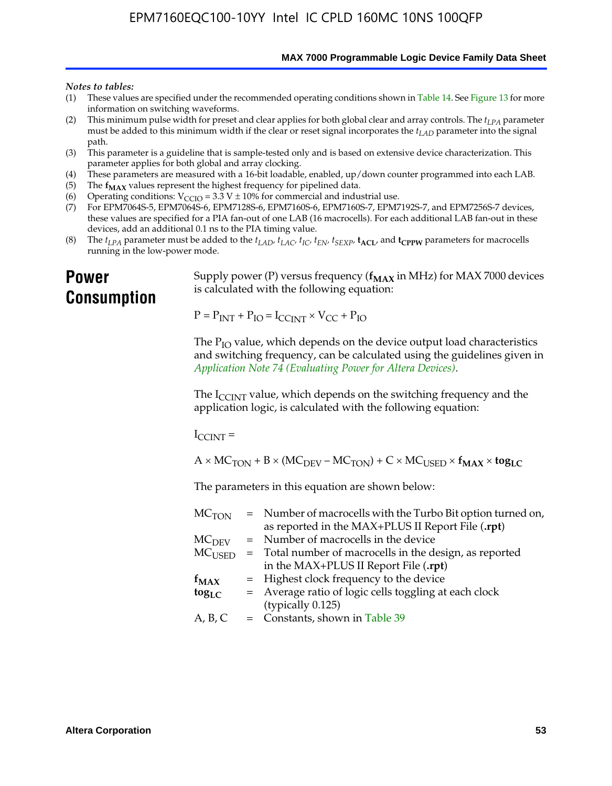**MAX 7000 Programmable Logic Device Family Data Sheet**

#### *Notes to tables:*

- (1) These values are specified under the recommended operating conditions shown in Table 14. See Figure 13 for more information on switching waveforms.
- (2) This minimum pulse width for preset and clear applies for both global clear and array controls. The  $t_{LPA}$  parameter must be added to this minimum width if the clear or reset signal incorporates the *tLAD* parameter into the signal path.
- (3) This parameter is a guideline that is sample-tested only and is based on extensive device characterization. This parameter applies for both global and array clocking.
- (4) These parameters are measured with a 16-bit loadable, enabled, up/down counter programmed into each LAB.
- (5) The  $f_{MAX}$  values represent the highest frequency for pipelined data.
- (6) Operating conditions:  $V_{\text{CCIO}} = 3.3 \text{ V} \pm 10\%$  for commercial and industrial use.
- (7) For EPM7064S-5, EPM7064S-6, EPM7128S-6, EPM7160S-6, EPM7160S-7, EPM7192S-7, and EPM7256S-7 devices, these values are specified for a PIA fan-out of one LAB (16 macrocells). For each additional LAB fan-out in these devices, add an additional 0.1 ns to the PIA timing value.
- (8) The  $t_{LPA}$  parameter must be added to the  $t_{LAD}$ ,  $t_{LAC}$ ,  $t_{IC}$ ,  $t_{EN}$ ,  $t_{SEXP}$ ,  $t_{ACL}$ , and  $t_{CPPW}$  parameters for macrocells running in the low-power mode.

# **Power Consumption**

[Supply power \(P\) versus frequency \(](http://www.altera.com/literature/an/an074.pdf) $f_{MAX}$  in MHz) for MAX 7000 devices is calculated with the following equation:

 $P = P_{INT} + P_{IO} = I_{CCLNT} \times V_{CC} + P_{IO}$ 

The  $P_{IO}$  value, which depends on the device output load characteristics and switching frequency, can be calculated using the guidelines given in *Application Note 74 (Evaluating Power for Altera Devices)*.

The  $I_{\text{CCINT}}$  value, which depends on the switching frequency and the application logic, is calculated with the following equation:

 $I_{\text{CCTNT}} =$ 

 $A \times MC_{TON} + B \times (MC_{DEFU} - MC_{TON}) + C \times MC_{LISED} \times f_{MAX} \times tog_{LC}$ 

The parameters in this equation are shown below:

| $MC$ <sub>TON</sub> | = Number of macrocells with the Turbo Bit option turned on,                |
|---------------------|----------------------------------------------------------------------------|
|                     | as reported in the MAX+PLUS II Report File (.rpt)                          |
| MC <sub>DFV</sub>   | = Number of macrocells in the device                                       |
|                     | $MC_{\text{USED}}$ = Total number of macrocells in the design, as reported |
|                     | in the MAX+PLUS II Report File (.rpt)                                      |
| $f_{MAX}$           | = Highest clock frequency to the device                                    |
| $tog_{LC}$          | = Average ratio of logic cells toggling at each clock                      |
|                     | (typically 0.125)                                                          |
| A, B, C             | = Constants, shown in Table 39                                             |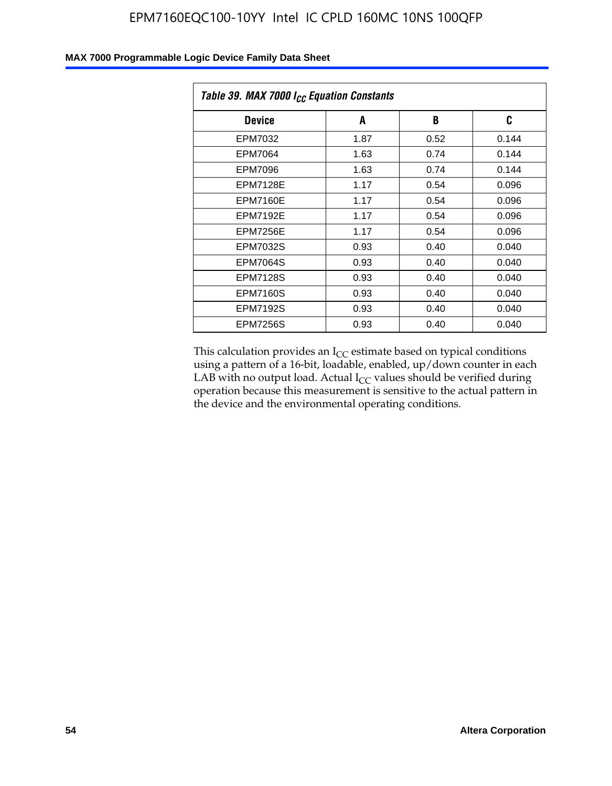| Table 39. MAX 7000 I <sub>CC</sub> Equation Constants |      |      |       |  |  |
|-------------------------------------------------------|------|------|-------|--|--|
| <b>Device</b>                                         | A    | B    | C     |  |  |
| EPM7032                                               | 1.87 | 0.52 | 0.144 |  |  |
| <b>EPM7064</b>                                        | 1.63 | 0.74 | 0.144 |  |  |
| <b>EPM7096</b>                                        | 1.63 | 0.74 | 0.144 |  |  |
| <b>EPM7128E</b>                                       | 1.17 | 0.54 | 0.096 |  |  |
| <b>EPM7160E</b>                                       | 1.17 | 0.54 | 0.096 |  |  |
| <b>EPM7192E</b>                                       | 1.17 | 0.54 | 0.096 |  |  |
| <b>EPM7256E</b>                                       | 1.17 | 0.54 | 0.096 |  |  |
| <b>EPM7032S</b>                                       | 0.93 | 0.40 | 0.040 |  |  |
| <b>EPM7064S</b>                                       | 0.93 | 0.40 | 0.040 |  |  |
| <b>EPM7128S</b>                                       | 0.93 | 0.40 | 0.040 |  |  |
| <b>EPM7160S</b>                                       | 0.93 | 0.40 | 0.040 |  |  |
| <b>EPM7192S</b>                                       | 0.93 | 0.40 | 0.040 |  |  |
| <b>EPM7256S</b>                                       | 0.93 | 0.40 | 0.040 |  |  |

This calculation provides an  $I_{CC}$  estimate based on typical conditions using a pattern of a 16-bit, loadable, enabled, up/down counter in each LAB with no output load. Actual  $I_{CC}$  values should be verified during operation because this measurement is sensitive to the actual pattern in the device and the environmental operating conditions.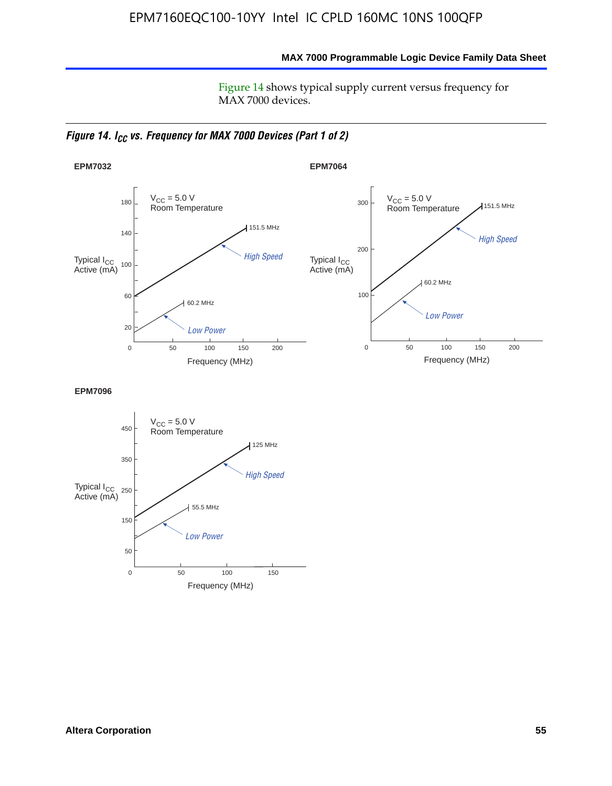**MAX 7000 Programmable Logic Device Family Data Sheet**

Figure 14 shows typical supply current versus frequency for MAX 7000 devices.

*Figure 14. I<sub>CC</sub> vs. Frequency for MAX 7000 Devices (Part 1 of 2)* 



**EPM7096**

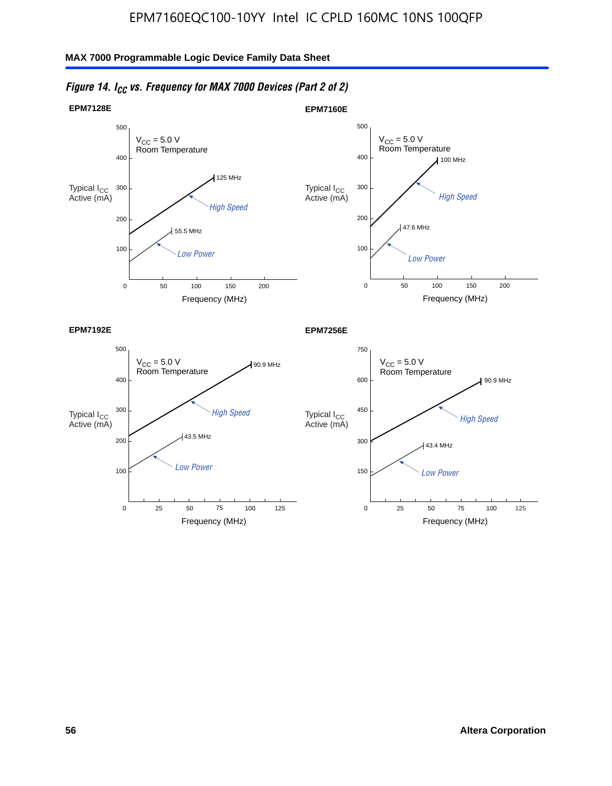

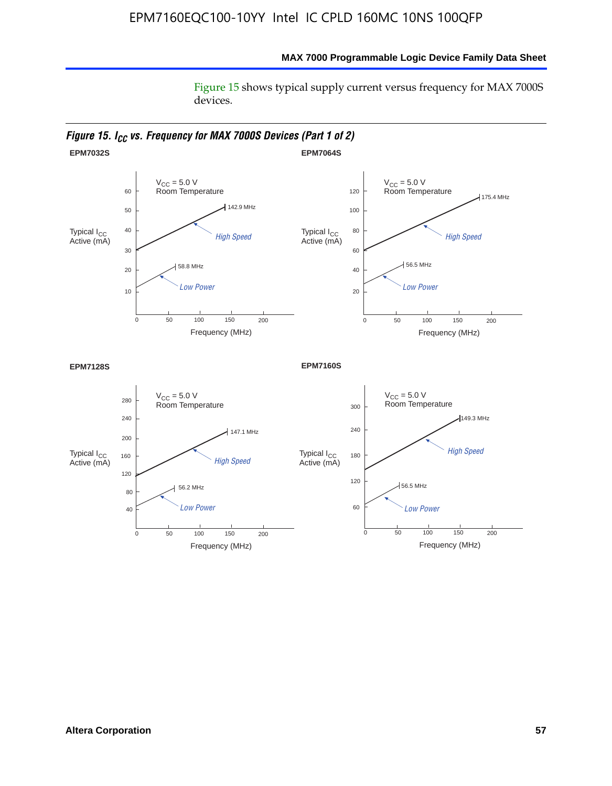Figure 15 shows typical supply current versus frequency for MAX 7000S devices.

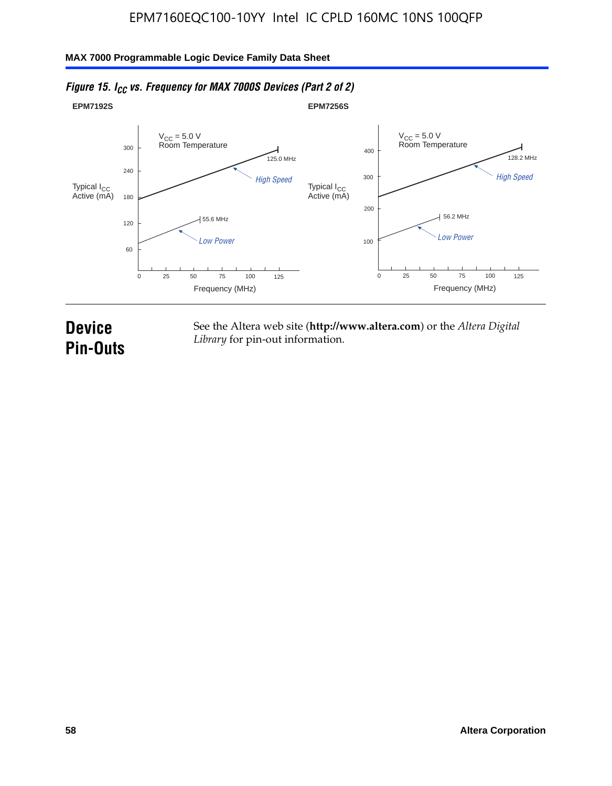#### **EPM7192S** V<sub>CC</sub> = 5.0 V<br>Room Temperature 0 Frequency (MHz) High Speed Low Power 25 100 125 125.0 MHz 55.6 MHz 60 120 180 240 300 50 75 **EPM7256S** V<sub>CC</sub> = 5.0 V<br>Room Temperature 0 Frequency (MHz) High Speed Low Power 25 100 125 128.2 MHz 56.2 MHz 100 200 300 400 50 75 Typical I<sub>CC</sub><br>Active (mA) Typical I<sub>CC</sub> Typical I<sub>CC</sub> Typical I<sub>C</sub> Typical I<sub>C</sub> Typical I<sub>C</sub> Typical I<sub>C</sub> Typical I<sub>C</sub> Typical I<sub>C</sub> Typical I<sub>C</sub> Typical I<sub>C</sub> Typical I<sub>C</sub> Typical I<sub>C</sub> Typical I<sub>C</sub> Typical I<sub>C</sub> Typical I<sub>C</sub> Typical I<sub>C</sub> Typical I<sub>C</sub> Typical I<sub>CC</sub><br>Active (mA)

# *Figure 15. I<sub>CC</sub> vs. Frequency for MAX 7000S Devices (Part 2 of 2)*

# **Device Pin-Outs**

See the Altera web site (**http://www.altera.com**) or the *Altera Digital Library* for pin-out information.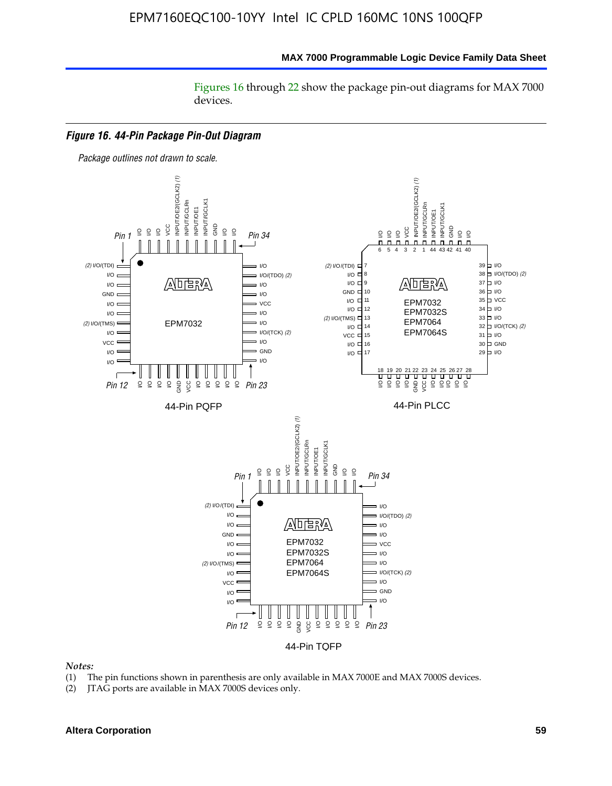Figures 16 through 22 show the package pin-out diagrams for MAX 7000 devices.



#### *Notes:*

- (1) The pin functions shown in parenthesis are only available in MAX 7000E and MAX 7000S devices.
- (2) JTAG ports are available in MAX 7000S devices only.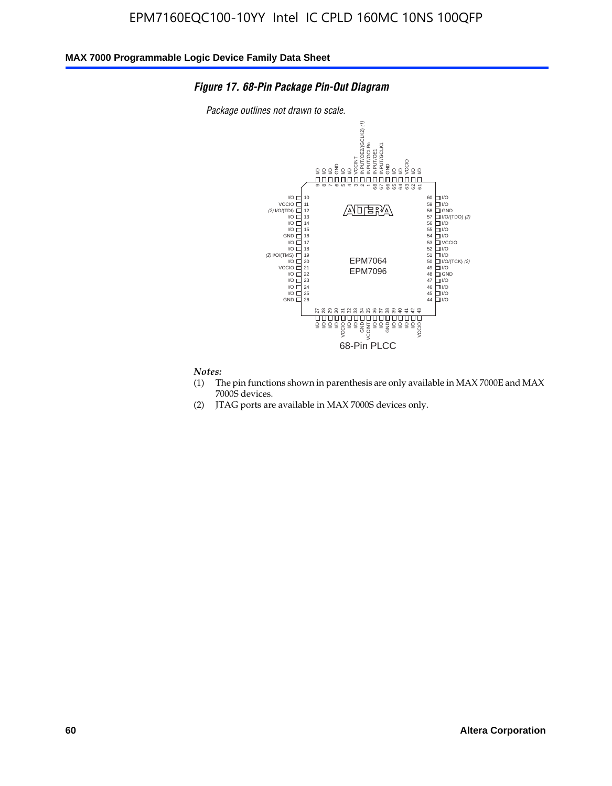### *Figure 17. 68-Pin Package Pin-Out Diagram*

*Package outlines not drawn to scale.*



#### *Notes:*

- (1) The pin functions shown in parenthesis are only available in MAX 7000E and MAX 7000S devices.
- (2) JTAG ports are available in MAX 7000S devices only.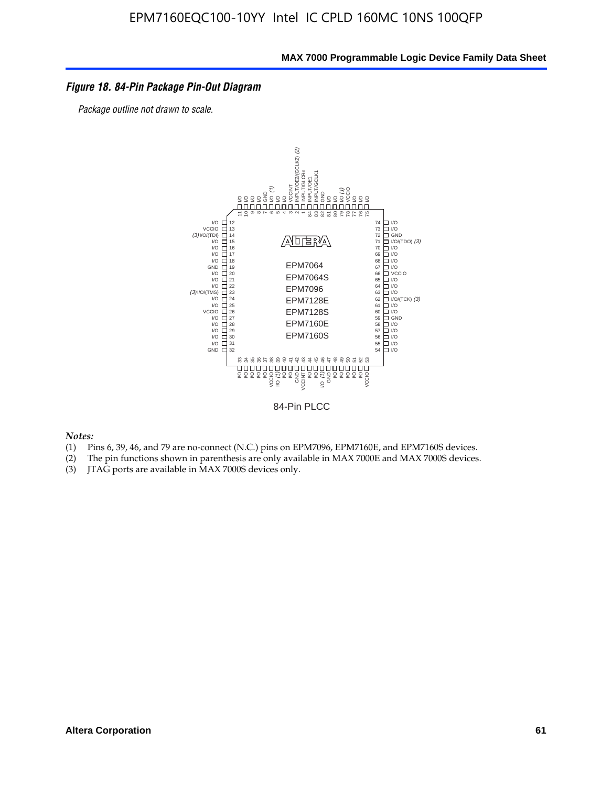### *Figure 18. 84-Pin Package Pin-Out Diagram*

*Package outline not drawn to scale.*



84-Pin PLCC

*Notes:*

- (1) Pins 6, 39, 46, and 79 are no-connect (N.C.) pins on EPM7096, EPM7160E, and EPM7160S devices.
- (2) The pin functions shown in parenthesis are only available in MAX 7000E and MAX 7000S devices.
-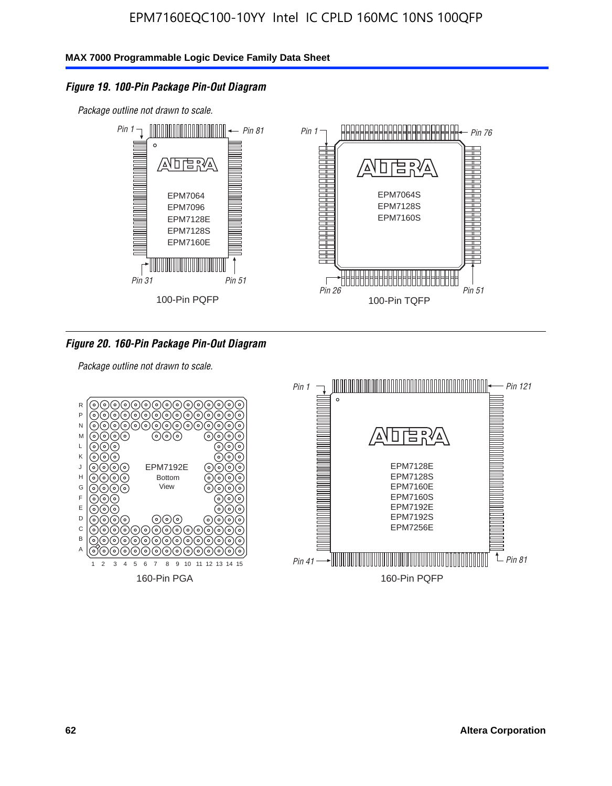### *Figure 19. 100-Pin Package Pin-Out Diagram*

*Package outline not drawn to scale.*



*Figure 20. 160-Pin Package Pin-Out Diagram*

*Package outline not drawn to scale.*

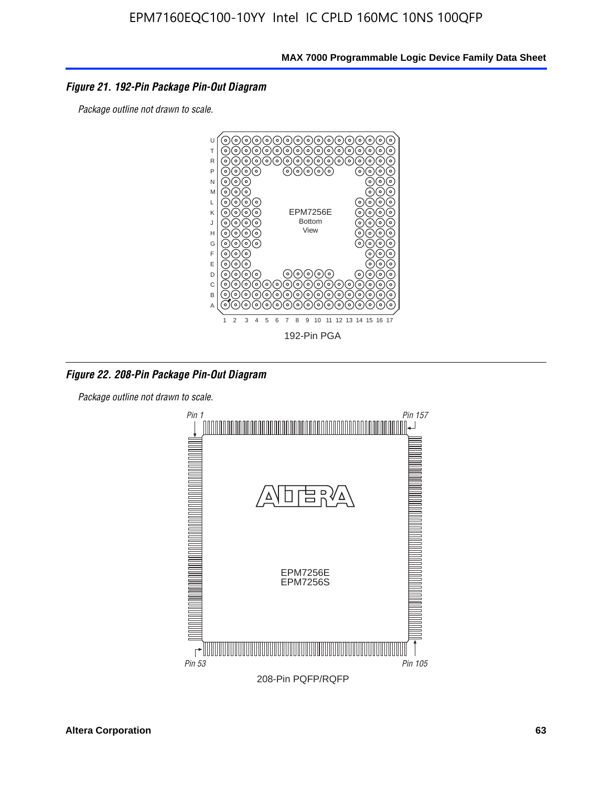### *Figure 21. 192-Pin Package Pin-Out Diagram*

*Package outline not drawn to scale.*



*Figure 22. 208-Pin Package Pin-Out Diagram*

*Package outline not drawn to scale.*

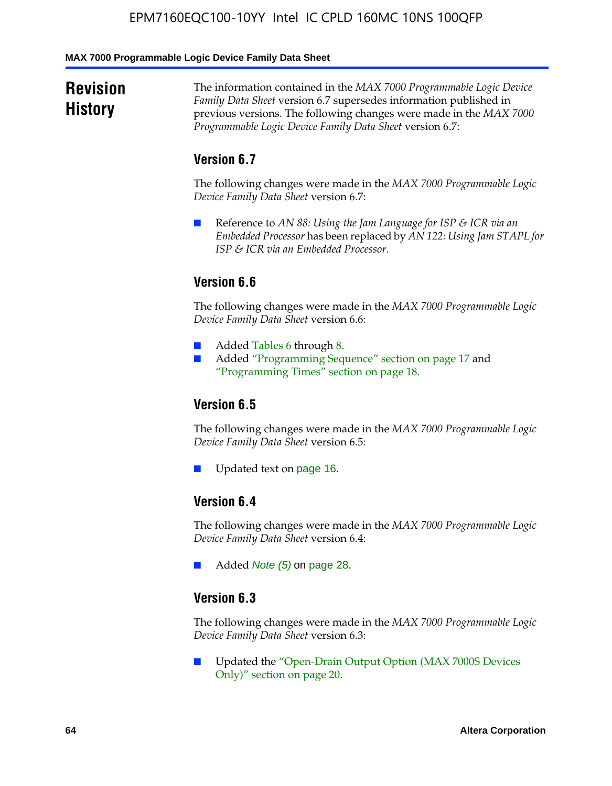#### **MAX 7000 Programmable Logic Device Family Data Sheet**

# **Revision History**

The information contained in the *MAX 7000 Programmable Logic Device Family Data Sheet* version 6.7 supersedes information published in previous versions. The following changes were made in the *MAX 7000 Programmable Logic Device Family Data Sheet* version 6.7:

# **Version 6.7**

The following changes were made in the *MAX 7000 Programmable Logic Device Family Data Sheet* version 6.7:

■ Reference to *AN 88: Using the Jam Language for ISP & ICR via an Embedded Processor* has been replaced by *AN 122: Using Jam STAPL for ISP & ICR via an Embedded Processor*.

# **Version 6.6**

The following changes were made in the *MAX 7000 Programmable Logic Device Family Data Sheet* version 6.6:

- Added Tables 6 through 8.
- Added "Programming Sequence" section on page 17 and "Programming Times" section on page 18.

# **Version 6.5**

The following changes were made in the *MAX 7000 Programmable Logic Device Family Data Sheet* version 6.5:

Updated text on page 16.

# **Version 6.4**

The following changes were made in the *MAX 7000 Programmable Logic Device Family Data Sheet* version 6.4:

■ Added *Note (5)* on page 28.

### **Version 6.3**

The following changes were made in the *MAX 7000 Programmable Logic Device Family Data Sheet* version 6.3:

■ Updated the "Open-Drain Output Option (MAX 7000S Devices Only)" section on page 20.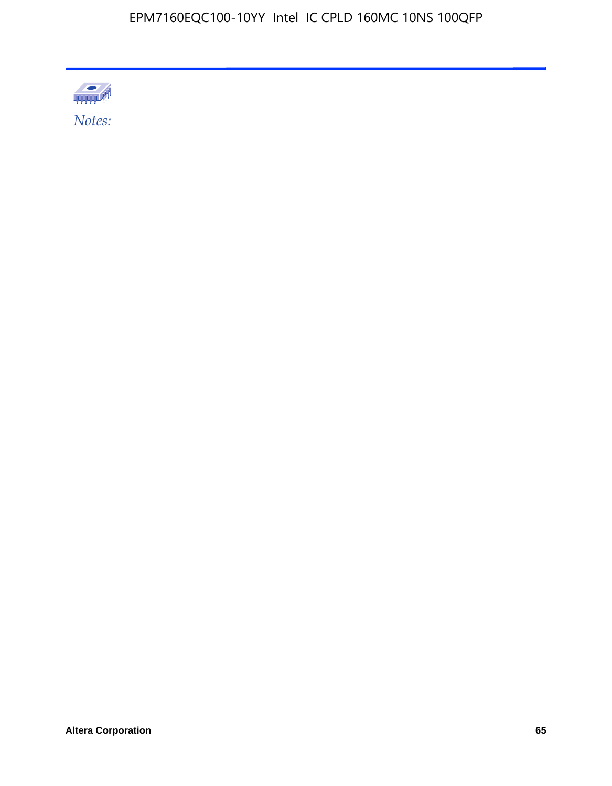

Altera Corporation 65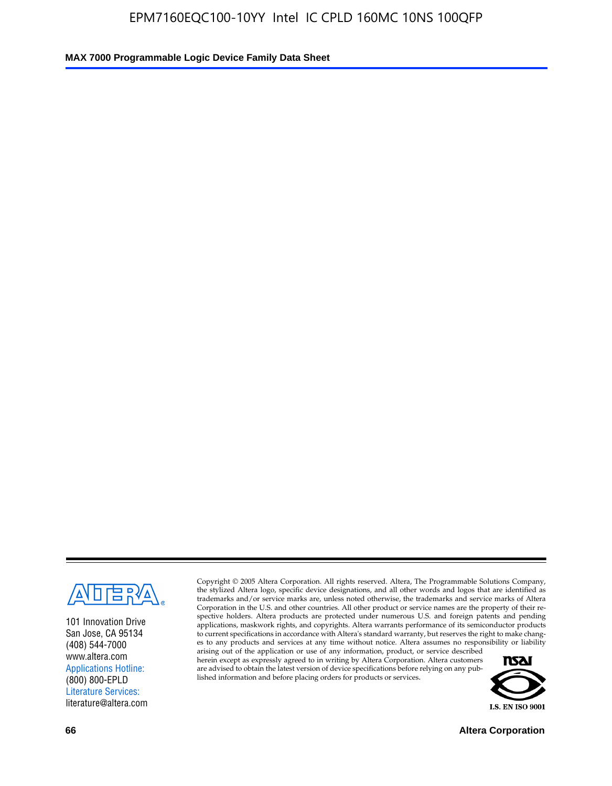

101 Innovation Drive San Jose, CA 95134 (408) 544-7000 www.altera.com Applications Hotline: (800) 800-EPLD Literature Services: literature@altera.com

Copyright © 2005 Altera Corporation. All rights reserved. Altera, The Programmable Solutions Company, the stylized Altera logo, specific device designations, and all other words and logos that are identified as trademarks and/or service marks are, unless noted otherwise, the trademarks and service marks of Altera Corporation in the U.S. and other countries. All other product or service names are the property of their respective holders. Altera products are protected under numerous U.S. and foreign patents and pending applications, maskwork rights, and copyrights. Altera warrants performance of its semiconductor products to current specifications in accordance with Altera's standard warranty, but reserves the right to make changes to any products and services at any time without notice. Altera assumes no responsibility or liability

arising out of the application or use of any information, product, or service described herein except as expressly agreed to in writing by Altera Corporation. Altera customers are advised to obtain the latest version of device specifications before relying on any published information and before placing orders for products or services.



**66 Altera Corporation**